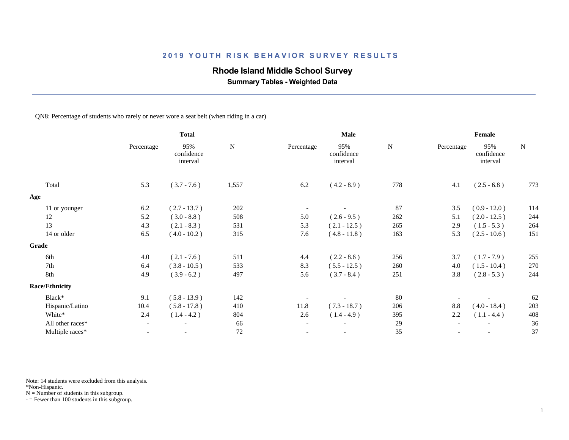# **Rhode Island Middle School Survey**

 **Summary Tables - Weighted Data**

QN8: Percentage of students who rarely or never wore a seat belt (when riding in a car)

|                       | <b>Total</b> |                               | <b>Male</b> |                          |                               | Female    |            |                               |           |
|-----------------------|--------------|-------------------------------|-------------|--------------------------|-------------------------------|-----------|------------|-------------------------------|-----------|
|                       | Percentage   | 95%<br>confidence<br>interval | ${\bf N}$   | Percentage               | 95%<br>confidence<br>interval | ${\bf N}$ | Percentage | 95%<br>confidence<br>interval | ${\bf N}$ |
| Total                 | 5.3          | $(3.7 - 7.6)$                 | 1,557       | 6.2                      | $(4.2 - 8.9)$                 | 778       | 4.1        | $(2.5 - 6.8)$                 | 773       |
| Age                   |              |                               |             |                          |                               |           |            |                               |           |
| 11 or younger         | 6.2          | $(2.7 - 13.7)$                | 202         |                          |                               | 87        | 3.5        | $(0.9 - 12.0)$                | 114       |
| 12                    | 5.2          | $(3.0 - 8.8)$                 | 508         | 5.0                      | $(2.6 - 9.5)$                 | 262       | 5.1        | $(2.0 - 12.5)$                | 244       |
| 13                    | 4.3          | $(2.1 - 8.3)$                 | 531         | 5.3                      | $(2.1 - 12.5)$                | 265       | 2.9        | $(1.5 - 5.3)$                 | 264       |
| 14 or older           | 6.5          | $(4.0 - 10.2)$                | 315         | 7.6                      | $(4.8 - 11.8)$                | 163       | 5.3        | $(2.5 - 10.6)$                | 151       |
| Grade                 |              |                               |             |                          |                               |           |            |                               |           |
| 6th                   | 4.0          | $(2.1 - 7.6)$                 | 511         | 4.4                      | $(2.2 - 8.6)$                 | 256       | 3.7        | $(1.7 - 7.9)$                 | 255       |
| 7th                   | 6.4          | $(3.8 - 10.5)$                | 533         | 8.3                      | $(5.5 - 12.5)$                | 260       | 4.0        | $(1.5 - 10.4)$                | 270       |
| 8th                   | 4.9          | $(3.9 - 6.2)$                 | 497         | 5.6                      | $(3.7 - 8.4)$                 | 251       | 3.8        | $(2.8 - 5.3)$                 | 244       |
| <b>Race/Ethnicity</b> |              |                               |             |                          |                               |           |            |                               |           |
| Black*                | 9.1          | $(5.8 - 13.9)$                | 142         |                          |                               | 80        |            |                               | 62        |
| Hispanic/Latino       | 10.4         | $(5.8 - 17.8)$                | 410         | 11.8                     | $(7.3 - 18.7)$                | 206       | 8.8        | $(4.0 - 18.4)$                | 203       |
| White*                | 2.4          | $(1.4 - 4.2)$                 | 804         | 2.6                      | $(1.4 - 4.9)$                 | 395       | 2.2        | $(1.1 - 4.4)$                 | 408       |
| All other races*      | $-$          | $\overline{\phantom{a}}$      | 66          | $\overline{\phantom{a}}$ |                               | 29        |            |                               | 36        |
| Multiple races*       |              |                               | $72\,$      |                          |                               | 35        |            |                               | 37        |

Note: 14 students were excluded from this analysis.

\*Non-Hispanic.

 $N =$  Number of students in this subgroup.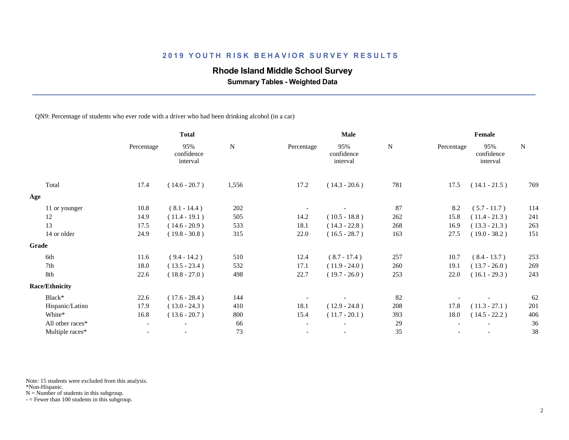### **Rhode Island Middle School Survey**

 **Summary Tables - Weighted Data**

#### QN9: Percentage of students who ever rode with a driver who had been drinking alcohol (in a car)

|                       | <b>Total</b>             |                               |           |                          | Male                          | Female    |            |                               |           |
|-----------------------|--------------------------|-------------------------------|-----------|--------------------------|-------------------------------|-----------|------------|-------------------------------|-----------|
|                       | Percentage               | 95%<br>confidence<br>interval | ${\bf N}$ | Percentage               | 95%<br>confidence<br>interval | ${\bf N}$ | Percentage | 95%<br>confidence<br>interval | ${\bf N}$ |
| Total                 | 17.4                     | $(14.6 - 20.7)$               | 1,556     | 17.2                     | $(14.3 - 20.6)$               | 781       | 17.5       | $(14.1 - 21.5)$               | 769       |
| Age                   |                          |                               |           |                          |                               |           |            |                               |           |
| 11 or younger         | 10.8                     | $(8.1 - 14.4)$                | 202       |                          |                               | 87        | 8.2        | $(5.7 - 11.7)$                | 114       |
| 12                    | 14.9                     | $(11.4 - 19.1)$               | 505       | 14.2                     | $(10.5 - 18.8)$               | 262       | 15.8       | $(11.4 - 21.3)$               | 241       |
| 13                    | 17.5                     | $(14.6 - 20.9)$               | 533       | 18.1                     | $(14.3 - 22.8)$               | 268       | 16.9       | $(13.3 - 21.3)$               | 263       |
| 14 or older           | 24.9                     | $(19.8 - 30.8)$               | 315       | 22.0                     | $(16.5 - 28.7)$               | 163       | 27.5       | $(19.0 - 38.2)$               | 151       |
| Grade                 |                          |                               |           |                          |                               |           |            |                               |           |
| 6th                   | 11.6                     | $(9.4 - 14.2)$                | 510       | 12.4                     | $(8.7 - 17.4)$                | 257       | 10.7       | $(8.4 - 13.7)$                | 253       |
| 7th                   | 18.0                     | $(13.5 - 23.4)$               | 532       | 17.1                     | $(11.9 - 24.0)$               | 260       | 19.1       | $(13.7 - 26.0)$               | 269       |
| 8th                   | 22.6                     | $(18.8 - 27.0)$               | 498       | 22.7                     | $(19.7 - 26.0)$               | 253       | 22.0       | $(16.1 - 29.3)$               | 243       |
| <b>Race/Ethnicity</b> |                          |                               |           |                          |                               |           |            |                               |           |
| Black*                | 22.6                     | $(17.6 - 28.4)$               | 144       |                          |                               | 82        |            |                               | 62        |
| Hispanic/Latino       | 17.9                     | $(13.0 - 24.3)$               | 410       | 18.1                     | $(12.9 - 24.8)$               | 208       | 17.8       | $(11.3 - 27.1)$               | 201       |
| White*                | 16.8                     | $(13.6 - 20.7)$               | 800       | 15.4                     | $(11.7 - 20.1)$               | 393       | 18.0       | $(14.5 - 22.2)$               | 406       |
| All other races*      | $\overline{\phantom{a}}$ | $\overline{\phantom{a}}$      | 66        | $\blacksquare$           |                               | 29        |            |                               | 36        |
| Multiple races*       | $\overline{\phantom{a}}$ |                               | 73        | $\overline{\phantom{a}}$ | $\overline{\phantom{a}}$      | 35        |            |                               | 38        |
|                       |                          |                               |           |                          |                               |           |            |                               |           |

Note: 15 students were excluded from this analysis.

\*Non-Hispanic.

 $N =$  Number of students in this subgroup.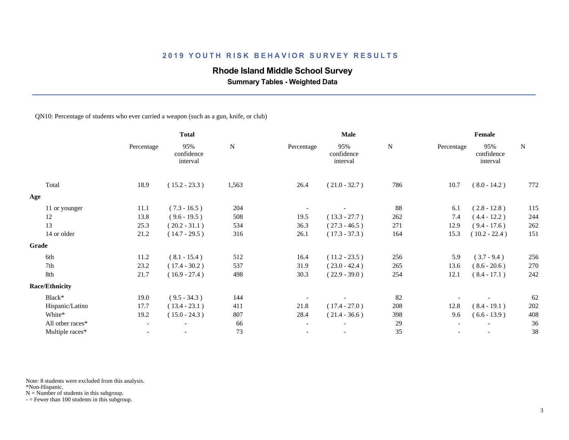# **Rhode Island Middle School Survey**

 **Summary Tables - Weighted Data**

QN10: Percentage of students who ever carried a weapon (such as a gun, knife, or club)

|                       | <b>Total</b>             |                               |           | <b>Male</b>              |                               | Female    |            |                               |           |
|-----------------------|--------------------------|-------------------------------|-----------|--------------------------|-------------------------------|-----------|------------|-------------------------------|-----------|
|                       | Percentage               | 95%<br>confidence<br>interval | ${\bf N}$ | Percentage               | 95%<br>confidence<br>interval | ${\bf N}$ | Percentage | 95%<br>confidence<br>interval | ${\bf N}$ |
| Total                 | 18.9                     | $(15.2 - 23.3)$               | 1,563     | 26.4                     | $(21.0 - 32.7)$               | 786       | 10.7       | $(8.0 - 14.2)$                | 772       |
| Age                   |                          |                               |           |                          |                               |           |            |                               |           |
| 11 or younger         | 11.1                     | $(7.3 - 16.5)$                | 204       |                          |                               | 88        | 6.1        | $(2.8 - 12.8)$                | 115       |
| 12                    | 13.8                     | $(9.6 - 19.5)$                | 508       | 19.5                     | $(13.3 - 27.7)$               | 262       | 7.4        | $(4.4 - 12.2)$                | 244       |
| 13                    | 25.3                     | $(20.2 - 31.1)$               | 534       | 36.3                     | $(27.3 - 46.5)$               | 271       | 12.9       | $(9.4 - 17.6)$                | 262       |
| 14 or older           | 21.2                     | $(14.7 - 29.5)$               | 316       | 26.1                     | $(17.3 - 37.3)$               | 164       | 15.3       | $(10.2 - 22.4)$               | 151       |
| <b>Grade</b>          |                          |                               |           |                          |                               |           |            |                               |           |
| 6th                   | 11.2                     | $(8.1 - 15.4)$                | 512       | 16.4                     | $(11.2 - 23.5)$               | 256       | 5.9        | $(3.7 - 9.4)$                 | 256       |
| 7th                   | 23.2                     | $(17.4 - 30.2)$               | 537       | 31.9                     | $(23.0 - 42.4)$               | 265       | 13.6       | $(8.6 - 20.6)$                | 270       |
| 8th                   | 21.7                     | $(16.9 - 27.4)$               | 498       | 30.3                     | $(22.9 - 39.0)$               | 254       | 12.1       | $(8.4 - 17.1)$                | 242       |
| <b>Race/Ethnicity</b> |                          |                               |           |                          |                               |           |            |                               |           |
| Black*                | 19.0                     | $(9.5 - 34.3)$                | 144       |                          |                               | 82        |            |                               | 62        |
| Hispanic/Latino       | 17.7                     | $(13.4 - 23.1)$               | 411       | 21.8                     | $(17.4 - 27.0)$               | 208       | 12.8       | $(8.4 - 19.1)$                | 202       |
| White*                | 19.2                     | $(15.0 - 24.3)$               | 807       | 28.4                     | $(21.4 - 36.6)$               | 398       | 9.6        | $(6.6 - 13.9)$                | 408       |
| All other races*      | $\overline{\phantom{a}}$ | $\overline{\phantom{a}}$      | 66        | $\overline{\phantom{a}}$ | $\overline{\phantom{a}}$      | 29        |            |                               | 36        |
| Multiple races*       | $\overline{\phantom{0}}$ |                               | 73        | $\overline{\phantom{a}}$ | $\overline{\phantom{a}}$      | 35        |            |                               | 38        |
|                       |                          |                               |           |                          |                               |           |            |                               |           |

Note: 8 students were excluded from this analysis.

\*Non-Hispanic.

 $N =$  Number of students in this subgroup.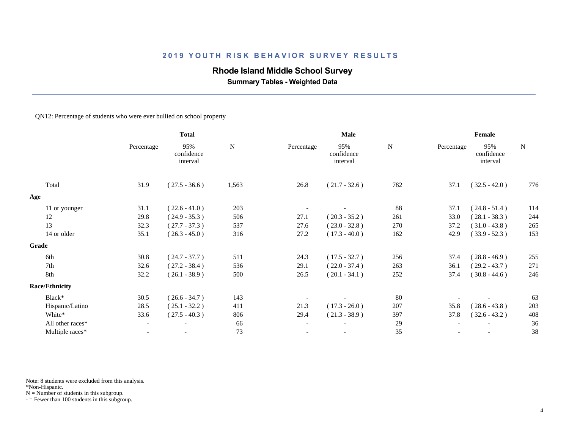### **Rhode Island Middle School Survey**

 **Summary Tables - Weighted Data**

#### QN12: Percentage of students who were ever bullied on school property

|                       | <b>Total</b> |                               |           | Male                     |                               | Female    |                          |                               |           |
|-----------------------|--------------|-------------------------------|-----------|--------------------------|-------------------------------|-----------|--------------------------|-------------------------------|-----------|
|                       | Percentage   | 95%<br>confidence<br>interval | ${\bf N}$ | Percentage               | 95%<br>confidence<br>interval | ${\bf N}$ | Percentage               | 95%<br>confidence<br>interval | ${\bf N}$ |
| Total                 | 31.9         | $(27.5 - 36.6)$               | 1,563     | 26.8                     | $(21.7 - 32.6)$               | 782       | 37.1                     | $(32.5 - 42.0)$               | 776       |
| Age                   |              |                               |           |                          |                               |           |                          |                               |           |
| 11 or younger         | 31.1         | $(22.6 - 41.0)$               | 203       |                          |                               | 88        | 37.1                     | $(24.8 - 51.4)$               | 114       |
| 12                    | 29.8         | $(24.9 - 35.3)$               | 506       | 27.1                     | $(20.3 - 35.2)$               | 261       | 33.0                     | $(28.1 - 38.3)$               | 244       |
| 13                    | 32.3         | $(27.7 - 37.3)$               | 537       | 27.6                     | $(23.0 - 32.8)$               | 270       | 37.2                     | $(31.0 - 43.8)$               | 265       |
| 14 or older           | 35.1         | $(26.3 - 45.0)$               | 316       | 27.2                     | $(17.3 - 40.0)$               | 162       | 42.9                     | $(33.9 - 52.3)$               | 153       |
| <b>Grade</b>          |              |                               |           |                          |                               |           |                          |                               |           |
| 6th                   | 30.8         | $(24.7 - 37.7)$               | 511       | 24.3                     | $(17.5 - 32.7)$               | 256       | 37.4                     | $(28.8 - 46.9)$               | 255       |
| 7th                   | 32.6         | $(27.2 - 38.4)$               | 536       | 29.1                     | $(22.0 - 37.4)$               | 263       | 36.1                     | $(29.2 - 43.7)$               | 271       |
| 8th                   | 32.2         | $(26.1 - 38.9)$               | 500       | 26.5                     | $(20.1 - 34.1)$               | 252       | 37.4                     | $(30.8 - 44.6)$               | 246       |
| <b>Race/Ethnicity</b> |              |                               |           |                          |                               |           |                          |                               |           |
| Black*                | 30.5         | $(26.6 - 34.7)$               | 143       |                          | $\overline{\phantom{a}}$      | 80        |                          |                               | 63        |
| Hispanic/Latino       | 28.5         | $(25.1 - 32.2)$               | 411       | 21.3                     | $(17.3 - 26.0)$               | 207       | 35.8                     | $(28.6 - 43.8)$               | 203       |
| White*                | 33.6         | $(27.5 - 40.3)$               | 806       | 29.4                     | $(21.3 - 38.9)$               | 397       | 37.8                     | $(32.6 - 43.2)$               | 408       |
| All other races*      | $-$          | $\overline{\phantom{a}}$      | 66        | $\overline{\phantom{a}}$ | $\overline{\phantom{a}}$      | 29        |                          |                               | 36        |
| Multiple races*       | $-$          | $\overline{\phantom{a}}$      | 73        | $\overline{\phantom{a}}$ | $\overline{\phantom{a}}$      | 35        | $\overline{\phantom{0}}$ | $\overline{\phantom{a}}$      | 38        |
|                       |              |                               |           |                          |                               |           |                          |                               |           |

Note: 8 students were excluded from this analysis.

\*Non-Hispanic.

 $N =$  Number of students in this subgroup.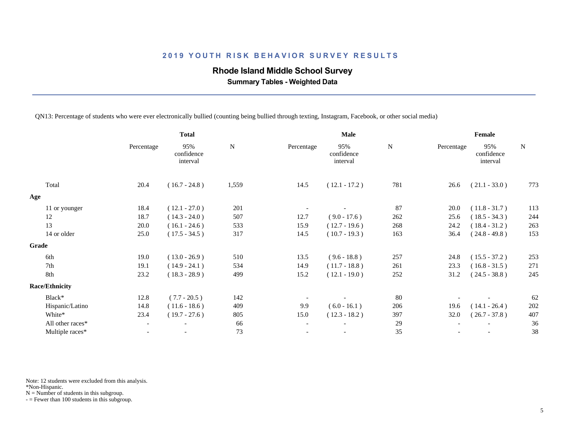### **Rhode Island Middle School Survey**

 **Summary Tables - Weighted Data**

QN13: Percentage of students who were ever electronically bullied (counting being bullied through texting, Instagram, Facebook, or other social media)

|                       |                          | <b>Total</b>                  |           |                          | Male                          |             |            | Female                        |             |
|-----------------------|--------------------------|-------------------------------|-----------|--------------------------|-------------------------------|-------------|------------|-------------------------------|-------------|
|                       | Percentage               | 95%<br>confidence<br>interval | ${\bf N}$ | Percentage               | 95%<br>confidence<br>interval | $\mathbf N$ | Percentage | 95%<br>confidence<br>interval | $\mathbf N$ |
| Total                 | 20.4                     | $(16.7 - 24.8)$               | 1,559     | 14.5                     | $(12.1 - 17.2)$               | 781         | 26.6       | $(21.1 - 33.0)$               | 773         |
| Age                   |                          |                               |           |                          |                               |             |            |                               |             |
| 11 or younger         | 18.4                     | $(12.1 - 27.0)$               | 201       |                          |                               | 87          | 20.0       | $(11.8 - 31.7)$               | 113         |
| 12                    | 18.7                     | $(14.3 - 24.0)$               | 507       | 12.7                     | $(9.0 - 17.6)$                | 262         | 25.6       | $(18.5 - 34.3)$               | 244         |
| 13                    | 20.0                     | $(16.1 - 24.6)$               | 533       | 15.9                     | $(12.7 - 19.6)$               | 268         | 24.2       | $(18.4 - 31.2)$               | 263         |
| 14 or older           | 25.0                     | $(17.5 - 34.5)$               | 317       | 14.5                     | $(10.7 - 19.3)$               | 163         | 36.4       | $(24.8 - 49.8)$               | 153         |
| Grade                 |                          |                               |           |                          |                               |             |            |                               |             |
| 6th                   | 19.0                     | $(13.0 - 26.9)$               | 510       | 13.5                     | $(9.6 - 18.8)$                | 257         | 24.8       | $(15.5 - 37.2)$               | 253         |
| 7th                   | 19.1                     | $(14.9 - 24.1)$               | 534       | 14.9                     | $(11.7 - 18.8)$               | 261         | 23.3       | $(16.8 - 31.5)$               | 271         |
| 8th                   | 23.2                     | $(18.3 - 28.9)$               | 499       | 15.2                     | $(12.1 - 19.0)$               | 252         | 31.2       | $(24.5 - 38.8)$               | 245         |
| <b>Race/Ethnicity</b> |                          |                               |           |                          |                               |             |            |                               |             |
| Black*                | 12.8                     | $(7.7 - 20.5)$                | 142       |                          |                               | 80          |            |                               | 62          |
| Hispanic/Latino       | 14.8                     | $(11.6 - 18.6)$               | 409       | 9.9                      | $(6.0 - 16.1)$                | 206         | 19.6       | $(14.1 - 26.4)$               | 202         |
| White*                | 23.4                     | $(19.7 - 27.6)$               | 805       | 15.0                     | $(12.3 - 18.2)$               | 397         | 32.0       | $(26.7 - 37.8)$               | 407         |
| All other races*      | $\overline{\phantom{a}}$ | $\overline{\phantom{a}}$      | 66        | $\overline{\phantom{a}}$ | $\overline{\phantom{a}}$      | 29          |            |                               | 36          |
| Multiple races*       | $\overline{\phantom{0}}$ | $\overline{\phantom{a}}$      | 73        |                          |                               | 35          |            |                               | 38          |
|                       |                          |                               |           |                          |                               |             |            |                               |             |

Note: 12 students were excluded from this analysis.

\*Non-Hispanic.

 $N =$  Number of students in this subgroup.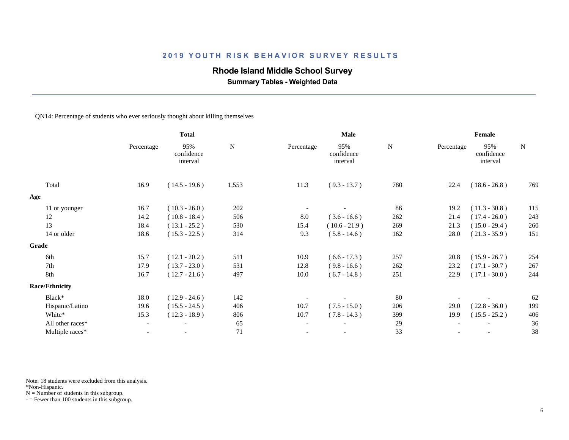# **Rhode Island Middle School Survey**

 **Summary Tables - Weighted Data**

#### QN14: Percentage of students who ever seriously thought about killing themselves

|                       | <b>Total</b>             |                               |           | <b>Male</b>              |                               | Female |            |                               |           |
|-----------------------|--------------------------|-------------------------------|-----------|--------------------------|-------------------------------|--------|------------|-------------------------------|-----------|
|                       | Percentage               | 95%<br>confidence<br>interval | ${\bf N}$ | Percentage               | 95%<br>confidence<br>interval | N      | Percentage | 95%<br>confidence<br>interval | ${\bf N}$ |
| Total                 | 16.9                     | $(14.5 - 19.6)$               | 1,553     | 11.3                     | $(9.3 - 13.7)$                | 780    | 22.4       | $(18.6 - 26.8)$               | 769       |
| Age                   |                          |                               |           |                          |                               |        |            |                               |           |
| 11 or younger         | 16.7                     | $(10.3 - 26.0)$               | 202       |                          |                               | 86     | 19.2       | $(11.3 - 30.8)$               | 115       |
| 12                    | 14.2                     | $(10.8 - 18.4)$               | 506       | 8.0                      | $(3.6 - 16.6)$                | 262    | 21.4       | $(17.4 - 26.0)$               | 243       |
| 13                    | 18.4                     | $(13.1 - 25.2)$               | 530       | 15.4                     | $(10.6 - 21.9)$               | 269    | 21.3       | $(15.0 - 29.4)$               | 260       |
| 14 or older           | 18.6                     | $(15.3 - 22.5)$               | 314       | 9.3                      | $(5.8 - 14.6)$                | 162    | 28.0       | $(21.3 - 35.9)$               | 151       |
| Grade                 |                          |                               |           |                          |                               |        |            |                               |           |
| 6th                   | 15.7                     | $(12.1 - 20.2)$               | 511       | 10.9                     | $(6.6 - 17.3)$                | 257    | 20.8       | $(15.9 - 26.7)$               | 254       |
| 7th                   | 17.9                     | $(13.7 - 23.0)$               | 531       | 12.8                     | $(9.8 - 16.6)$                | 262    | 23.2       | $(17.1 - 30.7)$               | 267       |
| 8th                   | 16.7                     | $(12.7 - 21.6)$               | 497       | 10.0                     | $(6.7 - 14.8)$                | 251    | 22.9       | $(17.1 - 30.0)$               | 244       |
| <b>Race/Ethnicity</b> |                          |                               |           |                          |                               |        |            |                               |           |
| Black*                | 18.0                     | $(12.9 - 24.6)$               | 142       |                          |                               | 80     |            |                               | 62        |
| Hispanic/Latino       | 19.6                     | $(15.5 - 24.5)$               | 406       | 10.7                     | $(7.5 - 15.0)$                | 206    | 29.0       | $(22.8 - 36.0)$               | 199       |
| White*                | 15.3                     | $(12.3 - 18.9)$               | 806       | 10.7                     | $(7.8 - 14.3)$                | 399    | 19.9       | $(15.5 - 25.2)$               | 406       |
| All other races*      | $\overline{\phantom{a}}$ | $\overline{\phantom{a}}$      | 65        | $\overline{\phantom{a}}$ | $\overline{\phantom{a}}$      | 29     |            |                               | 36        |
| Multiple races*       | $\overline{\phantom{a}}$ |                               | 71        | $\overline{\phantom{a}}$ | $\overline{\phantom{a}}$      | 33     |            |                               | 38        |
|                       |                          |                               |           |                          |                               |        |            |                               |           |

Note: 18 students were excluded from this analysis.

\*Non-Hispanic.

 $N =$  Number of students in this subgroup.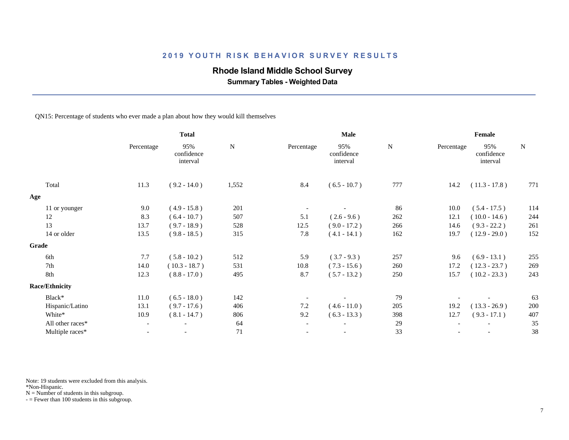# **Rhode Island Middle School Survey**

 **Summary Tables - Weighted Data**

#### QN15: Percentage of students who ever made a plan about how they would kill themselves

|                       | <b>Total</b>             |                               | Male        |                          |                               | Female    |            |                               |           |
|-----------------------|--------------------------|-------------------------------|-------------|--------------------------|-------------------------------|-----------|------------|-------------------------------|-----------|
|                       | Percentage               | 95%<br>confidence<br>interval | $\mathbf N$ | Percentage               | 95%<br>confidence<br>interval | ${\bf N}$ | Percentage | 95%<br>confidence<br>interval | ${\bf N}$ |
| Total                 | 11.3                     | $(9.2 - 14.0)$                | 1,552       | 8.4                      | $(6.5 - 10.7)$                | 777       | 14.2       | $(11.3 - 17.8)$               | 771       |
| Age                   |                          |                               |             |                          |                               |           |            |                               |           |
| 11 or younger         | 9.0                      | $(4.9 - 15.8)$                | 201         |                          |                               | 86        | 10.0       | $(5.4 - 17.5)$                | 114       |
| 12                    | 8.3                      | $(6.4 - 10.7)$                | 507         | 5.1                      | $(2.6 - 9.6)$                 | 262       | 12.1       | $(10.0 - 14.6)$               | 244       |
| 13                    | 13.7                     | $(9.7 - 18.9)$                | 528         | 12.5                     | $(9.0 - 17.2)$                | 266       | 14.6       | $(9.3 - 22.2)$                | 261       |
| 14 or older           | 13.5                     | $(9.8 - 18.5)$                | 315         | 7.8                      | $(4.1 - 14.1)$                | 162       | 19.7       | $(12.9 - 29.0)$               | 152       |
| Grade                 |                          |                               |             |                          |                               |           |            |                               |           |
| 6th                   | 7.7                      | $(5.8 - 10.2)$                | 512         | 5.9                      | $(3.7 - 9.3)$                 | 257       | 9.6        | $(6.9 - 13.1)$                | 255       |
| 7th                   | 14.0                     | $(10.3 - 18.7)$               | 531         | 10.8                     | $(7.3 - 15.6)$                | 260       | 17.2       | $(12.3 - 23.7)$               | 269       |
| 8th                   | 12.3                     | $(8.8 - 17.0)$                | 495         | 8.7                      | $(5.7 - 13.2)$                | 250       | 15.7       | $(10.2 - 23.3)$               | 243       |
| <b>Race/Ethnicity</b> |                          |                               |             |                          |                               |           |            |                               |           |
| Black*                | 11.0                     | $(6.5 - 18.0)$                | 142         |                          |                               | 79        |            |                               | 63        |
| Hispanic/Latino       | 13.1                     | $(9.7 - 17.6)$                | 406         | $7.2\,$                  | $(4.6 - 11.0)$                | 205       | 19.2       | $(13.3 - 26.9)$               | 200       |
| White*                | 10.9                     | $(8.1 - 14.7)$                | 806         | 9.2                      | $(6.3 - 13.3)$                | 398       | 12.7       | $(9.3 - 17.1)$                | 407       |
| All other races*      | $\overline{\phantom{a}}$ | $\overline{\phantom{a}}$      | 64          | $\overline{\phantom{a}}$ | $\overline{\phantom{a}}$      | 29        |            |                               | 35        |
| Multiple races*       | $\overline{\phantom{0}}$ |                               | 71          | $\overline{\phantom{a}}$ | $\overline{\phantom{a}}$      | 33        |            |                               | 38        |
|                       |                          |                               |             |                          |                               |           |            |                               |           |

Note: 19 students were excluded from this analysis.

\*Non-Hispanic.

 $N =$  Number of students in this subgroup.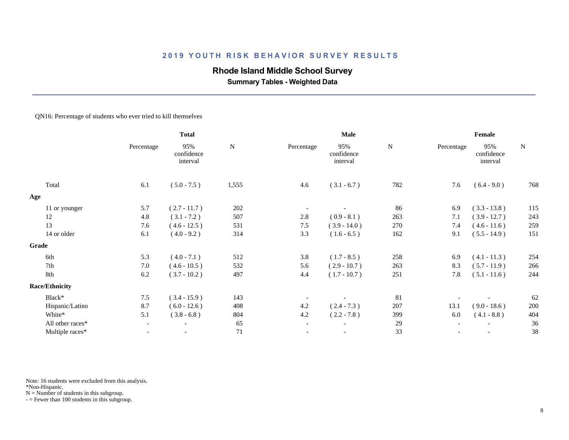### **Rhode Island Middle School Survey**

 **Summary Tables - Weighted Data**

#### QN16: Percentage of students who ever tried to kill themselves

|                       | <b>Total</b>             |                               |           | Male                     |                               | Female    |            |                               |             |
|-----------------------|--------------------------|-------------------------------|-----------|--------------------------|-------------------------------|-----------|------------|-------------------------------|-------------|
|                       | Percentage               | 95%<br>confidence<br>interval | ${\bf N}$ | Percentage               | 95%<br>confidence<br>interval | ${\bf N}$ | Percentage | 95%<br>confidence<br>interval | $\mathbf N$ |
| Total                 | 6.1                      | $(5.0 - 7.5)$                 | 1,555     | 4.6                      | $(3.1 - 6.7)$                 | 782       | 7.6        | $(6.4 - 9.0)$                 | 768         |
| Age                   |                          |                               |           |                          |                               |           |            |                               |             |
| 11 or younger         | 5.7                      | $(2.7 - 11.7)$                | 202       |                          |                               | 86        | 6.9        | $(3.3 - 13.8)$                | 115         |
| 12                    | 4.8                      | $(3.1 - 7.2)$                 | 507       | 2.8                      | $(0.9 - 8.1)$                 | 263       | 7.1        | $(3.9 - 12.7)$                | 243         |
| 13                    | 7.6                      | $(4.6 - 12.5)$                | 531       | 7.5                      | $(3.9 - 14.0)$                | 270       | 7.4        | $(4.6 - 11.6)$                | 259         |
| 14 or older           | 6.1                      | $(4.0 - 9.2)$                 | 314       | 3.3                      | $(1.6 - 6.5)$                 | 162       | 9.1        | $(5.5 - 14.9)$                | 151         |
| Grade                 |                          |                               |           |                          |                               |           |            |                               |             |
| 6th                   | 5.3                      | $(4.0 - 7.1)$                 | 512       | 3.8                      | $(1.7 - 8.5)$                 | 258       | 6.9        | $(4.1 - 11.3)$                | 254         |
| 7th                   | 7.0                      | $(4.6 - 10.5)$                | 532       | 5.6                      | $(2.9 - 10.7)$                | 263       | 8.3        | $(5.7 - 11.9)$                | 266         |
| 8th                   | 6.2                      | $(3.7 - 10.2)$                | 497       | 4.4                      | $(1.7 - 10.7)$                | 251       | 7.8        | $(5.1 - 11.6)$                | 244         |
| <b>Race/Ethnicity</b> |                          |                               |           |                          |                               |           |            |                               |             |
| Black*                | 7.5                      | $(3.4 - 15.9)$                | 143       |                          |                               | 81        |            |                               | 62          |
| Hispanic/Latino       | 8.7                      | $(6.0 - 12.6)$                | 408       | 4.2                      | $(2.4 - 7.3)$                 | 207       | 13.1       | $(9.0 - 18.6)$                | 200         |
| White*                | 5.1                      | $(3.8 - 6.8)$                 | 804       | 4.2                      | $(2.2 - 7.8)$                 | 399       | 6.0        | $(4.1 - 8.8)$                 | 404         |
| All other races*      | $ \,$                    | $\overline{\phantom{a}}$      | 65        | $\overline{\phantom{a}}$ | $\overline{\phantom{a}}$      | 29        |            |                               | 36          |
| Multiple races*       | $\overline{\phantom{a}}$ |                               | 71        | $\overline{\phantom{a}}$ | $\overline{\phantom{a}}$      | 33        |            |                               | 38          |
|                       |                          |                               |           |                          |                               |           |            |                               |             |

Note: 16 students were excluded from this analysis.

\*Non-Hispanic.

 $N =$  Number of students in this subgroup.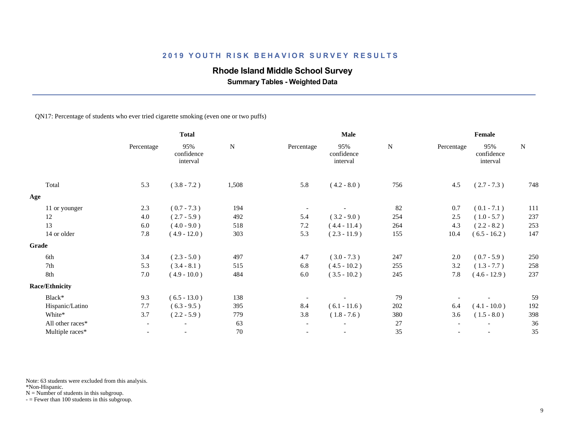# **Rhode Island Middle School Survey**

 **Summary Tables - Weighted Data**

QN17: Percentage of students who ever tried cigarette smoking (even one or two puffs)

|                       | <b>Total</b>             |                               | <b>Male</b> |                          |                               | Female    |            |                               |           |
|-----------------------|--------------------------|-------------------------------|-------------|--------------------------|-------------------------------|-----------|------------|-------------------------------|-----------|
|                       | Percentage               | 95%<br>confidence<br>interval | $\mathbf N$ | Percentage               | 95%<br>confidence<br>interval | ${\bf N}$ | Percentage | 95%<br>confidence<br>interval | ${\bf N}$ |
| Total                 | 5.3                      | $(3.8 - 7.2)$                 | 1,508       | 5.8                      | $(4.2 - 8.0)$                 | 756       | 4.5        | $(2.7 - 7.3)$                 | 748       |
| Age                   |                          |                               |             |                          |                               |           |            |                               |           |
| 11 or younger         | 2.3                      | $(0.7 - 7.3)$                 | 194         |                          |                               | 82        | 0.7        | $(0.1 - 7.1)$                 | 111       |
| 12                    | 4.0                      | $(2.7 - 5.9)$                 | 492         | 5.4                      | $(3.2 - 9.0)$                 | 254       | 2.5        | $(1.0 - 5.7)$                 | 237       |
| 13                    | 6.0                      | $(4.0 - 9.0)$                 | 518         | 7.2                      | $(4.4 - 11.4)$                | 264       | 4.3        | $(2.2 - 8.2)$                 | 253       |
| 14 or older           | 7.8                      | $(4.9 - 12.0)$                | 303         | 5.3                      | $(2.3 - 11.9)$                | 155       | 10.4       | $(6.5 - 16.2)$                | 147       |
| Grade                 |                          |                               |             |                          |                               |           |            |                               |           |
| 6th                   | 3.4                      | $(2.3 - 5.0)$                 | 497         | 4.7                      | $(3.0 - 7.3)$                 | 247       | 2.0        | $(0.7 - 5.9)$                 | 250       |
| 7th                   | 5.3                      | $(3.4 - 8.1)$                 | 515         | 6.8                      | $(4.5 - 10.2)$                | 255       | 3.2        | $(1.3 - 7.7)$                 | 258       |
| 8th                   | 7.0                      | $(4.9 - 10.0)$                | 484         | 6.0                      | $(3.5 - 10.2)$                | 245       | 7.8        | $(4.6 - 12.9)$                | 237       |
| <b>Race/Ethnicity</b> |                          |                               |             |                          |                               |           |            |                               |           |
| Black*                | 9.3                      | $(6.5 - 13.0)$                | 138         |                          |                               | 79        |            |                               | 59        |
| Hispanic/Latino       | 7.7                      | $(6.3 - 9.5)$                 | 395         | 8.4                      | $(6.1 - 11.6)$                | 202       | 6.4        | $(4.1 - 10.0)$                | 192       |
| White*                | 3.7                      | $(2.2 - 5.9)$                 | 779         | 3.8                      | $(1.8 - 7.6)$                 | 380       | 3.6        | $(1.5 - 8.0)$                 | 398       |
| All other races*      | $\overline{\phantom{a}}$ | $\overline{\phantom{a}}$      | 63          | $\overline{\phantom{a}}$ | $\overline{\phantom{a}}$      | 27        |            | $\overline{\phantom{a}}$      | 36        |
| Multiple races*       | $\overline{\phantom{a}}$ |                               | $70\,$      | $\overline{\phantom{a}}$ | $\overline{\phantom{a}}$      | 35        |            | $\overline{\phantom{a}}$      | 35        |
|                       |                          |                               |             |                          |                               |           |            |                               |           |

Note: 63 students were excluded from this analysis.

\*Non-Hispanic.

 $N =$  Number of students in this subgroup.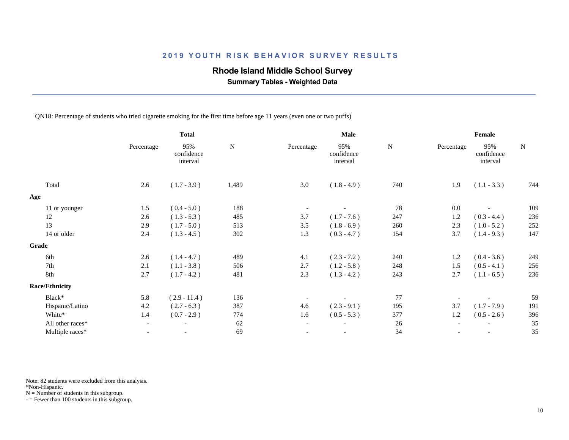### **Rhode Island Middle School Survey**

 **Summary Tables - Weighted Data**

QN18: Percentage of students who tried cigarette smoking for the first time before age 11 years (even one or two puffs)

|                       | <b>Total</b> |                               |           | Male                     |                               | Female    |            |                               |           |
|-----------------------|--------------|-------------------------------|-----------|--------------------------|-------------------------------|-----------|------------|-------------------------------|-----------|
|                       | Percentage   | 95%<br>confidence<br>interval | ${\bf N}$ | Percentage               | 95%<br>confidence<br>interval | ${\bf N}$ | Percentage | 95%<br>confidence<br>interval | ${\bf N}$ |
| Total                 | 2.6          | $(1.7 - 3.9)$                 | 1,489     | 3.0                      | $(1.8 - 4.9)$                 | 740       | 1.9        | $(1.1 - 3.3)$                 | 744       |
| Age                   |              |                               |           |                          |                               |           |            |                               |           |
| 11 or younger         | 1.5          | $(0.4 - 5.0)$                 | 188       |                          |                               | 78        | 0.0        |                               | 109       |
| 12                    | 2.6          | $(1.3 - 5.3)$                 | 485       | 3.7                      | $(1.7 - 7.6)$                 | 247       | 1.2        | $(0.3 - 4.4)$                 | 236       |
| 13                    | 2.9          | $(1.7 - 5.0)$                 | 513       | 3.5                      | $(1.8 - 6.9)$                 | 260       | 2.3        | $(1.0 - 5.2)$                 | 252       |
| 14 or older           | 2.4          | $(1.3 - 4.5)$                 | 302       | 1.3                      | $(0.3 - 4.7)$                 | 154       | 3.7        | $(1.4 - 9.3)$                 | 147       |
| Grade                 |              |                               |           |                          |                               |           |            |                               |           |
| 6th                   | 2.6          | $(1.4 - 4.7)$                 | 489       | 4.1                      | $(2.3 - 7.2)$                 | 240       | 1.2        | $(0.4 - 3.6)$                 | 249       |
| 7th                   | 2.1          | $(1.1 - 3.8)$                 | 506       | 2.7                      | $(1.2 - 5.8)$                 | 248       | 1.5        | $(0.5 - 4.1)$                 | 256       |
| 8th                   | 2.7          | $(1.7 - 4.2)$                 | 481       | 2.3                      | $(1.3 - 4.2)$                 | 243       | 2.7        | $(1.1 - 6.5)$                 | 236       |
| <b>Race/Ethnicity</b> |              |                               |           |                          |                               |           |            |                               |           |
| Black*                | 5.8          | $(2.9 - 11.4)$                | 136       |                          |                               | 77        |            |                               | 59        |
| Hispanic/Latino       | 4.2          | $(2.7 - 6.3)$                 | 387       | 4.6                      | $(2.3 - 9.1)$                 | 195       | 3.7        | $(1.7 - 7.9)$                 | 191       |
| White*                | 1.4          | $(0.7 - 2.9)$                 | 774       | 1.6                      | $(0.5 - 5.3)$                 | 377       | 1.2        | $(0.5 - 2.6)$                 | 396       |
| All other races*      | $ \,$        | $\overline{\phantom{a}}$      | 62        | $\overline{\phantom{a}}$ | $\overline{\phantom{a}}$      | 26        |            | $\overline{\phantom{a}}$      | 35        |
| Multiple races*       |              |                               | 69        | $\overline{\phantom{a}}$ | $\overline{\phantom{a}}$      | 34        |            | $\overline{a}$                | 35        |
|                       |              |                               |           |                          |                               |           |            |                               |           |

Note: 82 students were excluded from this analysis.

\*Non-Hispanic.

 $N =$  Number of students in this subgroup.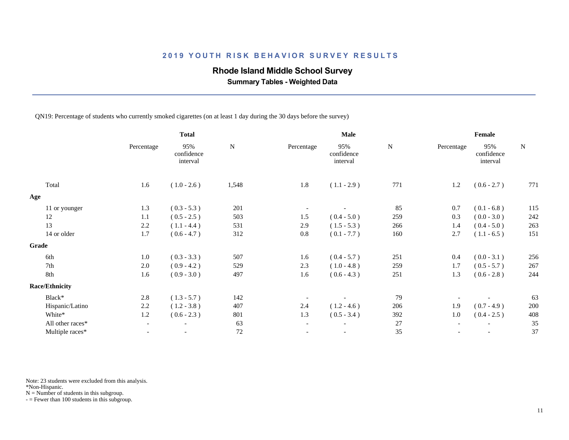### **Rhode Island Middle School Survey**

 **Summary Tables - Weighted Data**

QN19: Percentage of students who currently smoked cigarettes (on at least 1 day during the 30 days before the survey)

|            | <b>Total</b>                  |             |                          | Male                          |               |            | Female                        |               |
|------------|-------------------------------|-------------|--------------------------|-------------------------------|---------------|------------|-------------------------------|---------------|
| Percentage | 95%<br>confidence<br>interval | $\mathbf N$ | Percentage               | 95%<br>confidence<br>interval | ${\bf N}$     | Percentage | 95%<br>confidence<br>interval | $\mathbf N$   |
| 1.6        | $(1.0 - 2.6)$                 | 1,548       | 1.8                      | $(1.1 - 2.9)$                 | 771           | 1.2        | $(0.6 - 2.7)$                 | 771           |
|            |                               |             |                          |                               |               |            |                               |               |
| 1.3        | $(0.3 - 5.3)$                 | 201         |                          |                               | 85            | 0.7        | $(0.1 - 6.8)$                 | 115           |
| 1.1        | $(0.5 - 2.5)$                 | 503         | 1.5                      | $(0.4 - 5.0)$                 | 259           | 0.3        | $(0.0 - 3.0)$                 | 242           |
| 2.2        | $(1.1 - 4.4)$                 | 531         | 2.9                      | $(1.5 - 5.3)$                 | 266           | 1.4        | $(0.4 - 5.0)$                 | 263           |
| 1.7        | $(0.6 - 4.7)$                 | 312         | $0.8\,$                  | $(0.1 - 7.7)$                 | 160           | 2.7        | $(1.1 - 6.5)$                 | 151           |
|            |                               |             |                          |                               |               |            |                               |               |
| 1.0        | $(0.3 - 3.3)$                 | 507         | 1.6                      |                               | 251           | 0.4        |                               | 256           |
| 2.0        | $(0.9 - 4.2)$                 | 529         | 2.3                      | $(1.0 - 4.8)$                 | 259           | 1.7        | $(0.5 - 5.7)$                 | 267           |
| 1.6        | $(0.9 - 3.0)$                 | 497         | 1.6                      | $(0.6 - 4.3)$                 | 251           | 1.3        | $(0.6 - 2.8)$                 | 244           |
|            |                               |             |                          |                               |               |            |                               |               |
| 2.8        | $(1.3 - 5.7)$                 | 142         |                          |                               | 79            |            |                               | 63            |
| 2.2        | $(1.2 - 3.8)$                 | 407         | 2.4                      | $(1.2 - 4.6)$                 | 206           | 1.9        | $(0.7 - 4.9)$                 | 200           |
| 1.2        | $(0.6 - 2.3)$                 | 801         | 1.3                      | $(0.5 - 3.4)$                 | 392           | 1.0        | $(0.4 - 2.5)$                 | 408           |
|            | $\overline{\phantom{a}}$      | 63          | $\overline{\phantom{a}}$ |                               | $27\,$        |            |                               | 35            |
|            | $\overline{\phantom{a}}$      | 72          |                          |                               | 35            |            | $\overline{\phantom{a}}$      | 37            |
|            |                               |             |                          |                               | $(0.4 - 5.7)$ |            |                               | $(0.0 - 3.1)$ |

Note: 23 students were excluded from this analysis.

\*Non-Hispanic.

 $N =$  Number of students in this subgroup.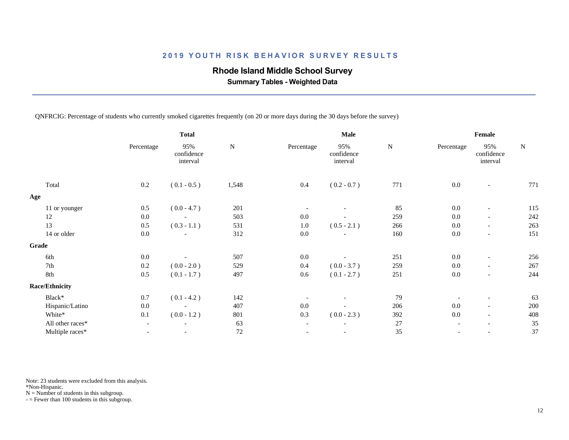### **Rhode Island Middle School Survey**

 **Summary Tables - Weighted Data**

QNFRCIG: Percentage of students who currently smoked cigarettes frequently (on 20 or more days during the 30 days before the survey)

|                       | <b>Total</b>             |                               |           | Male                     |                               | Female    |            |                               |           |
|-----------------------|--------------------------|-------------------------------|-----------|--------------------------|-------------------------------|-----------|------------|-------------------------------|-----------|
|                       | Percentage               | 95%<br>confidence<br>interval | ${\bf N}$ | Percentage               | 95%<br>confidence<br>interval | ${\bf N}$ | Percentage | 95%<br>confidence<br>interval | ${\bf N}$ |
| Total                 | 0.2                      | $(0.1 - 0.5)$                 | 1,548     | $0.4\,$                  | $(0.2 - 0.7)$                 | 771       | 0.0        | $\overline{\phantom{a}}$      | 771       |
| Age                   |                          |                               |           |                          |                               |           |            |                               |           |
| 11 or younger         | 0.5                      | $(0.0 - 4.7)$                 | 201       |                          |                               | 85        | 0.0        | $\overline{\phantom{a}}$      | 115       |
| 12                    | $0.0\,$                  | $\overline{\phantom{a}}$      | 503       | $0.0\,$                  |                               | 259       | 0.0        | $\overline{\phantom{a}}$      | 242       |
| 13                    | 0.5                      | $(0.3 - 1.1)$                 | 531       | 1.0                      | $(0.5 - 2.1)$                 | 266       | 0.0        | $\overline{\phantom{a}}$      | 263       |
| 14 or older           | 0.0                      | $\overline{\phantom{a}}$      | 312       | 0.0                      |                               | 160       | 0.0        | $\overline{\phantom{a}}$      | 151       |
| Grade                 |                          |                               |           |                          |                               |           |            |                               |           |
| 6th                   | $0.0\,$                  | $\overline{\phantom{a}}$      | 507       | $0.0\,$                  |                               | 251       | 0.0        | $\overline{\phantom{a}}$      | 256       |
| 7th                   | 0.2                      | $(0.0 - 2.0)$                 | 529       | 0.4                      | $(0.0 - 3.7)$                 | 259       | 0.0        | $\overline{\phantom{a}}$      | 267       |
| 8th                   | 0.5                      | $(0.1 - 1.7)$                 | 497       | 0.6                      | $(0.1 - 2.7)$                 | 251       | 0.0        | $\overline{\phantom{a}}$      | 244       |
| <b>Race/Ethnicity</b> |                          |                               |           |                          |                               |           |            |                               |           |
| Black*                | 0.7                      | $(0.1 - 4.2)$                 | 142       |                          |                               | 79        |            | $\overline{\phantom{a}}$      | 63        |
| Hispanic/Latino       | 0.0                      | $\overline{\phantom{a}}$      | 407       | $0.0\,$                  |                               | 206       | $0.0\,$    | $\overline{\phantom{a}}$      | 200       |
| White*                | 0.1                      | $(0.0 - 1.2)$                 | 801       | 0.3                      | $(0.0 - 2.3)$                 | 392       | 0.0        | $\overline{\phantom{a}}$      | 408       |
| All other races*      | $\overline{\phantom{a}}$ | $\overline{\phantom{a}}$      | 63        | $\overline{\phantom{a}}$ |                               | 27        |            | $\overline{\phantom{a}}$      | 35        |
| Multiple races*       |                          | $\overline{\phantom{a}}$      | $72\,$    |                          |                               | 35        |            |                               | 37        |

Note: 23 students were excluded from this analysis.

\*Non-Hispanic.

 $N =$  Number of students in this subgroup.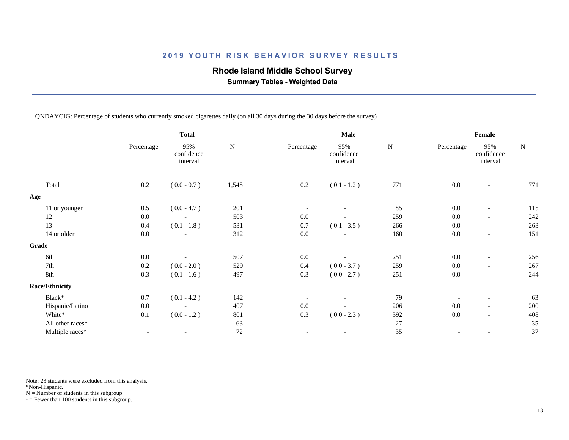### **Rhode Island Middle School Survey**

 **Summary Tables - Weighted Data**

QNDAYCIG: Percentage of students who currently smoked cigarettes daily (on all 30 days during the 30 days before the survey)

|                       |                          | <b>Total</b>                  |           |                          | Male                          | Female    |            |                               |           |
|-----------------------|--------------------------|-------------------------------|-----------|--------------------------|-------------------------------|-----------|------------|-------------------------------|-----------|
|                       | Percentage               | 95%<br>confidence<br>interval | ${\bf N}$ | Percentage               | 95%<br>confidence<br>interval | ${\bf N}$ | Percentage | 95%<br>confidence<br>interval | ${\bf N}$ |
| Total                 | 0.2                      | $(0.0 - 0.7)$                 | 1,548     | $0.2\,$                  | $(0.1 - 1.2)$                 | 771       | 0.0        | $\overline{\phantom{a}}$      | 771       |
| Age                   |                          |                               |           |                          |                               |           |            |                               |           |
| 11 or younger         | 0.5                      | $(0.0 - 4.7)$                 | 201       |                          |                               | 85        | 0.0        | $\overline{\phantom{a}}$      | 115       |
| 12                    | 0.0                      | $\overline{\phantom{a}}$      | 503       | 0.0                      |                               | 259       | 0.0        | $\overline{\phantom{a}}$      | 242       |
| 13                    | 0.4                      | $(0.1 - 1.8)$                 | 531       | 0.7                      | $(0.1 - 3.5)$                 | 266       | 0.0        | $\overline{\phantom{a}}$      | 263       |
| 14 or older           | 0.0                      | $\overline{\phantom{a}}$      | 312       | 0.0                      |                               | 160       | 0.0        | $\overline{\phantom{a}}$      | 151       |
| Grade                 |                          |                               |           |                          |                               |           |            |                               |           |
| 6th                   | 0.0                      | $\overline{\phantom{a}}$      | 507       | $0.0\,$                  |                               | 251       | 0.0        | $\overline{\phantom{a}}$      | 256       |
| 7th                   | 0.2                      | $(0.0 - 2.0)$                 | 529       | 0.4                      | $(0.0 - 3.7)$                 | 259       | 0.0        | $\overline{\phantom{a}}$      | 267       |
| 8th                   | 0.3                      | $(0.1 - 1.6)$                 | 497       | 0.3                      | $(0.0 - 2.7)$                 | 251       | 0.0        | $\overline{\phantom{a}}$      | 244       |
| <b>Race/Ethnicity</b> |                          |                               |           |                          |                               |           |            |                               |           |
| Black*                | 0.7                      | $(0.1 - 4.2)$                 | 142       |                          |                               | 79        |            | $\overline{\phantom{a}}$      | 63        |
| Hispanic/Latino       | 0.0                      | $\overline{\phantom{a}}$      | 407       | $0.0\,$                  |                               | 206       | 0.0        | $\overline{\phantom{a}}$      | 200       |
| White*                | 0.1                      | $(0.0 - 1.2)$                 | 801       | 0.3                      | $(0.0 - 2.3)$                 | 392       | 0.0        | $\overline{\phantom{a}}$      | 408       |
| All other races*      | $\overline{\phantom{a}}$ | $\overline{\phantom{a}}$      | 63        | $\overline{\phantom{a}}$ | $\overline{\phantom{a}}$      | 27        |            | $\overline{\phantom{a}}$      | 35        |
| Multiple races*       | $\overline{\phantom{a}}$ | $\overline{\phantom{a}}$      | $72\,$    |                          | $-$                           | 35        |            | $\overline{\phantom{a}}$      | 37        |

Note: 23 students were excluded from this analysis.

\*Non-Hispanic.

 $N =$  Number of students in this subgroup.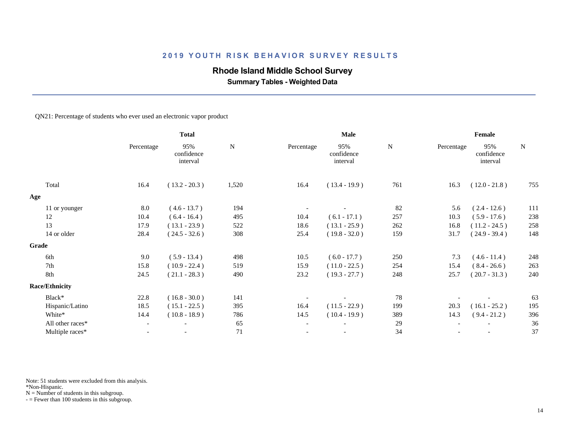# **Rhode Island Middle School Survey**

 **Summary Tables - Weighted Data**

#### QN21: Percentage of students who ever used an electronic vapor product

|                       | <b>Total</b>             |                               |           |                          | Male                          |           |            | Female                        |             |  |  |
|-----------------------|--------------------------|-------------------------------|-----------|--------------------------|-------------------------------|-----------|------------|-------------------------------|-------------|--|--|
|                       | Percentage               | 95%<br>confidence<br>interval | ${\bf N}$ | Percentage               | 95%<br>confidence<br>interval | ${\bf N}$ | Percentage | 95%<br>confidence<br>interval | $\mathbf N$ |  |  |
| Total                 | 16.4                     | $(13.2 - 20.3)$               | 1,520     | 16.4                     | $(13.4 - 19.9)$               | 761       | 16.3       | $(12.0 - 21.8)$               | 755         |  |  |
| Age                   |                          |                               |           |                          |                               |           |            |                               |             |  |  |
| 11 or younger         | 8.0                      | $(4.6 - 13.7)$                | 194       |                          |                               | 82        | 5.6        | $(2.4 - 12.6)$                | 111         |  |  |
| 12                    | 10.4                     | $(6.4 - 16.4)$                | 495       | 10.4                     | $(6.1 - 17.1)$                | 257       | 10.3       | $(5.9 - 17.6)$                | 238         |  |  |
| 13                    | 17.9                     | $(13.1 - 23.9)$               | 522       | 18.6                     | $(13.1 - 25.9)$               | 262       | 16.8       | $(11.2 - 24.5)$               | 258         |  |  |
| 14 or older           | 28.4                     | $(24.5 - 32.6)$               | 308       | 25.4                     | $(19.8 - 32.0)$               | 159       | 31.7       | $(24.9 - 39.4)$               | 148         |  |  |
| <b>Grade</b>          |                          |                               |           |                          |                               |           |            |                               |             |  |  |
| 6th                   | 9.0                      | $(5.9 - 13.4)$                | 498       | 10.5                     | $(6.0 - 17.7)$                | 250       | 7.3        | $(4.6 - 11.4)$                | 248         |  |  |
| 7th                   | 15.8                     | $(10.9 - 22.4)$               | 519       | 15.9                     | $(11.0 - 22.5)$               | 254       | 15.4       | $(8.4 - 26.6)$                | 263         |  |  |
| 8th                   | 24.5                     | $(21.1 - 28.3)$               | 490       | 23.2                     | $(19.3 - 27.7)$               | 248       | 25.7       | $(20.7 - 31.3)$               | 240         |  |  |
| <b>Race/Ethnicity</b> |                          |                               |           |                          |                               |           |            |                               |             |  |  |
| Black*                | 22.8                     | $(16.8 - 30.0)$               | 141       |                          |                               | 78        |            |                               | 63          |  |  |
| Hispanic/Latino       | 18.5                     | $(15.1 - 22.5)$               | 395       | 16.4                     | $(11.5 - 22.9)$               | 199       | 20.3       | $(16.1 - 25.2)$               | 195         |  |  |
| White*                | 14.4                     | $(10.8 - 18.9)$               | 786       | 14.5                     | $(10.4 - 19.9)$               | 389       | 14.3       | $(9.4 - 21.2)$                | 396         |  |  |
| All other races*      | $-$                      | $-$                           | 65        | $\blacksquare$           | $\overline{\phantom{a}}$      | 29        |            |                               | 36          |  |  |
| Multiple races*       | $\overline{\phantom{a}}$ | $\overline{\phantom{a}}$      | 71        | $\overline{\phantom{a}}$ | $\overline{\phantom{a}}$      | 34        |            |                               | 37          |  |  |
|                       |                          |                               |           |                          |                               |           |            |                               |             |  |  |

Note: 51 students were excluded from this analysis.

\*Non-Hispanic.

 $N =$  Number of students in this subgroup.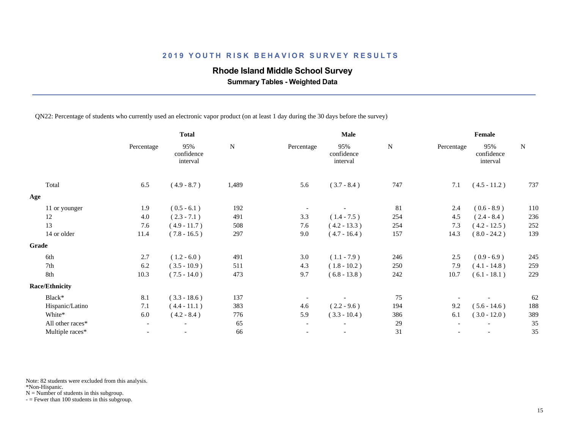### **Rhode Island Middle School Survey**

 **Summary Tables - Weighted Data**

QN22: Percentage of students who currently used an electronic vapor product (on at least 1 day during the 30 days before the survey)

|                          | <b>Total</b>                  |             |                          | Male                          |           |            | Female                        |           |  |
|--------------------------|-------------------------------|-------------|--------------------------|-------------------------------|-----------|------------|-------------------------------|-----------|--|
| Percentage               | 95%<br>confidence<br>interval | $\mathbf N$ | Percentage               | 95%<br>confidence<br>interval | ${\bf N}$ | Percentage | 95%<br>confidence<br>interval | ${\bf N}$ |  |
| 6.5                      | $(4.9 - 8.7)$                 | 1,489       | 5.6                      | $(3.7 - 8.4)$                 | 747       | 7.1        | $(4.5 - 11.2)$                | 737       |  |
|                          |                               |             |                          |                               |           |            |                               |           |  |
| 1.9                      | $(0.5 - 6.1)$                 | 192         |                          |                               | 81        | 2.4        | $(0.6 - 8.9)$                 | 110       |  |
| 4.0                      | $(2.3 - 7.1)$                 | 491         | 3.3                      | $(1.4 - 7.5)$                 | 254       | 4.5        | $(2.4 - 8.4)$                 | 236       |  |
| 7.6                      | $(4.9 - 11.7)$                | 508         | 7.6                      | $(4.2 - 13.3)$                | 254       | 7.3        | $(4.2 - 12.5)$                | 252       |  |
| 11.4                     | $(7.8 - 16.5)$                | 297         | 9.0                      | $(4.7 - 16.4)$                | 157       | 14.3       | $(8.0 - 24.2)$                | 139       |  |
|                          |                               |             |                          |                               |           |            |                               |           |  |
| 2.7                      | $(1.2 - 6.0)$                 | 491         | 3.0                      | $(1.1 - 7.9)$                 | 246       | 2.5        | $(0.9 - 6.9)$                 | 245       |  |
| 6.2                      | $(3.5 - 10.9)$                | 511         | 4.3                      | $(1.8 - 10.2)$                | 250       | 7.9        | $(4.1 - 14.8)$                | 259       |  |
| 10.3                     | $(7.5 - 14.0)$                | 473         | 9.7                      | $(6.8 - 13.8)$                | 242       | 10.7       | $(6.1 - 18.1)$                | 229       |  |
|                          |                               |             |                          |                               |           |            |                               |           |  |
| 8.1                      | $(3.3 - 18.6)$                | 137         |                          |                               | 75        |            |                               | 62        |  |
| 7.1                      | $(4.4 - 11.1)$                | 383         | 4.6                      | $(2.2 - 9.6)$                 | 194       | 9.2        | $(5.6 - 14.6)$                | 188       |  |
| 6.0                      | $(4.2 - 8.4)$                 | 776         | 5.9                      | $(3.3 - 10.4)$                | 386       | 6.1        | $(3.0 - 12.0)$                | 389       |  |
| $\overline{\phantom{a}}$ | $\overline{\phantom{a}}$      | 65          | $\overline{\phantom{a}}$ | $\overline{\phantom{a}}$      | 29        |            |                               | 35        |  |
|                          |                               | 66          |                          | $\overline{\phantom{a}}$      | 31        |            |                               | 35        |  |
|                          |                               |             |                          |                               |           |            |                               |           |  |

Note: 82 students were excluded from this analysis.

\*Non-Hispanic.

 $N =$  Number of students in this subgroup.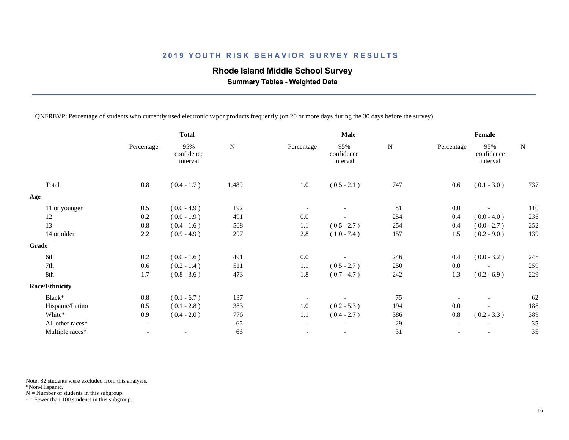## **Rhode Island Middle School Survey**

 **Summary Tables - Weighted Data**

QNFREVP: Percentage of students who currently used electronic vapor products frequently (on 20 or more days during the 30 days before the survey)

|                       |            | <b>Total</b>                  |             |                          | Male                          |             | Female     |                               |           |  |
|-----------------------|------------|-------------------------------|-------------|--------------------------|-------------------------------|-------------|------------|-------------------------------|-----------|--|
|                       | Percentage | 95%<br>confidence<br>interval | $\mathbf N$ | Percentage               | 95%<br>confidence<br>interval | $\mathbf N$ | Percentage | 95%<br>confidence<br>interval | ${\bf N}$ |  |
| Total                 | 0.8        | $(0.4 - 1.7)$                 | 1,489       | $1.0\,$                  | $(0.5 - 2.1)$                 | 747         | 0.6        | $(0.1 - 3.0)$                 | 737       |  |
| Age                   |            |                               |             |                          |                               |             |            |                               |           |  |
| 11 or younger         | 0.5        | $(0.0 - 4.9)$                 | 192         |                          |                               | 81          | 0.0        |                               | 110       |  |
| 12                    | 0.2        | $(0.0 - 1.9)$                 | 491         | 0.0                      |                               | 254         | 0.4        | $(0.0 - 4.0)$                 | 236       |  |
| 13                    | 0.8        | $(0.4 - 1.6)$                 | 508         | 1.1                      | $(0.5 - 2.7)$                 | 254         | 0.4        | $(0.0 - 2.7)$                 | 252       |  |
| 14 or older           | 2.2        | $(0.9 - 4.9)$                 | 297         | 2.8                      | $(1.0 - 7.4)$                 | 157         | 1.5        | $(0.2 - 9.0)$                 | 139       |  |
| Grade                 |            |                               |             |                          |                               |             |            |                               |           |  |
| 6th                   | 0.2        | $(0.0 - 1.6)$                 | 491         | 0.0                      |                               | 246         | 0.4        | $(0.0 - 3.2)$                 | 245       |  |
| 7th                   | 0.6        | $(0.2 - 1.4)$                 | 511         | 1.1                      | $(0.5 - 2.7)$                 | 250         | 0.0        |                               | 259       |  |
| 8th                   | 1.7        | $(0.8 - 3.6)$                 | 473         | 1.8                      | $(0.7 - 4.7)$                 | 242         | 1.3        | $(0.2 - 6.9)$                 | 229       |  |
| <b>Race/Ethnicity</b> |            |                               |             |                          |                               |             |            |                               |           |  |
| Black*                | $0.8\,$    | $(0.1 - 6.7)$                 | 137         |                          |                               | 75          |            |                               | 62        |  |
| Hispanic/Latino       | 0.5        | $(0.1 - 2.8)$                 | 383         | 1.0                      | $(0.2 - 5.3)$                 | 194         | 0.0        |                               | 188       |  |
| White*                | 0.9        | $(0.4 - 2.0)$                 | 776         | 1.1                      | $(0.4 - 2.7)$                 | 386         | $0.8\,$    | $(0.2 - 3.3)$                 | 389       |  |
| All other races*      |            | $\overline{\phantom{a}}$      | 65          | $\overline{\phantom{a}}$ |                               | 29          |            |                               | 35        |  |
| Multiple races*       |            |                               | 66          |                          |                               | $31\,$      |            |                               | 35        |  |
|                       |            |                               |             |                          |                               |             |            |                               |           |  |

Note: 82 students were excluded from this analysis.

\*Non-Hispanic.

 $N =$  Number of students in this subgroup.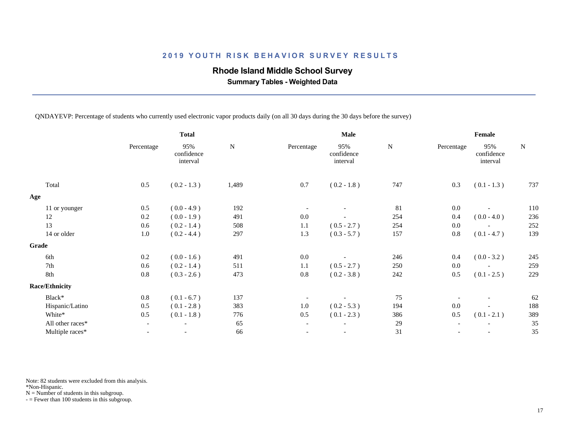### **Rhode Island Middle School Survey**

 **Summary Tables - Weighted Data**

QNDAYEVP: Percentage of students who currently used electronic vapor products daily (on all 30 days during the 30 days before the survey)

|                       | <b>Total</b>             |                               |             |                          | Male                          |           |            | Female                        |           |  |
|-----------------------|--------------------------|-------------------------------|-------------|--------------------------|-------------------------------|-----------|------------|-------------------------------|-----------|--|
|                       | Percentage               | 95%<br>confidence<br>interval | $\mathbf N$ | Percentage               | 95%<br>confidence<br>interval | ${\bf N}$ | Percentage | 95%<br>confidence<br>interval | ${\bf N}$ |  |
| Total                 | 0.5                      | $(0.2 - 1.3)$                 | 1,489       | 0.7                      | $(0.2 - 1.8)$                 | 747       | 0.3        | $(0.1 - 1.3)$                 | 737       |  |
| Age                   |                          |                               |             |                          |                               |           |            |                               |           |  |
| 11 or younger         | 0.5                      | $(0.0 - 4.9)$                 | 192         |                          |                               | 81        | 0.0        |                               | 110       |  |
| 12                    | 0.2                      | $(0.0 - 1.9)$                 | 491         | $0.0\,$                  |                               | 254       | 0.4        | $(0.0 - 4.0)$                 | 236       |  |
| 13                    | 0.6                      | $(0.2 - 1.4)$                 | 508         | 1.1                      | $(0.5 - 2.7)$                 | 254       | 0.0        |                               | 252       |  |
| 14 or older           | 1.0                      | $(0.2 - 4.4)$                 | 297         | 1.3                      | $(0.3 - 5.7)$                 | 157       | $0.8\,$    | $(0.1 - 4.7)$                 | 139       |  |
| Grade                 |                          |                               |             |                          |                               |           |            |                               |           |  |
| 6th                   | 0.2                      | $(0.0 - 1.6)$                 | 491         | 0.0                      |                               | 246       | 0.4        | $(0.0 - 3.2)$                 | 245       |  |
| 7th                   | 0.6                      | $(0.2 - 1.4)$                 | 511         | 1.1                      | $(0.5 - 2.7)$                 | 250       | 0.0        |                               | 259       |  |
| 8th                   | 0.8                      | $(0.3 - 2.6)$                 | 473         | 0.8                      | $(0.2 - 3.8)$                 | 242       | 0.5        | $(0.1 - 2.5)$                 | 229       |  |
| <b>Race/Ethnicity</b> |                          |                               |             |                          |                               |           |            |                               |           |  |
| Black*                | 0.8                      | $(0.1 - 6.7)$                 | 137         |                          |                               | 75        |            | $\overline{\phantom{a}}$      | 62        |  |
| Hispanic/Latino       | 0.5                      | $(0.1 - 2.8)$                 | 383         | 1.0                      | $(0.2 - 5.3)$                 | 194       | 0.0        |                               | 188       |  |
| White*                | 0.5                      | $(0.1 - 1.8)$                 | 776         | 0.5                      | $(0.1 - 2.3)$                 | 386       | 0.5        | $(0.1 - 2.1)$                 | 389       |  |
| All other races*      | $\overline{\phantom{a}}$ | $\overline{\phantom{a}}$      | 65          | $\overline{\phantom{a}}$ | $\overline{\phantom{a}}$      | 29        |            |                               | 35        |  |
| Multiple races*       |                          | $\overline{\phantom{a}}$      | 66          |                          | $\overline{\phantom{a}}$      | 31        |            |                               | 35        |  |
|                       |                          |                               |             |                          |                               |           |            |                               |           |  |

Note: 82 students were excluded from this analysis.

\*Non-Hispanic.

 $N =$  Number of students in this subgroup.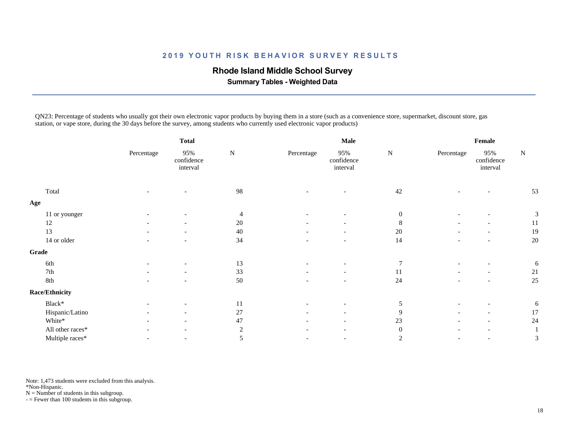### **Rhode Island Middle School Survey**

 **Summary Tables - Weighted Data**

QN23: Percentage of students who usually got their own electronic vapor products by buying them in a store (such as a convenience store, supermarket, discount store, gas station, or vape store, during the 30 days before the survey, among students who currently used electronic vapor products)

|                       |            | <b>Total</b>                  |                |                          | Male                          | Female           |                          |                               |    |
|-----------------------|------------|-------------------------------|----------------|--------------------------|-------------------------------|------------------|--------------------------|-------------------------------|----|
|                       | Percentage | 95%<br>confidence<br>interval | ${\bf N}$      | Percentage               | 95%<br>confidence<br>interval | ${\bf N}$        | Percentage               | 95%<br>confidence<br>interval | N  |
| Total                 |            |                               | 98             |                          |                               | 42               |                          |                               | 53 |
| Age                   |            |                               |                |                          |                               |                  |                          |                               |    |
| 11 or younger         |            | $\overline{\phantom{a}}$      | 4              |                          | $\overline{\phantom{a}}$      | $\boldsymbol{0}$ |                          | $\overline{\phantom{a}}$      | 3  |
| 12                    |            |                               | $20\,$         |                          |                               | $\,8$            |                          |                               | 11 |
| 13                    |            | $\overline{\phantom{a}}$      | 40             |                          | $\overline{\phantom{a}}$      | $20\,$           |                          | $\overline{\phantom{a}}$      | 19 |
| 14 or older           |            | $\overline{\phantom{a}}$      | 34             |                          | $\overline{\phantom{a}}$      | 14               |                          | $\overline{\phantom{a}}$      | 20 |
| Grade                 |            |                               |                |                          |                               |                  |                          |                               |    |
| 6th                   |            |                               | 13             |                          |                               | $7\phantom{.0}$  |                          |                               | 6  |
| $7\mathrm{th}$        |            | $\overline{\phantom{a}}$      | 33             |                          | $\overline{\phantom{a}}$      | 11               |                          | $\overline{\phantom{a}}$      | 21 |
| 8th                   |            | $\overline{\phantom{a}}$      | 50             | $\overline{\phantom{a}}$ | $\overline{\phantom{a}}$      | $24\,$           |                          | $\overline{\phantom{a}}$      | 25 |
| <b>Race/Ethnicity</b> |            |                               |                |                          |                               |                  |                          |                               |    |
| Black*                |            | $\overline{\phantom{a}}$      | <sup>11</sup>  |                          | $\overline{\phantom{a}}$      | $\mathfrak{S}$   |                          | $\overline{\phantom{0}}$      | 6  |
| Hispanic/Latino       |            | $\overline{\phantom{a}}$      | $27\,$         |                          | $\overline{\phantom{a}}$      | $\overline{9}$   |                          | $\overline{\phantom{a}}$      | 17 |
| White*                |            |                               | 47             |                          |                               | $23\,$           |                          |                               | 24 |
| All other races*      |            | $\overline{\phantom{a}}$      | $\overline{c}$ |                          | $\overline{\phantom{a}}$      | $\mathbf{0}$     |                          | $\overline{\phantom{a}}$      |    |
| Multiple races*       |            | $\overline{\phantom{a}}$      | 5              | $\overline{\phantom{a}}$ | $\overline{\phantom{a}}$      | 2                | $\overline{\phantom{a}}$ | $\overline{\phantom{a}}$      | 3  |

Note: 1,473 students were excluded from this analysis.

\*Non-Hispanic.

 $N =$  Number of students in this subgroup.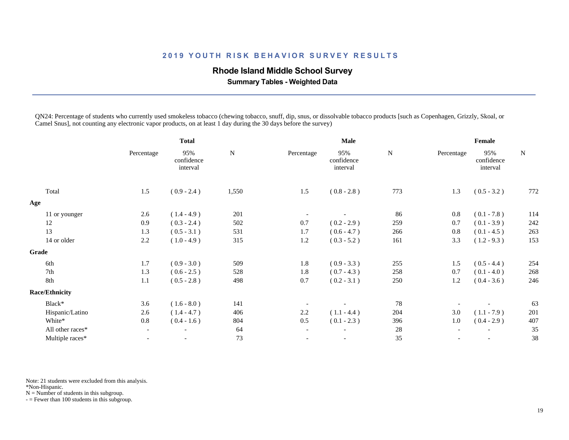### **Rhode Island Middle School Survey**

 **Summary Tables - Weighted Data**

QN24: Percentage of students who currently used smokeless tobacco (chewing tobacco, snuff, dip, snus, or dissolvable tobacco products [such as Copenhagen, Grizzly, Skoal, or Camel Snus], not counting any electronic vapor products, on at least 1 day during the 30 days before the survey)

|                       |                          | <b>Total</b>                  |             |                          | Male                          |     |            | Female                        |             |
|-----------------------|--------------------------|-------------------------------|-------------|--------------------------|-------------------------------|-----|------------|-------------------------------|-------------|
|                       | Percentage               | 95%<br>confidence<br>interval | $\mathbf N$ | Percentage               | 95%<br>confidence<br>interval | N   | Percentage | 95%<br>confidence<br>interval | $\mathbf N$ |
| Total                 | 1.5                      | $(0.9 - 2.4)$                 | 1,550       | 1.5                      | $(0.8 - 2.8)$                 | 773 | 1.3        | $(0.5 - 3.2)$                 | 772         |
| Age                   |                          |                               |             |                          |                               |     |            |                               |             |
| 11 or younger         | 2.6                      | $(1.4 - 4.9)$                 | 201         |                          |                               | 86  | 0.8        | $(0.1 - 7.8)$                 | 114         |
| 12                    | 0.9                      | $(0.3 - 2.4)$                 | 502         | 0.7                      | $(0.2 - 2.9)$                 | 259 | 0.7        | $(0.1 - 3.9)$                 | 242         |
| 13                    | 1.3                      | $(0.5 - 3.1)$                 | 531         | 1.7                      | $(0.6 - 4.7)$                 | 266 | 0.8        | $(0.1 - 4.5)$                 | 263         |
| 14 or older           | 2.2                      | $(1.0 - 4.9)$                 | 315         | 1.2                      | $(0.3 - 5.2)$                 | 161 | 3.3        | $(1.2 - 9.3)$                 | 153         |
| Grade                 |                          |                               |             |                          |                               |     |            |                               |             |
| 6th                   | 1.7                      | $(0.9 - 3.0)$                 | 509         | 1.8                      | $(0.9 - 3.3)$                 | 255 | 1.5        | $(0.5 - 4.4)$                 | 254         |
| 7th                   | 1.3                      | $(0.6 - 2.5)$                 | 528         | 1.8                      | $(0.7 - 4.3)$                 | 258 | 0.7        | $(0.1 - 4.0)$                 | 268         |
| 8th                   | 1.1                      | $(0.5 - 2.8)$                 | 498         | 0.7                      | $(0.2 - 3.1)$                 | 250 | 1.2        | $(0.4 - 3.6)$                 | 246         |
| <b>Race/Ethnicity</b> |                          |                               |             |                          |                               |     |            |                               |             |
| Black*                | 3.6                      | $(1.6 - 8.0)$                 | 141         |                          |                               | 78  |            |                               | 63          |
| Hispanic/Latino       | 2.6                      | $(1.4 - 4.7)$                 | 406         | 2.2                      | $(1.1 - 4.4)$                 | 204 | 3.0        | $(1.1 - 7.9)$                 | 201         |
| White*                | 0.8                      | $(0.4 - 1.6)$                 | 804         | 0.5                      | $(0.1 - 2.3)$                 | 396 | 1.0        | $(0.4 - 2.9)$                 | 407         |
| All other races*      | $\overline{\phantom{a}}$ | $\overline{\phantom{a}}$      | 64          | $\overline{\phantom{a}}$ | $\overline{\phantom{a}}$      | 28  |            |                               | 35          |
| Multiple races*       |                          |                               | 73          |                          |                               | 35  |            |                               | 38          |
|                       |                          |                               |             |                          |                               |     |            |                               |             |

Note: 21 students were excluded from this analysis.

\*Non-Hispanic.

 $N =$  Number of students in this subgroup.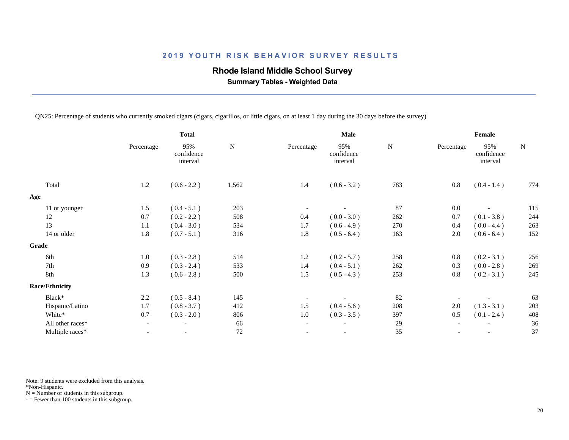### **Rhode Island Middle School Survey**

 **Summary Tables - Weighted Data**

QN25: Percentage of students who currently smoked cigars (cigars, cigarillos, or little cigars, on at least 1 day during the 30 days before the survey)

|                       |                          | <b>Total</b>                  |           | Male                     |                               |           | Female     |                               |           |
|-----------------------|--------------------------|-------------------------------|-----------|--------------------------|-------------------------------|-----------|------------|-------------------------------|-----------|
|                       | Percentage               | 95%<br>confidence<br>interval | ${\bf N}$ | Percentage               | 95%<br>confidence<br>interval | ${\bf N}$ | Percentage | 95%<br>confidence<br>interval | ${\bf N}$ |
| Total                 | 1.2                      | $(0.6 - 2.2)$                 | 1,562     | 1.4                      | $(0.6 - 3.2)$                 | 783       | $0.8\,$    | $(0.4 - 1.4)$                 | 774       |
| Age                   |                          |                               |           |                          |                               |           |            |                               |           |
| 11 or younger         | 1.5                      | $(0.4 - 5.1)$                 | 203       |                          |                               | 87        | 0.0        |                               | 115       |
| 12                    | 0.7                      | $(0.2 - 2.2)$                 | 508       | 0.4                      | $(0.0 - 3.0)$                 | 262       | 0.7        | $(0.1 - 3.8)$                 | 244       |
| 13                    | 1.1                      | $(0.4 - 3.0)$                 | 534       | 1.7                      | $(0.6 - 4.9)$                 | 270       | 0.4        | $(0.0 - 4.4)$                 | 263       |
| 14 or older           | 1.8                      | $(0.7 - 5.1)$                 | 316       | 1.8                      | $(0.5 - 6.4)$                 | 163       | 2.0        | $(0.6 - 6.4)$                 | 152       |
| Grade                 |                          |                               |           |                          |                               |           |            |                               |           |
| 6th                   | 1.0                      | $(0.3 - 2.8)$                 | 514       | 1.2                      | $(0.2 - 5.7)$                 | 258       | 0.8        | $(0.2 - 3.1)$                 | 256       |
| 7th                   | 0.9                      | $(0.3 - 2.4)$                 | 533       | 1.4                      | $(0.4 - 5.1)$                 | 262       | 0.3        | $(0.0 - 2.8)$                 | 269       |
| 8th                   | 1.3                      | $(0.6 - 2.8)$                 | 500       | 1.5                      | $(0.5 - 4.3)$                 | 253       | 0.8        | $(0.2 - 3.1)$                 | 245       |
| <b>Race/Ethnicity</b> |                          |                               |           |                          |                               |           |            |                               |           |
| Black*                | 2.2                      | $(0.5 - 8.4)$                 | 145       |                          |                               | 82        |            |                               | 63        |
| Hispanic/Latino       | 1.7                      | $(0.8 - 3.7)$                 | 412       | 1.5                      | $(0.4 - 5.6)$                 | 208       | $2.0\,$    | $(1.3 - 3.1)$                 | 203       |
| White*                | 0.7                      | $(0.3 - 2.0)$                 | 806       | 1.0                      | $(0.3 - 3.5)$                 | 397       | 0.5        | $(0.1 - 2.4)$                 | 408       |
| All other races*      | $\overline{\phantom{a}}$ | $\overline{\phantom{a}}$      | 66        | $\overline{\phantom{a}}$ | $\overline{\phantom{a}}$      | 29        |            |                               | 36        |
| Multiple races*       |                          | $\overline{\phantom{a}}$      | $72\,$    |                          |                               | 35        |            |                               | 37        |

Note: 9 students were excluded from this analysis.

\*Non-Hispanic.

 $N =$  Number of students in this subgroup.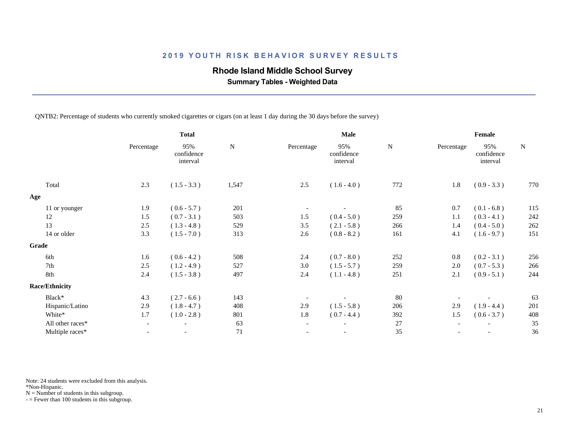### **Rhode Island Middle School Survey**

 **Summary Tables - Weighted Data**

QNTB2: Percentage of students who currently smoked cigarettes or cigars (on at least 1 day during the 30 days before the survey)

|            | <b>Total</b>                  |             |                          | Male                          |               | Female     |                               |               |  |
|------------|-------------------------------|-------------|--------------------------|-------------------------------|---------------|------------|-------------------------------|---------------|--|
| Percentage | 95%<br>confidence<br>interval | $\mathbf N$ | Percentage               | 95%<br>confidence<br>interval | ${\bf N}$     | Percentage | 95%<br>confidence<br>interval | ${\bf N}$     |  |
| 2.3        | $(1.5 - 3.3)$                 | 1,547       | $2.5\,$                  | $(1.6 - 4.0)$                 | 772           | 1.8        | $(0.9 - 3.3)$                 | 770           |  |
|            |                               |             |                          |                               |               |            |                               |               |  |
| 1.9        | $(0.6 - 5.7)$                 | 201         |                          |                               | 85            | 0.7        | $(0.1 - 6.8)$                 | 115           |  |
| 1.5        | $(0.7 - 3.1)$                 | 503         | 1.5                      | $(0.4 - 5.0)$                 | 259           | 1.1        | $(0.3 - 4.1)$                 | 242           |  |
| 2.5        | $(1.3 - 4.8)$                 | 529         | 3.5                      | $(2.1 - 5.8)$                 | 266           | 1.4        | $(0.4 - 5.0)$                 | 262           |  |
| 3.3        | $(1.5 - 7.0)$                 | 313         | 2.6                      | $(0.8 - 8.2)$                 | 161           | 4.1        | $(1.6 - 9.7)$                 | 151           |  |
|            |                               |             |                          |                               |               |            |                               |               |  |
| 1.6        | $(0.6 - 4.2)$                 | 508         | 2.4                      |                               |               | 0.8        |                               | 256           |  |
| 2.5        | $(1.2 - 4.9)$                 | 527         | 3.0                      | $(1.5 - 5.7)$                 | 259           | 2.0        | $(0.7 - 5.3)$                 | 266           |  |
| 2.4        | $(1.5 - 3.8)$                 | 497         | 2.4                      | $(1.1 - 4.8)$                 | 251           | 2.1        | $(0.9 - 5.1)$                 | 244           |  |
|            |                               |             |                          |                               |               |            |                               |               |  |
| 4.3        | $(2.7 - 6.6)$                 | 143         |                          |                               | 80            |            |                               | 63            |  |
| 2.9        | $(1.8 - 4.7)$                 | 408         | 2.9                      | $(1.5 - 5.8)$                 | 206           | 2.9        | $(1.9 - 4.4)$                 | 201           |  |
| 1.7        | $(1.0 - 2.8)$                 | 801         | 1.8                      | $(0.7 - 4.4)$                 | 392           | 1.5        | $(0.6 - 3.7)$                 | 408           |  |
|            | $\overline{\phantom{a}}$      | 63          | $\overline{\phantom{a}}$ |                               | 27            |            |                               | 35            |  |
|            | $\overline{\phantom{a}}$      | 71          |                          |                               | 35            |            | $\overline{\phantom{a}}$      | 36            |  |
|            |                               |             |                          |                               | $(0.7 - 8.0)$ | 252        |                               | $(0.2 - 3.1)$ |  |

Note: 24 students were excluded from this analysis.

\*Non-Hispanic.

 $N =$  Number of students in this subgroup.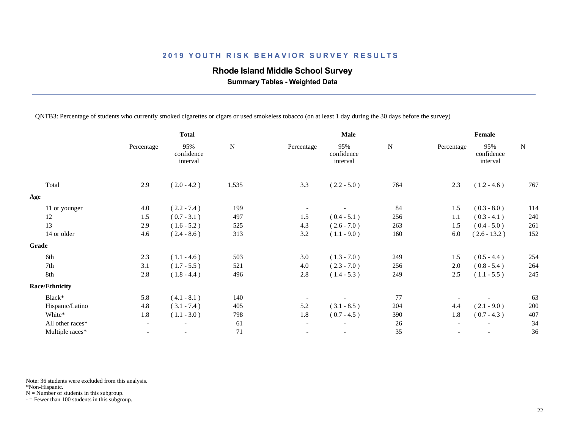## **Rhode Island Middle School Survey**

 **Summary Tables - Weighted Data**

QNTB3: Percentage of students who currently smoked cigarettes or cigars or used smokeless tobacco (on at least 1 day during the 30 days before the survey)

|           |                          | Male                          | Female      |            |                               |           |
|-----------|--------------------------|-------------------------------|-------------|------------|-------------------------------|-----------|
| ${\bf N}$ | Percentage               | 95%<br>confidence<br>interval | $\mathbf N$ | Percentage | 95%<br>confidence<br>interval | ${\bf N}$ |
| 1,535     | 3.3                      | $(2.2 - 5.0)$                 | 764         | 2.3        | $(1.2 - 4.6)$                 | 767       |
|           |                          |                               |             |            |                               |           |
| 199       |                          |                               | 84          | 1.5        | $(0.3 - 8.0)$                 | 114       |
| 497       | 1.5                      | $(0.4 - 5.1)$                 | 256         | 1.1        | $(0.3 - 4.1)$                 | 240       |
| 525       | 4.3                      | $(2.6 - 7.0)$                 | 263         | 1.5        | $(0.4 - 5.0)$                 | 261       |
| 313       | 3.2                      | $(1.1 - 9.0)$                 | 160         | 6.0        | $(2.6 - 13.2)$                | 152       |
|           |                          |                               |             |            |                               |           |
| 503       | 3.0                      | $(1.3 - 7.0)$                 | 249         | 1.5        | $(0.5 - 4.4)$                 | 254       |
| 521       | 4.0                      | $(2.3 - 7.0)$                 | 256         | 2.0        | $(0.8 - 5.4)$                 | 264       |
| 496       | 2.8                      | $(1.4 - 5.3)$                 | 249         | 2.5        | $(1.1 - 5.5)$                 | 245       |
|           |                          |                               |             |            |                               |           |
| 140       |                          |                               | 77          |            |                               | 63        |
| 405       | 5.2                      | $(3.1 - 8.5)$                 | 204         | 4.4        | $(2.1 - 9.0)$                 | 200       |
| 798       | 1.8                      | $(0.7 - 4.5)$                 | 390         | 1.8        | $(0.7 - 4.3)$                 | 407       |
| 61        | $\overline{\phantom{a}}$ | $\overline{\phantom{a}}$      | 26          |            |                               | 34        |
| 71        |                          | $\overline{\phantom{a}}$      | 35          |            | $\overline{\phantom{a}}$      | 36        |
|           |                          |                               |             |            |                               |           |

Note: 36 students were excluded from this analysis.

\*Non-Hispanic.

 $N =$  Number of students in this subgroup.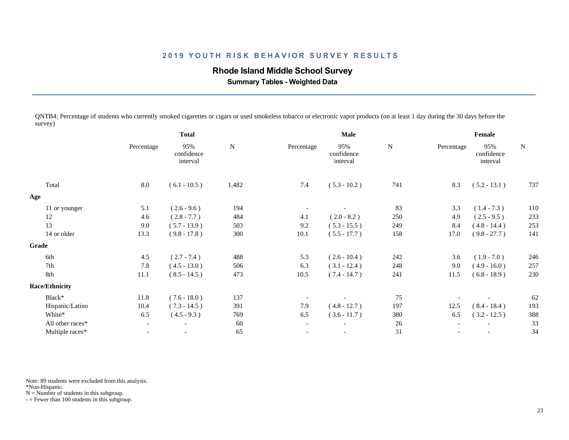### **Rhode Island Middle School Survey**

 **Summary Tables - Weighted Data**

QNTB4: Percentage of students who currently smoked cigarettes or cigars or used smokeless tobacco or electronic vapor products (on at least 1 day during the 30 days before the survey)

|                       |                          | <b>Total</b>                  |           | Male                     |                               |           | Female     |                               |             |
|-----------------------|--------------------------|-------------------------------|-----------|--------------------------|-------------------------------|-----------|------------|-------------------------------|-------------|
|                       | Percentage               | 95%<br>confidence<br>interval | ${\bf N}$ | Percentage               | 95%<br>confidence<br>interval | ${\bf N}$ | Percentage | 95%<br>confidence<br>interval | $\mathbf N$ |
| Total                 | 8.0                      | $(6.1 - 10.5)$                | 1,482     | 7.4                      | $(5.3 - 10.2)$                | 741       | 8.3        | $(5.2 - 13.1)$                | 737         |
| Age                   |                          |                               |           |                          |                               |           |            |                               |             |
| 11 or younger         | 5.1                      | $(2.6 - 9.6)$                 | 194       |                          |                               | 83        | 3.3        | $(1.4 - 7.3)$                 | 110         |
| 12                    | 4.6                      | $(2.8 - 7.7)$                 | 484       | 4.1                      | $(2.0 - 8.2)$                 | 250       | 4.9        | $(2.5 - 9.5)$                 | 233         |
| 13                    | 9.0                      | $(5.7 - 13.9)$                | 503       | 9.2                      | $(5.3 - 15.5)$                | 249       | 8.4        | $(4.8 - 14.4)$                | 253         |
| 14 or older           | 13.3                     | $(9.8 - 17.8)$                | 300       | 10.1                     | $(5.5 - 17.7)$                | 158       | 17.0       | $(9.8 - 27.7)$                | 141         |
| Grade                 |                          |                               |           |                          |                               |           |            |                               |             |
| 6th                   | 4.5                      | $(2.7 - 7.4)$                 | 488       | 5.3                      | $(2.6 - 10.4)$                | 242       | 3.6        | $(1.9 - 7.0)$                 | 246         |
| 7th                   | 7.8                      | $(4.5 - 13.0)$                | 506       | 6.3                      | $(3.1 - 12.4)$                | 248       | 9.0        | $(4.9 - 16.0)$                | 257         |
| 8th                   | 11.1                     | $(8.5 - 14.5)$                | 473       | 10.5                     | $(7.4 - 14.7)$                | 241       | 11.5       | $(6.8 - 18.9)$                | 230         |
| <b>Race/Ethnicity</b> |                          |                               |           |                          |                               |           |            |                               |             |
| Black*                | 11.8                     | $(7.6 - 18.0)$                | 137       |                          |                               | 75        |            |                               | 62          |
| Hispanic/Latino       | 10.4                     | $(7.3 - 14.5)$                | 391       | 7.9                      | $(4.8 - 12.7)$                | 197       | 12.5       | $(8.4 - 18.4)$                | 193         |
| White*                | 6.5                      | $(4.5 - 9.3)$                 | 769       | 6.5                      | $(3.6 - 11.7)$                | 380       | 6.5        | $(3.2 - 12.5)$                | 388         |
| All other races*      | $\overline{\phantom{0}}$ | $\overline{\phantom{0}}$      | 60        | $\overline{\phantom{a}}$ |                               | 26        |            |                               | 33          |
| Multiple races*       | $\overline{\phantom{a}}$ |                               | 65        |                          | $\overline{\phantom{a}}$      | 31        |            |                               | 34          |
|                       |                          |                               |           |                          |                               |           |            |                               |             |

Note: 89 students were excluded from this analysis.

\*Non-Hispanic.

 $N =$  Number of students in this subgroup.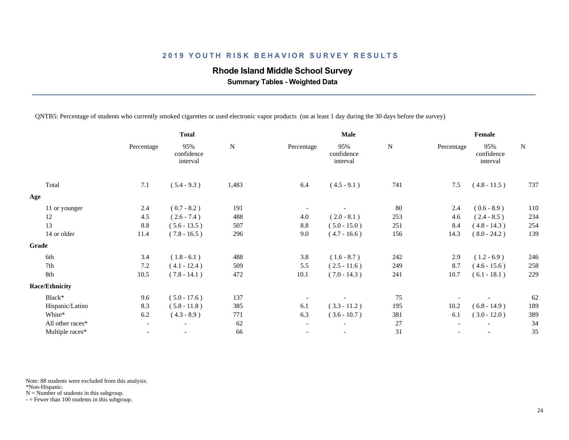## **Rhode Island Middle School Survey**

 **Summary Tables - Weighted Data**

QNTB5: Percentage of students who currently smoked cigarettes or used electronic vapor products (on at least 1 day during the 30 days before the survey)

|                       |                          | <b>Total</b>                  |           | Male                     |                               |             | Female     |                               |           |
|-----------------------|--------------------------|-------------------------------|-----------|--------------------------|-------------------------------|-------------|------------|-------------------------------|-----------|
|                       | Percentage               | 95%<br>confidence<br>interval | ${\bf N}$ | Percentage               | 95%<br>confidence<br>interval | $\mathbf N$ | Percentage | 95%<br>confidence<br>interval | ${\bf N}$ |
| Total                 | 7.1                      | $(5.4 - 9.3)$                 | 1,483     | 6.4                      | $(4.5 - 9.1)$                 | 741         | 7.5        | $(4.8 - 11.5)$                | 737       |
| Age                   |                          |                               |           |                          |                               |             |            |                               |           |
| 11 or younger         | 2.4                      | $(0.7 - 8.2)$                 | 191       |                          |                               | 80          | 2.4        | $(0.6 - 8.9)$                 | 110       |
| 12                    | 4.5                      | $(2.6 - 7.4)$                 | 488       | 4.0                      | $(2.0 - 8.1)$                 | 253         | 4.6        | $(2.4 - 8.5)$                 | 234       |
| 13                    | 8.8                      | $(5.6 - 13.5)$                | 507       | 8.8                      | $(5.0 - 15.0)$                | 251         | 8.4        | $(4.8 - 14.3)$                | 254       |
| 14 or older           | 11.4                     | $(7.8 - 16.5)$                | 296       | 9.0                      | $(4.7 - 16.6)$                | 156         | 14.3       | $(8.0 - 24.2)$                | 139       |
| Grade                 |                          |                               |           |                          |                               |             |            |                               |           |
| 6th                   | 3.4                      | $(1.8 - 6.1)$                 | 488       | 3.8                      | $(1.6 - 8.7)$                 | 242         | 2.9        | $(1.2 - 6.9)$                 | 246       |
| 7th                   | 7.2                      | $(4.1 - 12.4)$                | 509       | 5.5                      | $(2.5 - 11.6)$                | 249         | 8.7        | $(4.6 - 15.6)$                | 258       |
| 8th                   | 10.5                     | $(7.8 - 14.1)$                | 472       | 10.1                     | $(7.0 - 14.3)$                | 241         | 10.7       | $(6.1 - 18.1)$                | 229       |
| <b>Race/Ethnicity</b> |                          |                               |           |                          |                               |             |            |                               |           |
| Black*                | 9.6                      | $(5.0 - 17.6)$                | 137       |                          |                               | 75          |            |                               | 62        |
| Hispanic/Latino       | 8.3                      | $(5.8 - 11.8)$                | 385       | 6.1                      | $(3.3 - 11.2)$                | 195         | 10.2       | $(6.8 - 14.9)$                | 189       |
| White*                | 6.2                      | $(4.3 - 8.9)$                 | 771       | 6.3                      | $(3.6 - 10.7)$                | 381         | 6.1        | $(3.0 - 12.0)$                | 389       |
| All other races*      | $\overline{\phantom{a}}$ | $\overline{\phantom{a}}$      | 62        | $\overline{\phantom{a}}$ | $\overline{\phantom{a}}$      | $27\,$      |            |                               | 34        |
| Multiple races*       | $\overline{\phantom{0}}$ | $\overline{\phantom{a}}$      | 66        |                          | $\overline{\phantom{a}}$      | 31          |            |                               | 35        |
|                       |                          |                               |           |                          |                               |             |            |                               |           |

Note: 88 students were excluded from this analysis.

\*Non-Hispanic.

 $N =$  Number of students in this subgroup.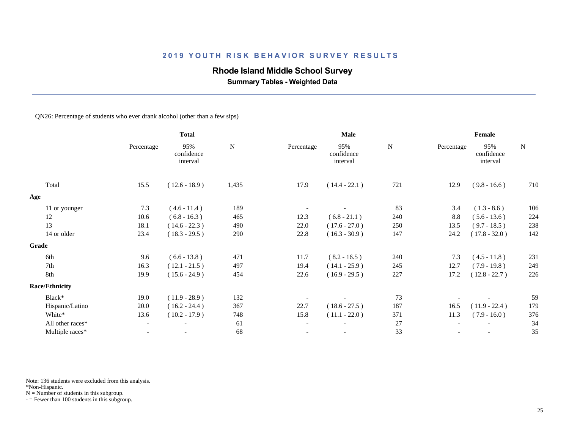# **Rhode Island Middle School Survey**

 **Summary Tables - Weighted Data**

#### QN26: Percentage of students who ever drank alcohol (other than a few sips)

|                       | <b>Total</b>             |                               | Male      |                          |                               | Female    |            |                               |           |
|-----------------------|--------------------------|-------------------------------|-----------|--------------------------|-------------------------------|-----------|------------|-------------------------------|-----------|
|                       | Percentage               | 95%<br>confidence<br>interval | ${\bf N}$ | Percentage               | 95%<br>confidence<br>interval | ${\bf N}$ | Percentage | 95%<br>confidence<br>interval | ${\bf N}$ |
| Total                 | 15.5                     | $(12.6 - 18.9)$               | 1,435     | 17.9                     | $(14.4 - 22.1)$               | 721       | 12.9       | $(9.8 - 16.6)$                | 710       |
| Age                   |                          |                               |           |                          |                               |           |            |                               |           |
| 11 or younger         | 7.3                      | $(4.6 - 11.4)$                | 189       |                          |                               | 83        | 3.4        | $(1.3 - 8.6)$                 | 106       |
| 12                    | 10.6                     | $(6.8 - 16.3)$                | 465       | 12.3                     | $(6.8 - 21.1)$                | 240       | 8.8        | $(5.6 - 13.6)$                | 224       |
| 13                    | 18.1                     | $(14.6 - 22.3)$               | 490       | 22.0                     | $(17.6 - 27.0)$               | 250       | 13.5       | $(9.7 - 18.5)$                | 238       |
| 14 or older           | 23.4                     | $(18.3 - 29.5)$               | 290       | 22.8                     | $(16.3 - 30.9)$               | 147       | 24.2       | $(17.8 - 32.0)$               | 142       |
| <b>Grade</b>          |                          |                               |           |                          |                               |           |            |                               |           |
| 6th                   | 9.6                      | $(6.6 - 13.8)$                | 471       | 11.7                     | $(8.2 - 16.5)$                | 240       | 7.3        | $(4.5 - 11.8)$                | 231       |
| 7th                   | 16.3                     | $(12.1 - 21.5)$               | 497       | 19.4                     | $(14.1 - 25.9)$               | 245       | 12.7       | $(7.9 - 19.8)$                | 249       |
| 8th                   | 19.9                     | $(15.6 - 24.9)$               | 454       | 22.6                     | $(16.9 - 29.5)$               | 227       | 17.2       | $(12.8 - 22.7)$               | 226       |
| <b>Race/Ethnicity</b> |                          |                               |           |                          |                               |           |            |                               |           |
| Black*                | 19.0                     | $(11.9 - 28.9)$               | 132       |                          |                               | 73        |            |                               | 59        |
| Hispanic/Latino       | 20.0                     | $(16.2 - 24.4)$               | 367       | 22.7                     | $(18.6 - 27.5)$               | 187       | 16.5       | $(11.9 - 22.4)$               | 179       |
| White*                | 13.6                     | $(10.2 - 17.9)$               | 748       | 15.8                     | $(11.1 - 22.0)$               | 371       | 11.3       | $(7.9 - 16.0)$                | 376       |
| All other races*      | $\overline{\phantom{a}}$ |                               | 61        | $\overline{\phantom{a}}$ | $\overline{\phantom{a}}$      | 27        |            |                               | 34        |
| Multiple races*       | $\overline{\phantom{a}}$ | $\overline{\phantom{a}}$      | 68        | $\overline{\phantom{a}}$ | $\overline{\phantom{a}}$      | 33        |            |                               | 35        |
|                       |                          |                               |           |                          |                               |           |            |                               |           |

Note: 136 students were excluded from this analysis.

\*Non-Hispanic.

 $N =$  Number of students in this subgroup.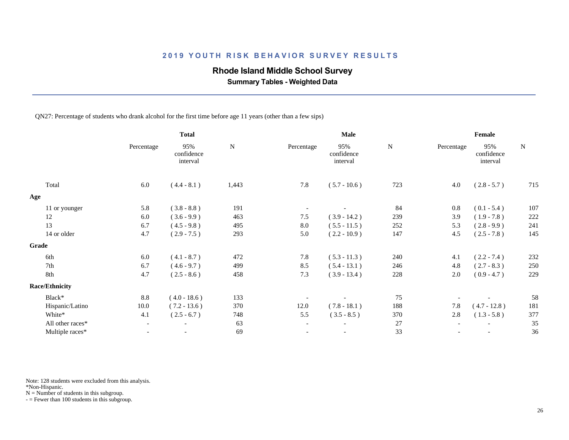### **Rhode Island Middle School Survey**

 **Summary Tables - Weighted Data**

QN27: Percentage of students who drank alcohol for the first time before age 11 years (other than a few sips)

|            | <b>Total</b>                  |               |                          | Male                          |                |            | Female                        |               |
|------------|-------------------------------|---------------|--------------------------|-------------------------------|----------------|------------|-------------------------------|---------------|
| Percentage | 95%<br>confidence<br>interval | $\mathbf N$   | Percentage               | 95%<br>confidence<br>interval | ${\bf N}$      | Percentage | 95%<br>confidence<br>interval | $\mathbf N$   |
| 6.0        | $(4.4 - 8.1)$                 | 1,443         | 7.8                      | $(5.7 - 10.6)$                | 723            | 4.0        | $(2.8 - 5.7)$                 | 715           |
|            |                               |               |                          |                               |                |            |                               |               |
| 5.8        | $(3.8 - 8.8)$                 | 191           |                          |                               | 84             | 0.8        | $(0.1 - 5.4)$                 | 107           |
| 6.0        | $(3.6 - 9.9)$                 | 463           | 7.5                      | $(3.9 - 14.2)$                | 239            | 3.9        | $(1.9 - 7.8)$                 | 222           |
| 6.7        | $(4.5 - 9.8)$                 | 495           | 8.0                      | $(5.5 - 11.5)$                | 252            | 5.3        | $(2.8 - 9.9)$                 | 241           |
| 4.7        | $(2.9 - 7.5)$                 | 293           | 5.0                      | $(2.2 - 10.9)$                | 147            | 4.5        | $(2.5 - 7.8)$                 | 145           |
|            |                               |               |                          |                               |                |            |                               |               |
| 6.0        |                               |               |                          |                               |                | 4.1        |                               | 232           |
| 6.7        | $(4.6 - 9.7)$                 | 499           | 8.5                      | $(5.4 - 13.1)$                | 246            | 4.8        | $(2.7 - 8.3)$                 | 250           |
| 4.7        | $(2.5 - 8.6)$                 | 458           | 7.3                      | $(3.9 - 13.4)$                | 228            | 2.0        | $(0.9 - 4.7)$                 | 229           |
|            |                               |               |                          |                               |                |            |                               |               |
| 8.8        | $(4.0 - 18.6)$                | 133           |                          |                               | 75             |            |                               | 58            |
| 10.0       | $(7.2 - 13.6)$                | 370           | 12.0                     | $(7.8 - 18.1)$                | 188            | 7.8        | $(4.7 - 12.8)$                | 181           |
| 4.1        | $(2.5 - 6.7)$                 | 748           | 5.5                      | $(3.5 - 8.5)$                 | 370            | 2.8        | $(1.3 - 5.8)$                 | 377           |
|            | $\overline{\phantom{a}}$      | 63            | $\overline{\phantom{a}}$ |                               | 27             |            |                               | 35            |
|            | $\overline{\phantom{a}}$      | 69            |                          |                               | 33             |            |                               | 36            |
|            |                               | $(4.1 - 8.7)$ | 472                      | 7.8                           | $(5.3 - 11.3)$ | 240        |                               | $(2.2 - 7.4)$ |

Note: 128 students were excluded from this analysis.

\*Non-Hispanic.

 $N =$  Number of students in this subgroup.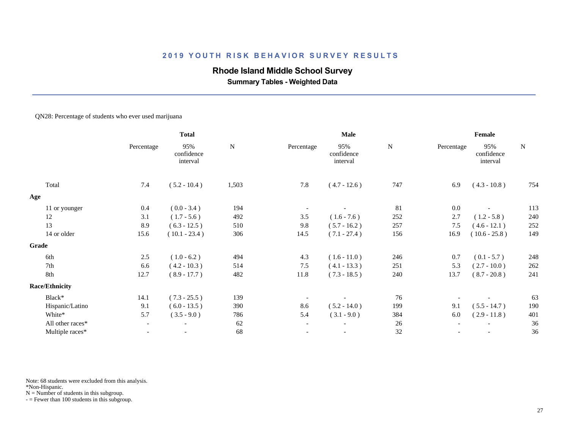### **Rhode Island Middle School Survey**

 **Summary Tables - Weighted Data**

#### QN28: Percentage of students who ever used marijuana

|                       | <b>Total</b>             |                               | Male      |                          |                               | Female    |            |                               |           |
|-----------------------|--------------------------|-------------------------------|-----------|--------------------------|-------------------------------|-----------|------------|-------------------------------|-----------|
|                       | Percentage               | 95%<br>confidence<br>interval | ${\bf N}$ | Percentage               | 95%<br>confidence<br>interval | ${\bf N}$ | Percentage | 95%<br>confidence<br>interval | ${\bf N}$ |
| Total                 | 7.4                      | $(5.2 - 10.4)$                | 1,503     | 7.8                      | $(4.7 - 12.6)$                | 747       | 6.9        | $(4.3 - 10.8)$                | 754       |
| Age                   |                          |                               |           |                          |                               |           |            |                               |           |
| 11 or younger         | 0.4                      | $(0.0 - 3.4)$                 | 194       |                          |                               | 81        | 0.0        |                               | 113       |
| 12                    | 3.1                      | $(1.7 - 5.6)$                 | 492       | 3.5                      | $(1.6 - 7.6)$                 | 252       | 2.7        | $(1.2 - 5.8)$                 | 240       |
| 13                    | 8.9                      | $(6.3 - 12.5)$                | 510       | 9.8                      | $(5.7 - 16.2)$                | 257       | 7.5        | $(4.6 - 12.1)$                | 252       |
| 14 or older           | 15.6                     | $(10.1 - 23.4)$               | 306       | 14.5                     | $(7.1 - 27.4)$                | 156       | 16.9       | $(10.6 - 25.8)$               | 149       |
| Grade                 |                          |                               |           |                          |                               |           |            |                               |           |
| 6th                   | 2.5                      | $(1.0 - 6.2)$                 | 494       | 4.3                      | $(1.6 - 11.0)$                | 246       | 0.7        | $(0.1 - 5.7)$                 | 248       |
| 7th                   | 6.6                      | $(4.2 - 10.3)$                | 514       | 7.5                      | $(4.1 - 13.3)$                | 251       | 5.3        | $(2.7 - 10.0)$                | $262\,$   |
| 8th                   | 12.7                     | $(8.9 - 17.7)$                | 482       | 11.8                     | $(7.3 - 18.5)$                | 240       | 13.7       | $(8.7 - 20.8)$                | 241       |
| <b>Race/Ethnicity</b> |                          |                               |           |                          |                               |           |            |                               |           |
| Black*                | 14.1                     | $(7.3 - 25.5)$                | 139       |                          |                               | 76        |            |                               | 63        |
| Hispanic/Latino       | 9.1                      | $(6.0 - 13.5)$                | 390       | 8.6                      | $(5.2 - 14.0)$                | 199       | 9.1        | $(5.5 - 14.7)$                | 190       |
| White*                | 5.7                      | $(3.5 - 9.0)$                 | 786       | 5.4                      | $(3.1 - 9.0)$                 | 384       | 6.0        | $(2.9 - 11.8)$                | 401       |
| All other races*      | $ \,$                    | $\overline{\phantom{a}}$      | 62        | $\overline{\phantom{a}}$ | $\overline{\phantom{a}}$      | 26        |            |                               | 36        |
| Multiple races*       | $\overline{\phantom{a}}$ |                               | 68        | $\overline{\phantom{a}}$ | $\overline{\phantom{a}}$      | 32        |            |                               | 36        |
|                       |                          |                               |           |                          |                               |           |            |                               |           |

Note: 68 students were excluded from this analysis.

\*Non-Hispanic.

 $N =$  Number of students in this subgroup.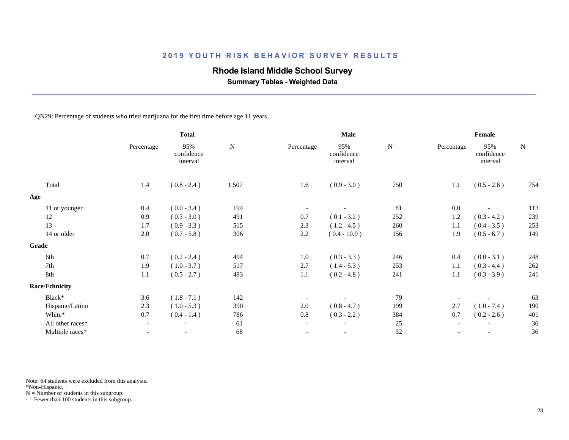### **Rhode Island Middle School Survey**

 **Summary Tables - Weighted Data**

QN29: Percentage of students who tried marijuana for the first time before age 11 years

|                       | <b>Total</b>             |                               | Male      |                          |                               | Female    |            |                               |           |
|-----------------------|--------------------------|-------------------------------|-----------|--------------------------|-------------------------------|-----------|------------|-------------------------------|-----------|
|                       | Percentage               | 95%<br>confidence<br>interval | ${\bf N}$ | Percentage               | 95%<br>confidence<br>interval | ${\bf N}$ | Percentage | 95%<br>confidence<br>interval | ${\bf N}$ |
| Total                 | 1.4                      | $(0.8 - 2.4)$                 | 1,507     | 1.6                      | $(0.9 - 3.0)$                 | 750       | 1.1        | $(0.5 - 2.6)$                 | 754       |
| Age                   |                          |                               |           |                          |                               |           |            |                               |           |
| 11 or younger         | 0.4                      | $(0.0 - 3.4)$                 | 194       | $\overline{\phantom{a}}$ |                               | 81        | 0.0        |                               | 113       |
| 12                    | 0.9                      | $(0.3 - 3.0)$                 | 491       | 0.7                      | $(0.1 - 3.2)$                 | 252       | 1.2        | $(0.3 - 4.2)$                 | 239       |
| 13                    | 1.7                      | $(0.9 - 3.3)$                 | 515       | 2.3                      | $(1.2 - 4.5)$                 | 260       | 1.1        | $(0.4 - 3.5)$                 | 253       |
| 14 or older           | 2.0                      | $(0.7 - 5.8)$                 | 306       | 2.2                      | $(0.4 - 10.9)$                | 156       | 1.9        | $(0.5 - 6.7)$                 | 149       |
| Grade                 |                          |                               |           |                          |                               |           |            |                               |           |
| 6th                   | 0.7                      | $(0.2 - 2.4)$                 | 494       | $1.0\,$                  | $(0.3 - 3.3)$                 | 246       | 0.4        | $(0.0 - 3.1)$                 | 248       |
| 7th                   | 1.9                      | $(1.0 - 3.7)$                 | 517       | 2.7                      | $(1.4 - 5.3)$                 | 253       | 1.1        | $(0.3 - 4.4)$                 | $262\,$   |
| 8th                   | 1.1                      | $(0.5 - 2.7)$                 | 483       | 1.1                      | $(0.2 - 4.8)$                 | 241       | 1.1        | $(0.3 - 3.9)$                 | 241       |
| <b>Race/Ethnicity</b> |                          |                               |           |                          |                               |           |            |                               |           |
| Black*                | 3.6                      | $(1.8 - 7.1)$                 | 142       |                          |                               | 79        |            |                               | 63        |
| Hispanic/Latino       | 2.3                      | $(1.0 - 5.3)$                 | 390       | 2.0                      | $(0.8 - 4.7)$                 | 199       | 2.7        | $(1.0 - 7.4)$                 | 190       |
| White*                | 0.7                      | $(0.4 - 1.4)$                 | 786       | 0.8                      | $(0.3 - 2.2)$                 | 384       | 0.7        | $(0.2 - 2.6)$                 | 401       |
| All other races*      | $\overline{\phantom{a}}$ | $\overline{\phantom{a}}$      | 61        | $\overline{\phantom{a}}$ | $\overline{\phantom{a}}$      | 25        |            | $\overline{\phantom{a}}$      | 36        |
| Multiple races*       | $\overline{a}$           |                               | 68        | $\overline{\phantom{a}}$ | $\overline{\phantom{a}}$      | 32        |            |                               | 36        |
|                       |                          |                               |           |                          |                               |           |            |                               |           |

Note: 64 students were excluded from this analysis.

\*Non-Hispanic.

 $N =$  Number of students in this subgroup.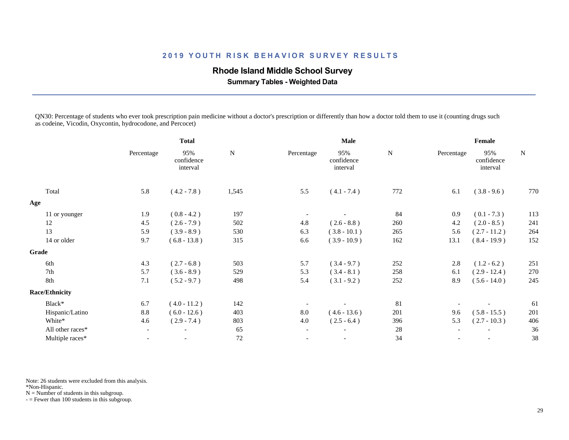### **Rhode Island Middle School Survey**

 **Summary Tables - Weighted Data**

QN30: Percentage of students who ever took prescription pain medicine without a doctor's prescription or differently than how a doctor told them to use it (counting drugs such as codeine, Vicodin, Oxycontin, hydrocodone, and Percocet)

|                       |                          | <b>Total</b>                  |           |                          | Male                          |           |            | Female                        |             |
|-----------------------|--------------------------|-------------------------------|-----------|--------------------------|-------------------------------|-----------|------------|-------------------------------|-------------|
|                       | Percentage               | 95%<br>confidence<br>interval | ${\bf N}$ | Percentage               | 95%<br>confidence<br>interval | ${\bf N}$ | Percentage | 95%<br>confidence<br>interval | $\mathbf N$ |
| Total                 | 5.8                      | $(4.2 - 7.8)$                 | 1,545     | 5.5                      | $(4.1 - 7.4)$                 | 772       | 6.1        | $(3.8 - 9.6)$                 | 770         |
| Age                   |                          |                               |           |                          |                               |           |            |                               |             |
| 11 or younger         | 1.9                      | $(0.8 - 4.2)$                 | 197       |                          |                               | 84        | 0.9        | $(0.1 - 7.3)$                 | 113         |
| 12                    | 4.5                      | $(2.6 - 7.9)$                 | 502       | 4.8                      | $(2.6 - 8.8)$                 | 260       | 4.2        | $(2.0 - 8.5)$                 | 241         |
| 13                    | 5.9                      | $(3.9 - 8.9)$                 | 530       | 6.3                      | $(3.8 - 10.1)$                | 265       | 5.6        | $(2.7 - 11.2)$                | 264         |
| 14 or older           | 9.7                      | $(6.8 - 13.8)$                | 315       | 6.6                      | $(3.9 - 10.9)$                | 162       | 13.1       | $(8.4 - 19.9)$                | 152         |
| Grade                 |                          |                               |           |                          |                               |           |            |                               |             |
| 6th                   | 4.3                      | $(2.7 - 6.8)$                 | 503       | 5.7                      | $(3.4 - 9.7)$                 | 252       | 2.8        | $(1.2 - 6.2)$                 | 251         |
| 7th                   | 5.7                      | $(3.6 - 8.9)$                 | 529       | 5.3                      | $(3.4 - 8.1)$                 | 258       | 6.1        | $(2.9 - 12.4)$                | 270         |
| 8th                   | 7.1                      | $(5.2 - 9.7)$                 | 498       | 5.4                      | $(3.1 - 9.2)$                 | 252       | 8.9        | $(5.6 - 14.0)$                | 245         |
| <b>Race/Ethnicity</b> |                          |                               |           |                          |                               |           |            |                               |             |
| Black*                | 6.7                      | $(4.0 - 11.2)$                | 142       |                          |                               | 81        |            |                               | 61          |
| Hispanic/Latino       | 8.8                      | $(6.0 - 12.6)$                | 403       | 8.0                      | $(4.6 - 13.6)$                | 201       | 9.6        | $(5.8 - 15.5)$                | 201         |
| White*                | 4.6                      | $(2.9 - 7.4)$                 | 803       | 4.0                      | $(2.5 - 6.4)$                 | 396       | 5.3        | $(2.7 - 10.3)$                | 406         |
| All other races*      | $\overline{\phantom{a}}$ | $\overline{\phantom{a}}$      | 65        | $\overline{\phantom{a}}$ | $\overline{\phantom{a}}$      | 28        |            |                               | 36          |
| Multiple races*       | $\overline{\phantom{a}}$ |                               | $72\,$    | $\overline{\phantom{a}}$ |                               | 34        |            |                               | 38          |
|                       |                          |                               |           |                          |                               |           |            |                               |             |

Note: 26 students were excluded from this analysis.

\*Non-Hispanic.

 $N =$  Number of students in this subgroup.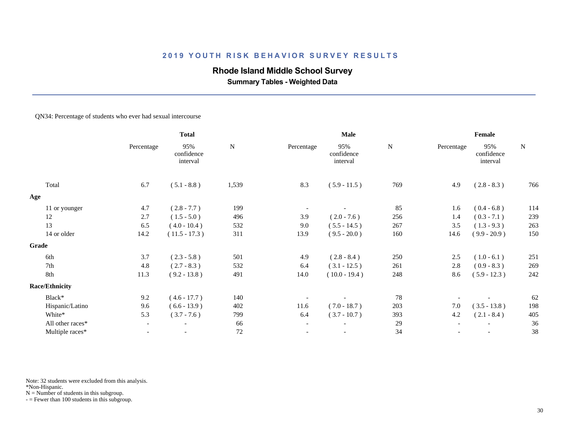### **Rhode Island Middle School Survey**

 **Summary Tables - Weighted Data**

#### QN34: Percentage of students who ever had sexual intercourse

|                       | <b>Total</b>             |                               | Male      |                          |                               | Female    |            |                               |             |
|-----------------------|--------------------------|-------------------------------|-----------|--------------------------|-------------------------------|-----------|------------|-------------------------------|-------------|
|                       | Percentage               | 95%<br>confidence<br>interval | ${\bf N}$ | Percentage               | 95%<br>confidence<br>interval | ${\bf N}$ | Percentage | 95%<br>confidence<br>interval | $\mathbf N$ |
| Total                 | 6.7                      | $(5.1 - 8.8)$                 | 1,539     | 8.3                      | $(5.9 - 11.5)$                | 769       | 4.9        | $(2.8 - 8.3)$                 | 766         |
| Age                   |                          |                               |           |                          |                               |           |            |                               |             |
| 11 or younger         | 4.7                      | $(2.8 - 7.7)$                 | 199       |                          |                               | 85        | 1.6        | $(0.4 - 6.8)$                 | 114         |
| 12                    | 2.7                      | $(1.5 - 5.0)$                 | 496       | 3.9                      | $(2.0 - 7.6)$                 | 256       | 1.4        | $(0.3 - 7.1)$                 | 239         |
| 13                    | 6.5                      | $(4.0 - 10.4)$                | 532       | 9.0                      | $(5.5 - 14.5)$                | 267       | 3.5        | $(1.3 - 9.3)$                 | 263         |
| 14 or older           | 14.2                     | $(11.5 - 17.3)$               | 311       | 13.9                     | $(9.5 - 20.0)$                | 160       | 14.6       | $(9.9 - 20.9)$                | 150         |
| Grade                 |                          |                               |           |                          |                               |           |            |                               |             |
| 6th                   | 3.7                      | $(2.3 - 5.8)$                 | 501       | 4.9                      | $(2.8 - 8.4)$                 | 250       | 2.5        | $(1.0 - 6.1)$                 | 251         |
| 7th                   | 4.8                      | $(2.7 - 8.3)$                 | 532       | 6.4                      | $(3.1 - 12.5)$                | 261       | 2.8        | $(0.9 - 8.3)$                 | 269         |
| 8th                   | 11.3                     | $(9.2 - 13.8)$                | 491       | 14.0                     | $(10.0 - 19.4)$               | 248       | 8.6        | $(5.9 - 12.3)$                | 242         |
| <b>Race/Ethnicity</b> |                          |                               |           |                          |                               |           |            |                               |             |
| Black*                | 9.2                      | $(4.6 - 17.7)$                | 140       |                          |                               | 78        |            |                               | 62          |
| Hispanic/Latino       | 9.6                      | $(6.6 - 13.9)$                | 402       | 11.6                     | $(7.0 - 18.7)$                | 203       | 7.0        | $(3.5 - 13.8)$                | 198         |
| White*                | 5.3                      | $(3.7 - 7.6)$                 | 799       | 6.4                      | $(3.7 - 10.7)$                | 393       | 4.2        | $(2.1 - 8.4)$                 | 405         |
| All other races*      | $\overline{\phantom{a}}$ | $\overline{\phantom{a}}$      | 66        | $\overline{\phantom{a}}$ | $\overline{\phantom{a}}$      | 29        |            |                               | 36          |
| Multiple races*       | $\overline{a}$           |                               | 72        | $\overline{\phantom{a}}$ | $\overline{\phantom{a}}$      | 34        |            |                               | 38          |
|                       |                          |                               |           |                          |                               |           |            |                               |             |

Note: 32 students were excluded from this analysis.

\*Non-Hispanic.

 $N =$  Number of students in this subgroup.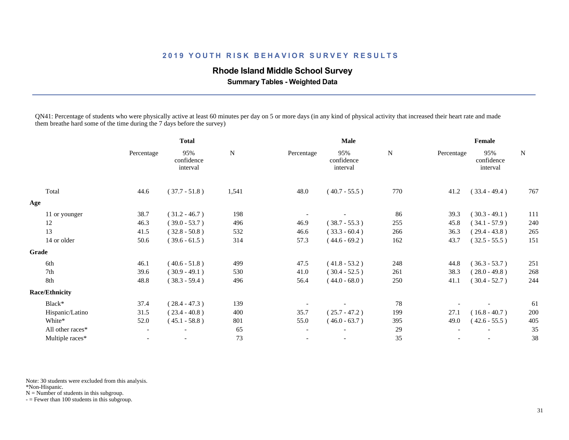### **Rhode Island Middle School Survey**

 **Summary Tables - Weighted Data**

QN41: Percentage of students who were physically active at least 60 minutes per day on 5 or more days (in any kind of physical activity that increased their heart rate and made them breathe hard some of the time during the 7 days before the survey)

|                       |                          | <b>Total</b>                  |           |                          | Male                          |     |            | Female                        |             |
|-----------------------|--------------------------|-------------------------------|-----------|--------------------------|-------------------------------|-----|------------|-------------------------------|-------------|
|                       | Percentage               | 95%<br>confidence<br>interval | ${\bf N}$ | Percentage               | 95%<br>confidence<br>interval | N   | Percentage | 95%<br>confidence<br>interval | $\mathbf N$ |
| Total                 | 44.6                     | $(37.7 - 51.8)$               | 1,541     | 48.0                     | $(40.7 - 55.5)$               | 770 | 41.2       | $(33.4 - 49.4)$               | 767         |
| Age                   |                          |                               |           |                          |                               |     |            |                               |             |
| 11 or younger         | 38.7                     | $(31.2 - 46.7)$               | 198       |                          |                               | 86  | 39.3       | $(30.3 - 49.1)$               | 111         |
| 12                    | 46.3                     | $(39.0 - 53.7)$               | 496       | 46.9                     | $(38.7 - 55.3)$               | 255 | 45.8       | $(34.1 - 57.9)$               | 240         |
| 13                    | 41.5                     | $(32.8 - 50.8)$               | 532       | 46.6                     | $(33.3 - 60.4)$               | 266 | 36.3       | $(29.4 - 43.8)$               | 265         |
| 14 or older           | 50.6                     | $(39.6 - 61.5)$               | 314       | 57.3                     | $(44.6 - 69.2)$               | 162 | 43.7       | $(32.5 - 55.5)$               | 151         |
| Grade                 |                          |                               |           |                          |                               |     |            |                               |             |
| 6th                   | 46.1                     | $(40.6 - 51.8)$               | 499       | 47.5                     | $(41.8 - 53.2)$               | 248 | 44.8       | $(36.3 - 53.7)$               | 251         |
| 7th                   | 39.6                     | $(30.9 - 49.1)$               | 530       | 41.0                     | $(30.4 - 52.5)$               | 261 | 38.3       | $(28.0 - 49.8)$               | 268         |
| 8th                   | 48.8                     | $(38.3 - 59.4)$               | 496       | 56.4                     | $(44.0 - 68.0)$               | 250 | 41.1       | $(30.4 - 52.7)$               | 244         |
| <b>Race/Ethnicity</b> |                          |                               |           |                          |                               |     |            |                               |             |
| Black*                | 37.4                     | $(28.4 - 47.3)$               | 139       |                          |                               | 78  |            |                               | 61          |
| Hispanic/Latino       | 31.5                     | $(23.4 - 40.8)$               | 400       | 35.7                     | $(25.7 - 47.2)$               | 199 | 27.1       | $(16.8 - 40.7)$               | 200         |
| White*                | 52.0                     | $(45.1 - 58.8)$               | 801       | 55.0                     | $(46.0 - 63.7)$               | 395 | 49.0       | $(42.6 - 55.5)$               | 405         |
| All other races*      | $\overline{\phantom{a}}$ |                               | 65        | $\overline{\phantom{a}}$ |                               | 29  |            |                               | 35          |
| Multiple races*       | $\overline{\phantom{a}}$ |                               | 73        |                          |                               | 35  |            |                               | 38          |
|                       |                          |                               |           |                          |                               |     |            |                               |             |

Note: 30 students were excluded from this analysis.

\*Non-Hispanic.

 $N =$  Number of students in this subgroup.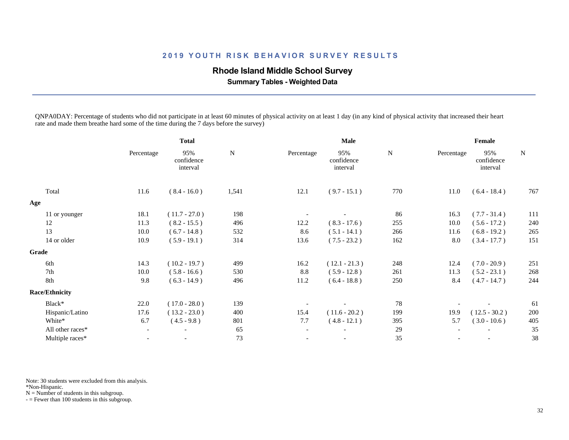### **Rhode Island Middle School Survey**

 **Summary Tables - Weighted Data**

QNPA0DAY: Percentage of students who did not participate in at least 60 minutes of physical activity on at least 1 day (in any kind of physical activity that increased their heart rate and made them breathe hard some of the time during the 7 days before the survey)

|                       |                          | <b>Total</b>                  |           |                          | Male                          |           |            | Female                        |             |
|-----------------------|--------------------------|-------------------------------|-----------|--------------------------|-------------------------------|-----------|------------|-------------------------------|-------------|
|                       | Percentage               | 95%<br>confidence<br>interval | ${\bf N}$ | Percentage               | 95%<br>confidence<br>interval | ${\bf N}$ | Percentage | 95%<br>confidence<br>interval | $\mathbf N$ |
| Total                 | 11.6                     | $(8.4 - 16.0)$                | 1,541     | 12.1                     | $(9.7 - 15.1)$                | 770       | 11.0       | $(6.4 - 18.4)$                | 767         |
| Age                   |                          |                               |           |                          |                               |           |            |                               |             |
| 11 or younger         | 18.1                     | $(11.7 - 27.0)$               | 198       |                          |                               | 86        | 16.3       | $(7.7 - 31.4)$                | 111         |
| 12                    | 11.3                     | $(8.2 - 15.5)$                | 496       | 12.2                     | $(8.3 - 17.6)$                | 255       | 10.0       | $(5.6 - 17.2)$                | 240         |
| 13                    | 10.0                     | $(6.7 - 14.8)$                | 532       | 8.6                      | $(5.1 - 14.1)$                | 266       | 11.6       | $(6.8 - 19.2)$                | 265         |
| 14 or older           | 10.9                     | $(5.9 - 19.1)$                | 314       | 13.6                     | $(7.5 - 23.2)$                | 162       | 8.0        | $(3.4 - 17.7)$                | 151         |
| Grade                 |                          |                               |           |                          |                               |           |            |                               |             |
| 6th                   | 14.3                     | $(10.2 - 19.7)$               | 499       | 16.2                     | $(12.1 - 21.3)$               | 248       | 12.4       | $(7.0 - 20.9)$                | 251         |
| 7th                   | 10.0                     | $(5.8 - 16.6)$                | 530       | 8.8                      | $(5.9 - 12.8)$                | 261       | 11.3       | $(5.2 - 23.1)$                | 268         |
| 8th                   | 9.8                      | $(6.3 - 14.9)$                | 496       | 11.2                     | $(6.4 - 18.8)$                | 250       | 8.4        | $(4.7 - 14.7)$                | 244         |
| <b>Race/Ethnicity</b> |                          |                               |           |                          |                               |           |            |                               |             |
| Black*                | 22.0                     | $(17.0 - 28.0)$               | 139       |                          |                               | 78        |            |                               | 61          |
| Hispanic/Latino       | 17.6                     | $(13.2 - 23.0)$               | 400       | 15.4                     | $(11.6 - 20.2)$               | 199       | 19.9       | $(12.5 - 30.2)$               | 200         |
| White*                | 6.7                      | $(4.5 - 9.8)$                 | 801       | 7.7                      | $(4.8 - 12.1)$                | 395       | 5.7        | $(3.0 - 10.6)$                | 405         |
| All other races*      | $\overline{\phantom{a}}$ | $\overline{\phantom{a}}$      | 65        | $\overline{\phantom{a}}$ |                               | 29        |            |                               | 35          |
| Multiple races*       | $\overline{\phantom{a}}$ |                               | 73        |                          | $\overline{\phantom{a}}$      | 35        |            |                               | 38          |
|                       |                          |                               |           |                          |                               |           |            |                               |             |

Note: 30 students were excluded from this analysis.

\*Non-Hispanic.

 $N =$  Number of students in this subgroup.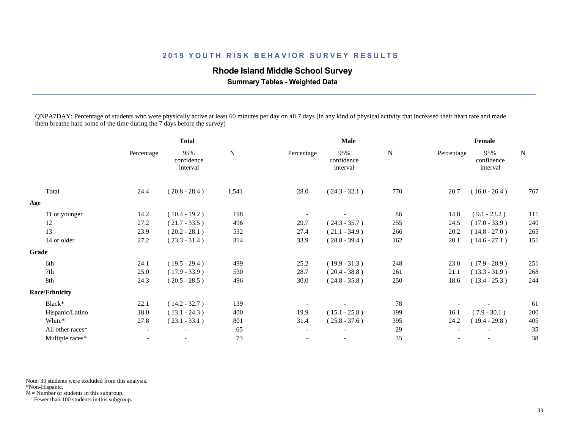### **Rhode Island Middle School Survey**

 **Summary Tables - Weighted Data**

QNPA7DAY: Percentage of students who were physically active at least 60 minutes per day on all 7 days (in any kind of physical activity that increased their heart rate and made them breathe hard some of the time during the 7 days before the survey)

|                       |                          | <b>Total</b>                  |           |                          | Male                          |             |            | Female                        |             |
|-----------------------|--------------------------|-------------------------------|-----------|--------------------------|-------------------------------|-------------|------------|-------------------------------|-------------|
|                       | Percentage               | 95%<br>confidence<br>interval | ${\bf N}$ | Percentage               | 95%<br>confidence<br>interval | $\mathbf N$ | Percentage | 95%<br>confidence<br>interval | $\mathbf N$ |
| Total                 | 24.4                     | $(20.8 - 28.4)$               | 1,541     | 28.0                     | $(24.3 - 32.1)$               | 770         | 20.7       | $(16.0 - 26.4)$               | 767         |
| Age                   |                          |                               |           |                          |                               |             |            |                               |             |
| 11 or younger         | 14.2                     | $(10.4 - 19.2)$               | 198       |                          |                               | 86          | 14.8       | $(9.1 - 23.2)$                | 111         |
| 12                    | 27.2                     | $(21.7 - 33.5)$               | 496       | 29.7                     | $(24.3 - 35.7)$               | 255         | 24.5       | $(17.0 - 33.9)$               | 240         |
| 13                    | 23.9                     | $(20.2 - 28.1)$               | 532       | 27.4                     | $(21.1 - 34.9)$               | 266         | 20.2       | $(14.8 - 27.0)$               | 265         |
| 14 or older           | 27.2                     | $(23.3 - 31.4)$               | 314       | 33.9                     | $(28.8 - 39.4)$               | 162         | 20.1       | $(14.6 - 27.1)$               | 151         |
| Grade                 |                          |                               |           |                          |                               |             |            |                               |             |
| 6th                   | 24.1                     | $(19.5 - 29.4)$               | 499       | 25.2                     | $(19.9 - 31.3)$               | 248         | 23.0       | $(17.9 - 28.9)$               | 251         |
| 7th                   | 25.0                     | $(17.9 - 33.9)$               | 530       | 28.7                     | $(20.4 - 38.8)$               | 261         | 21.1       | $(13.3 - 31.9)$               | 268         |
| 8th                   | 24.3                     | $(20.5 - 28.5)$               | 496       | 30.0                     | $(24.8 - 35.8)$               | 250         | 18.6       | $(13.4 - 25.3)$               | 244         |
| <b>Race/Ethnicity</b> |                          |                               |           |                          |                               |             |            |                               |             |
| Black*                | 22.1                     | $(14.2 - 32.7)$               | 139       |                          |                               | 78          |            |                               | 61          |
| Hispanic/Latino       | 18.0                     | $(13.1 - 24.3)$               | 400       | 19.9                     | $(15.1 - 25.8)$               | 199         | 16.1       | $(7.9 - 30.1)$                | 200         |
| White*                | 27.8                     | $(23.1 - 33.1)$               | 801       | 31.4                     | $(25.8 - 37.6)$               | 395         | 24.2       | $(19.4 - 29.8)$               | 405         |
| All other races*      | $\overline{\phantom{a}}$ | $\overline{\phantom{a}}$      | 65        | $\overline{\phantom{a}}$ |                               | 29          |            |                               | 35          |
| Multiple races*       | $\overline{\phantom{a}}$ |                               | 73        |                          |                               | 35          |            |                               | 38          |
|                       |                          |                               |           |                          |                               |             |            |                               |             |

Note: 30 students were excluded from this analysis.

\*Non-Hispanic.

 $N =$  Number of students in this subgroup.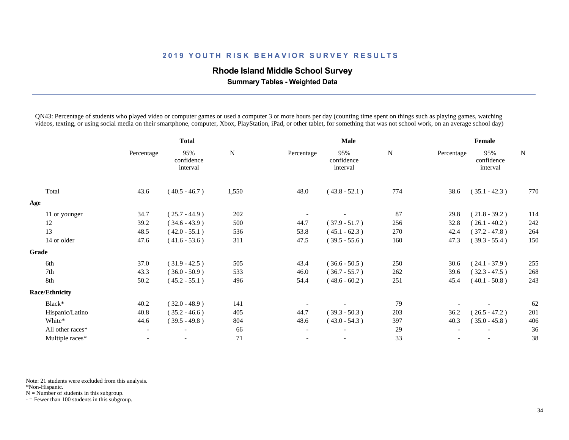### **Rhode Island Middle School Survey**

 **Summary Tables - Weighted Data**

QN43: Percentage of students who played video or computer games or used a computer 3 or more hours per day (counting time spent on things such as playing games, watching videos, texting, or using social media on their smartphone, computer, Xbox, PlayStation, iPad, or other tablet, for something that was not school work, on an average school day)

|                       |                          | <b>Total</b>                  |           |                          | Male                          |     |            | Female                        |     |
|-----------------------|--------------------------|-------------------------------|-----------|--------------------------|-------------------------------|-----|------------|-------------------------------|-----|
|                       | Percentage               | 95%<br>confidence<br>interval | ${\bf N}$ | Percentage               | 95%<br>confidence<br>interval | N   | Percentage | 95%<br>confidence<br>interval | N   |
| Total                 | 43.6                     | $(40.5 - 46.7)$               | 1,550     | 48.0                     | $(43.8 - 52.1)$               | 774 | 38.6       | $(35.1 - 42.3)$               | 770 |
| Age                   |                          |                               |           |                          |                               |     |            |                               |     |
| 11 or younger         | 34.7                     | $(25.7 - 44.9)$               | 202       |                          |                               | 87  | 29.8       | $(21.8 - 39.2)$               | 114 |
| 12                    | 39.2                     | $(34.6 - 43.9)$               | 500       | 44.7                     | $(37.9 - 51.7)$               | 256 | 32.8       | $(26.1 - 40.2)$               | 242 |
| 13                    | 48.5                     | $(42.0 - 55.1)$               | 536       | 53.8                     | $(45.1 - 62.3)$               | 270 | 42.4       | $(37.2 - 47.8)$               | 264 |
| 14 or older           | 47.6                     | $(41.6 - 53.6)$               | 311       | 47.5                     | $(39.5 - 55.6)$               | 160 | 47.3       | $(39.3 - 55.4)$               | 150 |
| Grade                 |                          |                               |           |                          |                               |     |            |                               |     |
| 6th                   | 37.0                     | $(31.9 - 42.5)$               | 505       | 43.4                     | $(36.6 - 50.5)$               | 250 | 30.6       | $(24.1 - 37.9)$               | 255 |
| 7th                   | 43.3                     | $(36.0 - 50.9)$               | 533       | 46.0                     | $(36.7 - 55.7)$               | 262 | 39.6       | $(32.3 - 47.5)$               | 268 |
| 8th                   | 50.2                     | $(45.2 - 55.1)$               | 496       | 54.4                     | $(48.6 - 60.2)$               | 251 | 45.4       | $(40.1 - 50.8)$               | 243 |
| <b>Race/Ethnicity</b> |                          |                               |           |                          |                               |     |            |                               |     |
| Black*                | 40.2                     | $(32.0 - 48.9)$               | 141       |                          |                               | 79  |            |                               | 62  |
| Hispanic/Latino       | 40.8                     | $(35.2 - 46.6)$               | 405       | 44.7                     | $(39.3 - 50.3)$               | 203 | 36.2       | $(26.5 - 47.2)$               | 201 |
| White*                | 44.6                     | $(39.5 - 49.8)$               | 804       | 48.6                     | $(43.0 - 54.3)$               | 397 | 40.3       | $(35.0 - 45.8)$               | 406 |
| All other races*      | $\overline{\phantom{a}}$ | $\overline{\phantom{a}}$      | 66        | $\overline{\phantom{a}}$ |                               | 29  |            |                               | 36  |
| Multiple races*       | $\overline{\phantom{a}}$ |                               | 71        |                          | $\overline{\phantom{a}}$      | 33  |            |                               | 38  |
|                       |                          |                               |           |                          |                               |     |            |                               |     |

Note: 21 students were excluded from this analysis.

\*Non-Hispanic.

 $N =$  Number of students in this subgroup.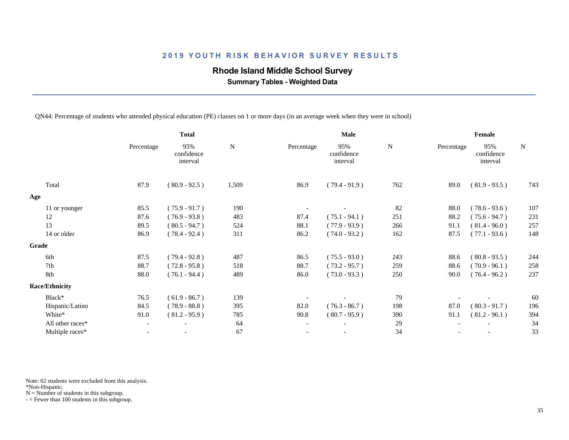## **Rhode Island Middle School Survey**

 **Summary Tables - Weighted Data**

QN44: Percentage of students who attended physical education (PE) classes on 1 or more days (in an average week when they were in school)

|                       | <b>Total</b>             |                               | Male        |                          |                               | Female    |            |                               |           |
|-----------------------|--------------------------|-------------------------------|-------------|--------------------------|-------------------------------|-----------|------------|-------------------------------|-----------|
|                       | Percentage               | 95%<br>confidence<br>interval | $\mathbf N$ | Percentage               | 95%<br>confidence<br>interval | ${\bf N}$ | Percentage | 95%<br>confidence<br>interval | ${\bf N}$ |
| Total                 | 87.9                     | $(80.9 - 92.5)$               | 1,509       | 86.9                     | $(79.4 - 91.9)$               | 762       | 89.0       | $(81.9 - 93.5)$               | 743       |
| Age                   |                          |                               |             |                          |                               |           |            |                               |           |
| 11 or younger         | 85.5                     | $(75.9 - 91.7)$               | 190         |                          |                               | 82        | 88.0       | $(78.6 - 93.6)$               | 107       |
| 12                    | 87.6                     | $(76.9 - 93.8)$               | 483         | 87.4                     | $(75.1 - 94.1)$               | 251       | 88.2       | $(75.6 - 94.7)$               | 231       |
| 13                    | 89.5                     | $(80.5 - 94.7)$               | 524         | 88.1                     | $(77.9 - 93.9)$               | 266       | 91.1       | $(81.4 - 96.0)$               | 257       |
| 14 or older           | 86.9                     | $(78.4 - 92.4)$               | 311         | 86.2                     | $(74.0 - 93.2)$               | 162       | 87.5       | $(77.1 - 93.6)$               | 148       |
| Grade                 |                          |                               |             |                          |                               |           |            |                               |           |
| 6th                   | 87.5                     | $(79.4 - 92.8)$               | 487         | 86.5                     | $(75.5 - 93.0)$               | 243       | 88.6       | $(80.8 - 93.5)$               | 244       |
| 7th                   | 88.7                     | $(72.8 - 95.8)$               | 518         | 88.7                     | $(73.2 - 95.7)$               | 259       | 88.6       | $(70.9 - 96.1)$               | 258       |
| 8th                   | 88.0                     | $(76.1 - 94.4)$               | 489         | 86.0                     | $(73.0 - 93.3)$               | 250       | 90.0       | $(76.4 - 96.2)$               | 237       |
| <b>Race/Ethnicity</b> |                          |                               |             |                          |                               |           |            |                               |           |
| Black*                | 76.5                     | $(61.9 - 86.7)$               | 139         |                          |                               | 79        |            |                               | 60        |
| Hispanic/Latino       | 84.5                     | $(78.9 - 88.8)$               | 395         | 82.0                     | $(76.3 - 86.7)$               | 198       | 87.0       | $(80.3 - 91.7)$               | 196       |
| White*                | 91.0                     | $(81.2 - 95.9)$               | 785         | 90.8                     | $(80.7 - 95.9)$               | 390       | 91.1       | $(81.2 - 96.1)$               | 394       |
| All other races*      | $\overline{\phantom{a}}$ | $\overline{\phantom{a}}$      | 64          | $\overline{\phantom{a}}$ |                               | 29        |            |                               | 34        |
| Multiple races*       |                          |                               | 67          |                          |                               | 34        |            |                               | 33        |
|                       |                          |                               |             |                          |                               |           |            |                               |           |

Note: 62 students were excluded from this analysis.

\*Non-Hispanic.

 $N =$  Number of students in this subgroup.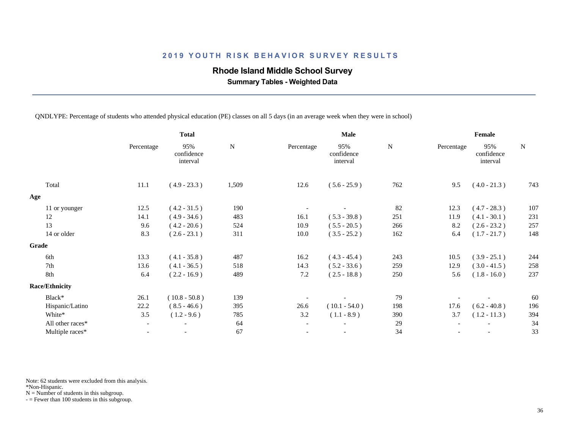## **Rhode Island Middle School Survey**

 **Summary Tables - Weighted Data**

QNDLYPE: Percentage of students who attended physical education (PE) classes on all 5 days (in an average week when they were in school)

|                       |                          | <b>Total</b>                  |           |                          | Male                          |           |            | Female                        |             |
|-----------------------|--------------------------|-------------------------------|-----------|--------------------------|-------------------------------|-----------|------------|-------------------------------|-------------|
|                       | Percentage               | 95%<br>confidence<br>interval | ${\bf N}$ | Percentage               | 95%<br>confidence<br>interval | ${\bf N}$ | Percentage | 95%<br>confidence<br>interval | $\mathbf N$ |
| Total                 | 11.1                     | $(4.9 - 23.3)$                | 1,509     | 12.6                     | $(5.6 - 25.9)$                | 762       | 9.5        | $(4.0 - 21.3)$                | 743         |
| Age                   |                          |                               |           |                          |                               |           |            |                               |             |
| 11 or younger         | 12.5                     | $(4.2 - 31.5)$                | 190       |                          |                               | 82        | 12.3       | $(4.7 - 28.3)$                | 107         |
| 12                    | 14.1                     | $(4.9 - 34.6)$                | 483       | 16.1                     | $(5.3 - 39.8)$                | 251       | 11.9       | $(4.1 - 30.1)$                | 231         |
| 13                    | 9.6                      | $(4.2 - 20.6)$                | 524       | 10.9                     | $(5.5 - 20.5)$                | 266       | 8.2        | $(2.6 - 23.2)$                | 257         |
| 14 or older           | 8.3                      | $(2.6 - 23.1)$                | 311       | 10.0                     | $(3.5 - 25.2)$                | 162       | 6.4        | $(1.7 - 21.7)$                | 148         |
| Grade                 |                          |                               |           |                          |                               |           |            |                               |             |
| 6th                   | 13.3                     | $(4.1 - 35.8)$                | 487       | 16.2                     | $(4.3 - 45.4)$                | 243       | 10.5       | $(3.9 - 25.1)$                | 244         |
| 7th                   | 13.6                     | $(4.1 - 36.5)$                | 518       | 14.3                     | $(5.2 - 33.6)$                | 259       | 12.9       | $(3.0 - 41.5)$                | 258         |
| 8th                   | 6.4                      | $(2.2 - 16.9)$                | 489       | 7.2                      | $(2.5 - 18.8)$                | 250       | 5.6        | $(1.8 - 16.0)$                | 237         |
| <b>Race/Ethnicity</b> |                          |                               |           |                          |                               |           |            |                               |             |
| Black*                | 26.1                     | $(10.8 - 50.8)$               | 139       |                          |                               | 79        |            |                               | 60          |
| Hispanic/Latino       | 22.2                     | $(8.5 - 46.6)$                | 395       | 26.6                     | $(10.1 - 54.0)$               | 198       | 17.6       | $(6.2 - 40.8)$                | 196         |
| White*                | 3.5                      | $(1.2 - 9.6)$                 | 785       | 3.2                      | $(1.1 - 8.9)$                 | 390       | 3.7        | $(1.2 - 11.3)$                | 394         |
| All other races*      | $-$                      | $\overline{\phantom{a}}$      | 64        | $\overline{\phantom{a}}$ | $\overline{\phantom{a}}$      | 29        |            |                               | 34          |
| Multiple races*       | $\overline{\phantom{a}}$ |                               | 67        | $\overline{\phantom{a}}$ | $\overline{\phantom{a}}$      | 34        |            | $\overline{\phantom{a}}$      | 33          |
|                       |                          |                               |           |                          |                               |           |            |                               |             |

Note: 62 students were excluded from this analysis.

\*Non-Hispanic.

 $N =$  Number of students in this subgroup.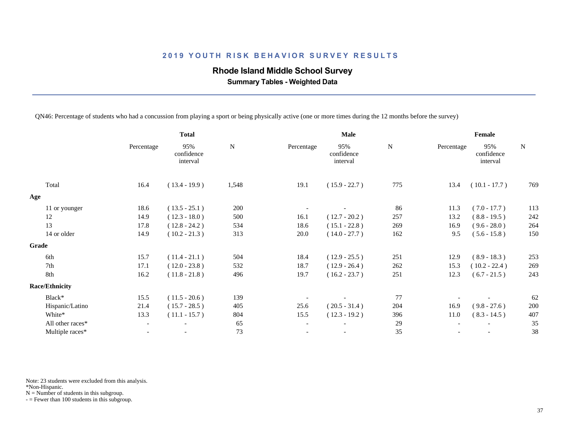## **Rhode Island Middle School Survey**

 **Summary Tables - Weighted Data**

QN46: Percentage of students who had a concussion from playing a sport or being physically active (one or more times during the 12 months before the survey)

|                       | <b>Total</b>             |                               | Male      |                          |                               | Female      |            |                               |           |
|-----------------------|--------------------------|-------------------------------|-----------|--------------------------|-------------------------------|-------------|------------|-------------------------------|-----------|
|                       | Percentage               | 95%<br>confidence<br>interval | ${\bf N}$ | Percentage               | 95%<br>confidence<br>interval | $\mathbf N$ | Percentage | 95%<br>confidence<br>interval | ${\bf N}$ |
| Total                 | 16.4                     | $(13.4 - 19.9)$               | 1,548     | 19.1                     | $(15.9 - 22.7)$               | 775         | 13.4       | $(10.1 - 17.7)$               | 769       |
| Age                   |                          |                               |           |                          |                               |             |            |                               |           |
| 11 or younger         | 18.6                     | $(13.5 - 25.1)$               | 200       |                          |                               | 86          | 11.3       | $(7.0 - 17.7)$                | 113       |
| 12                    | 14.9                     | $(12.3 - 18.0)$               | 500       | 16.1                     | $(12.7 - 20.2)$               | 257         | 13.2       | $(8.8 - 19.5)$                | 242       |
| 13                    | 17.8                     | $(12.8 - 24.2)$               | 534       | 18.6                     | $(15.1 - 22.8)$               | 269         | 16.9       | $(9.6 - 28.0)$                | 264       |
| 14 or older           | 14.9                     | $(10.2 - 21.3)$               | 313       | 20.0                     | $(14.0 - 27.7)$               | 162         | 9.5        | $(5.6 - 15.8)$                | 150       |
| Grade                 |                          |                               |           |                          |                               |             |            |                               |           |
| 6th                   | 15.7                     | $(11.4 - 21.1)$               | 504       | 18.4                     | $(12.9 - 25.5)$               | 251         | 12.9       | $(8.9 - 18.3)$                | 253       |
| 7th                   | 17.1                     | $(12.0 - 23.8)$               | 532       | 18.7                     | $(12.9 - 26.4)$               | 262         | 15.3       | $(10.2 - 22.4)$               | 269       |
| 8th                   | 16.2                     | $(11.8 - 21.8)$               | 496       | 19.7                     | $(16.2 - 23.7)$               | 251         | 12.3       | $(6.7 - 21.5)$                | 243       |
| <b>Race/Ethnicity</b> |                          |                               |           |                          |                               |             |            |                               |           |
| Black*                | 15.5                     | $(11.5 - 20.6)$               | 139       |                          |                               | 77          |            |                               | 62        |
| Hispanic/Latino       | 21.4                     | $(15.7 - 28.5)$               | 405       | 25.6                     | $(20.5 - 31.4)$               | 204         | 16.9       | $(9.8 - 27.6)$                | 200       |
| White*                | 13.3                     | $(11.1 - 15.7)$               | 804       | 15.5                     | $(12.3 - 19.2)$               | 396         | 11.0       | $(8.3 - 14.5)$                | 407       |
| All other races*      | $\overline{\phantom{a}}$ | $\overline{\phantom{a}}$      | 65        | $\overline{\phantom{a}}$ | $\overline{\phantom{a}}$      | 29          |            |                               | 35        |
| Multiple races*       | $\overline{\phantom{0}}$ | $\overline{\phantom{a}}$      | 73        |                          |                               | 35          |            |                               | 38        |
|                       |                          |                               |           |                          |                               |             |            |                               |           |

Note: 23 students were excluded from this analysis.

\*Non-Hispanic.

 $N =$  Number of students in this subgroup.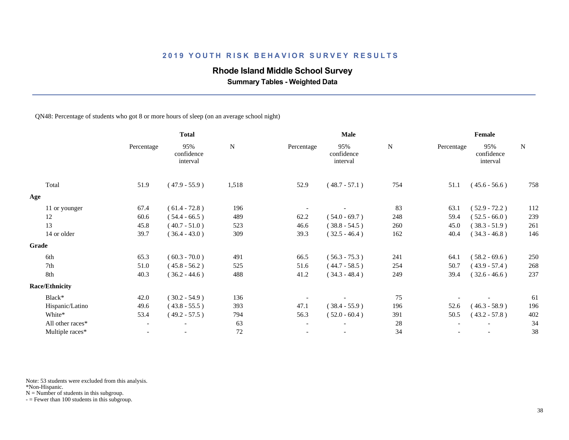# **Rhode Island Middle School Survey**

 **Summary Tables - Weighted Data**

QN48: Percentage of students who got 8 or more hours of sleep (on an average school night)

|                       | <b>Total</b>             |                               | <b>Male</b> |                          |                               | Female |            |                               |           |
|-----------------------|--------------------------|-------------------------------|-------------|--------------------------|-------------------------------|--------|------------|-------------------------------|-----------|
|                       | Percentage               | 95%<br>confidence<br>interval | N           | Percentage               | 95%<br>confidence<br>interval | N      | Percentage | 95%<br>confidence<br>interval | ${\bf N}$ |
| Total                 | 51.9                     | $(47.9 - 55.9)$               | 1,518       | 52.9                     | $(48.7 - 57.1)$               | 754    | 51.1       | $(45.6 - 56.6)$               | 758       |
| Age                   |                          |                               |             |                          |                               |        |            |                               |           |
| 11 or younger         | 67.4                     | $(61.4 - 72.8)$               | 196         |                          |                               | 83     | 63.1       | $(52.9 - 72.2)$               | 112       |
| 12                    | 60.6                     | $(54.4 - 66.5)$               | 489         | 62.2                     | $(54.0 - 69.7)$               | 248    | 59.4       | $(52.5 - 66.0)$               | 239       |
| 13                    | 45.8                     | $(40.7 - 51.0)$               | 523         | 46.6                     | $(38.8 - 54.5)$               | 260    | 45.0       | $(38.3 - 51.9)$               | 261       |
| 14 or older           | 39.7                     | $(36.4 - 43.0)$               | 309         | 39.3                     | $(32.5 - 46.4)$               | 162    | 40.4       | $(34.3 - 46.8)$               | 146       |
| Grade                 |                          |                               |             |                          |                               |        |            |                               |           |
| 6th                   | 65.3                     | $(60.3 - 70.0)$               | 491         | 66.5                     | $(56.3 - 75.3)$               | 241    | 64.1       | $(58.2 - 69.6)$               | 250       |
| 7th                   | 51.0                     | $(45.8 - 56.2)$               | 525         | 51.6                     | $(44.7 - 58.5)$               | 254    | 50.7       | $(43.9 - 57.4)$               | 268       |
| 8th                   | 40.3                     | $(36.2 - 44.6)$               | 488         | 41.2                     | $(34.3 - 48.4)$               | 249    | 39.4       | $(32.6 - 46.6)$               | 237       |
| <b>Race/Ethnicity</b> |                          |                               |             |                          |                               |        |            |                               |           |
| Black*                | 42.0                     | $(30.2 - 54.9)$               | 136         |                          |                               | 75     |            |                               | 61        |
| Hispanic/Latino       | 49.6                     | $(43.8 - 55.5)$               | 393         | 47.1                     | $(38.4 - 55.9)$               | 196    | 52.6       | $(46.3 - 58.9)$               | 196       |
| White*                | 53.4                     | $(49.2 - 57.5)$               | 794         | 56.3                     | $(52.0 - 60.4)$               | 391    | 50.5       | $(43.2 - 57.8)$               | 402       |
| All other races*      | $\overline{\phantom{a}}$ | $\overline{\phantom{a}}$      | 63          | $\overline{\phantom{a}}$ | $\overline{\phantom{a}}$      | 28     |            |                               | 34        |
| Multiple races*       | $\overline{\phantom{0}}$ |                               | 72          | $\overline{\phantom{a}}$ | $\overline{\phantom{a}}$      | 34     |            |                               | 38        |
|                       |                          |                               |             |                          |                               |        |            |                               |           |

Note: 53 students were excluded from this analysis.

\*Non-Hispanic.

 $N =$  Number of students in this subgroup.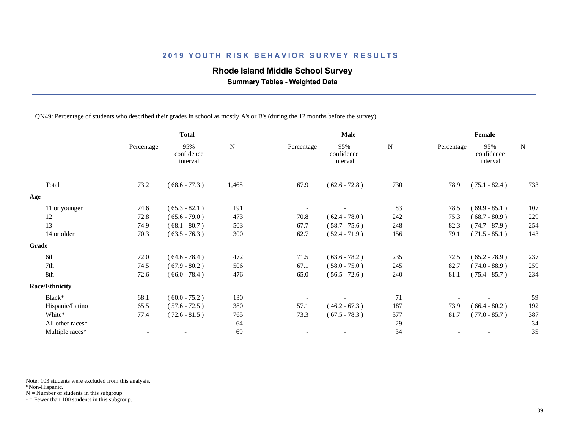### **Rhode Island Middle School Survey**

 **Summary Tables - Weighted Data**

QN49: Percentage of students who described their grades in school as mostly A's or B's (during the 12 months before the survey)

|                       | <b>Total</b>             |                               | Male  |                          |                               | Female |            |                               |             |
|-----------------------|--------------------------|-------------------------------|-------|--------------------------|-------------------------------|--------|------------|-------------------------------|-------------|
|                       | Percentage               | 95%<br>confidence<br>interval | N     | Percentage               | 95%<br>confidence<br>interval | N      | Percentage | 95%<br>confidence<br>interval | $\mathbf N$ |
| Total                 | 73.2                     | $(68.6 - 77.3)$               | 1,468 | 67.9                     | $(62.6 - 72.8)$               | 730    | 78.9       | $(75.1 - 82.4)$               | 733         |
| Age                   |                          |                               |       |                          |                               |        |            |                               |             |
| 11 or younger         | 74.6                     | $(65.3 - 82.1)$               | 191   |                          |                               | 83     | 78.5       | $(69.9 - 85.1)$               | 107         |
| 12                    | 72.8                     | $(65.6 - 79.0)$               | 473   | 70.8                     | $(62.4 - 78.0)$               | 242    | 75.3       | $(68.7 - 80.9)$               | 229         |
| 13                    | 74.9                     | $(68.1 - 80.7)$               | 503   | 67.7                     | $(58.7 - 75.6)$               | 248    | 82.3       | $(74.7 - 87.9)$               | 254         |
| 14 or older           | 70.3                     | $(63.5 - 76.3)$               | 300   | 62.7                     | $(52.4 - 71.9)$               | 156    | 79.1       | $(71.5 - 85.1)$               | 143         |
| Grade                 |                          |                               |       |                          |                               |        |            |                               |             |
| 6th                   | 72.0                     | $(64.6 - 78.4)$               | 472   | 71.5                     | $(63.6 - 78.2)$               | 235    | 72.5       | $(65.2 - 78.9)$               | 237         |
| 7th                   | 74.5                     | $(67.9 - 80.2)$               | 506   | 67.1                     | $(58.0 - 75.0)$               | 245    | 82.7       | $(74.0 - 88.9)$               | 259         |
| 8th                   | 72.6                     | $(66.0 - 78.4)$               | 476   | 65.0                     | $(56.5 - 72.6)$               | 240    | 81.1       | $(75.4 - 85.7)$               | 234         |
| <b>Race/Ethnicity</b> |                          |                               |       |                          |                               |        |            |                               |             |
| Black*                | 68.1                     | $(60.0 - 75.2)$               | 130   |                          |                               | 71     |            |                               | 59          |
| Hispanic/Latino       | 65.5                     | $(57.6 - 72.5)$               | 380   | 57.1                     | $(46.2 - 67.3)$               | 187    | 73.9       | $(66.4 - 80.2)$               | 192         |
| White*                | 77.4                     | $(72.6 - 81.5)$               | 765   | 73.3                     | $(67.5 - 78.3)$               | 377    | 81.7       | $(77.0 - 85.7)$               | 387         |
| All other races*      | $\overline{\phantom{a}}$ | $\overline{\phantom{a}}$      | 64    | $\overline{\phantom{a}}$ |                               | 29     |            |                               | 34          |
| Multiple races*       |                          |                               | 69    |                          |                               | 34     |            |                               | 35          |
|                       |                          |                               |       |                          |                               |        |            |                               |             |

Note: 103 students were excluded from this analysis.

\*Non-Hispanic.

 $N =$  Number of students in this subgroup.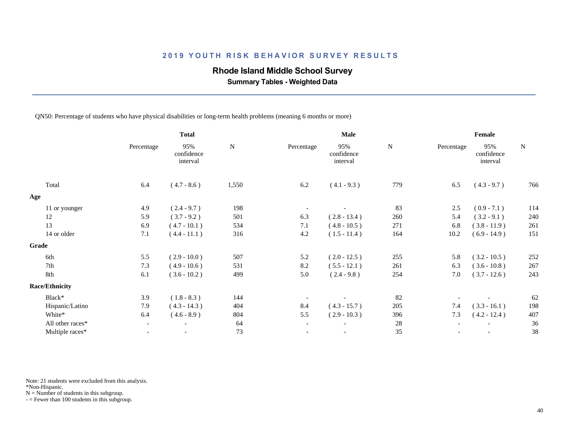### **Rhode Island Middle School Survey**

 **Summary Tables - Weighted Data**

QN50: Percentage of students who have physical disabilities or long-term health problems (meaning 6 months or more)

|                       | <b>Total</b> |                               | Male      |                          |                               | Female    |            |                               |           |
|-----------------------|--------------|-------------------------------|-----------|--------------------------|-------------------------------|-----------|------------|-------------------------------|-----------|
|                       | Percentage   | 95%<br>confidence<br>interval | ${\bf N}$ | Percentage               | 95%<br>confidence<br>interval | ${\bf N}$ | Percentage | 95%<br>confidence<br>interval | ${\bf N}$ |
| Total                 | 6.4          | $(4.7 - 8.6)$                 | 1,550     | 6.2                      | $(4.1 - 9.3)$                 | 779       | 6.5        | $(4.3 - 9.7)$                 | 766       |
| Age                   |              |                               |           |                          |                               |           |            |                               |           |
| 11 or younger         | 4.9          | $(2.4 - 9.7)$                 | 198       |                          |                               | 83        | 2.5        | $(0.9 - 7.1)$                 | 114       |
| 12                    | 5.9          | $(3.7 - 9.2)$                 | 501       | 6.3                      | $(2.8 - 13.4)$                | 260       | 5.4        | $(3.2 - 9.1)$                 | 240       |
| 13                    | 6.9          | $(4.7 - 10.1)$                | 534       | 7.1                      | $(4.8 - 10.5)$                | 271       | 6.8        | $(3.8 - 11.9)$                | 261       |
| 14 or older           | 7.1          | $(4.4 - 11.1)$                | 316       | 4.2                      | $(1.5 - 11.4)$                | 164       | 10.2       | $(6.9 - 14.9)$                | 151       |
| Grade                 |              |                               |           |                          |                               |           |            |                               |           |
| 6th                   | 5.5          | $(2.9 - 10.0)$                | 507       | 5.2                      | $(2.0 - 12.5)$                | 255       | 5.8        | $(3.2 - 10.5)$                | 252       |
| 7th                   | 7.3          | $(4.9 - 10.6)$                | 531       | 8.2                      | $(5.5 - 12.1)$                | 261       | 6.3        | $(3.6 - 10.8)$                | 267       |
| 8th                   | 6.1          | $(3.6 - 10.2)$                | 499       | 5.0                      | $(2.4 - 9.8)$                 | 254       | 7.0        | $(3.7 - 12.6)$                | 243       |
| <b>Race/Ethnicity</b> |              |                               |           |                          |                               |           |            |                               |           |
| Black*                | 3.9          | $(1.8 - 8.3)$                 | 144       |                          |                               | 82        |            |                               | 62        |
| Hispanic/Latino       | 7.9          | $(4.3 - 14.3)$                | 404       | 8.4                      | $(4.3 - 15.7)$                | 205       | 7.4        | $(3.3 - 16.1)$                | 198       |
| White*                | 6.4          | $(4.6 - 8.9)$                 | 804       | 5.5                      | $(2.9 - 10.3)$                | 396       | 7.3        | $(4.2 - 12.4)$                | 407       |
| All other races*      | $-$          | $\overline{\phantom{a}}$      | 64        | $\overline{\phantom{a}}$ | $\overline{\phantom{a}}$      | 28        |            |                               | 36        |
| Multiple races*       |              |                               | 73        |                          |                               | 35        |            |                               | 38        |

Note: 21 students were excluded from this analysis.

\*Non-Hispanic.

 $N =$  Number of students in this subgroup.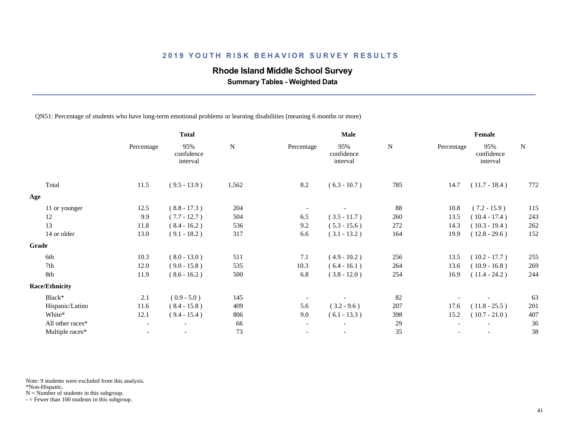### **Rhode Island Middle School Survey**

 **Summary Tables - Weighted Data**

QN51: Percentage of students who have long-term emotional problems or learning disabilities (meaning 6 months or more)

| <b>Total</b> |                               | Male           |                          |                               | Female         |      |                               |                               |
|--------------|-------------------------------|----------------|--------------------------|-------------------------------|----------------|------|-------------------------------|-------------------------------|
| Percentage   | 95%<br>confidence<br>interval | $\mathbf N$    | Percentage               | 95%<br>confidence<br>interval | ${\bf N}$      |      | 95%<br>confidence<br>interval | ${\bf N}$                     |
| 11.5         | $(9.5 - 13.9)$                | 1,562          | 8.2                      | $(6.3 - 10.7)$                | 785            | 14.7 | $(11.7 - 18.4)$               | 772                           |
|              |                               |                |                          |                               |                |      |                               |                               |
| 12.5         | $(8.8 - 17.3)$                | 204            |                          |                               | 88             | 10.8 | $(7.2 - 15.9)$                | 115                           |
| 9.9          | $(7.7 - 12.7)$                | 504            | 6.5                      | $(3.5 - 11.7)$                | 260            | 13.5 | $(10.4 - 17.4)$               | 243                           |
| 11.8         | $(8.4 - 16.2)$                | 536            | 9.2                      | $(5.3 - 15.6)$                | 272            | 14.3 | $(10.3 - 19.4)$               | 262                           |
| 13.0         | $(9.1 - 18.2)$                | 317            | 6.6                      | $(3.1 - 13.2)$                | 164            | 19.9 | $(12.8 - 29.6)$               | 152                           |
|              |                               |                |                          |                               |                |      |                               |                               |
|              |                               | 511            | 7.1                      |                               |                |      |                               | 255                           |
| 12.0         | $(9.0 - 15.8)$                |                | 10.3                     | $(6.4 - 16.1)$                | 264            |      | $(10.9 - 16.8)$               | 269                           |
| 11.9         | $(8.6 - 16.2)$                | 500            | 6.8                      | $(3.8 - 12.0)$                | 254            | 16.9 | $(11.4 - 24.2)$               | 244                           |
|              |                               |                |                          |                               |                |      |                               |                               |
| 2.1          | $(0.9 - 5.0)$                 | 145            |                          |                               | 82             |      |                               | 63                            |
| 11.6         | $(8.4 - 15.8)$                | 409            | 5.6                      | $(3.2 - 9.6)$                 | 207            | 17.6 | $(11.8 - 25.5)$               | 201                           |
| 12.1         | $(9.4 - 15.4)$                | 806            | 9.0                      | $(6.1 - 13.3)$                | 398            | 15.2 | $(10.7 - 21.0)$               | 407                           |
|              | $\overline{\phantom{a}}$      | 66             | $\overline{\phantom{a}}$ |                               | 29             |      |                               | 36                            |
|              | $\overline{\phantom{a}}$      | 73             |                          |                               | 35             |      |                               | 38                            |
|              | 10.3                          | $(8.0 - 13.0)$ | 535                      |                               | $(4.9 - 10.2)$ | 256  | 13.5<br>13.6                  | Percentage<br>$(10.2 - 17.7)$ |

Note: 9 students were excluded from this analysis.

\*Non-Hispanic.

 $N =$  Number of students in this subgroup.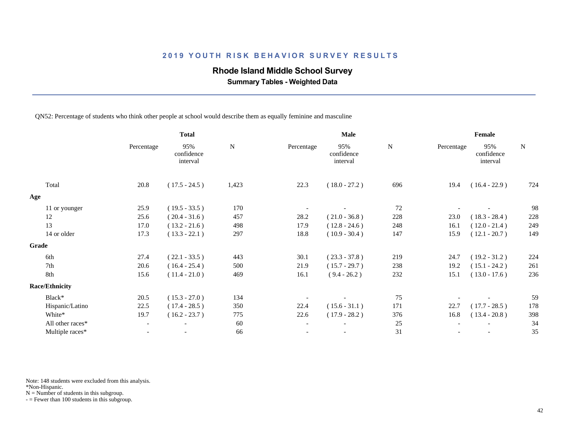### **Rhode Island Middle School Survey**

 **Summary Tables - Weighted Data**

QN52: Percentage of students who think other people at school would describe them as equally feminine and masculine

|                       | <b>Total</b>             |                               | Male      |                          |                               | Female    |            |                               |           |
|-----------------------|--------------------------|-------------------------------|-----------|--------------------------|-------------------------------|-----------|------------|-------------------------------|-----------|
|                       | Percentage               | 95%<br>confidence<br>interval | ${\bf N}$ | Percentage               | 95%<br>confidence<br>interval | ${\bf N}$ | Percentage | 95%<br>confidence<br>interval | ${\bf N}$ |
| Total                 | 20.8                     | $(17.5 - 24.5)$               | 1,423     | 22.3                     | $(18.0 - 27.2)$               | 696       | 19.4       | $(16.4 - 22.9)$               | 724       |
| Age                   |                          |                               |           |                          |                               |           |            |                               |           |
| 11 or younger         | 25.9                     | $(19.5 - 33.5)$               | 170       |                          |                               | 72        |            |                               | 98        |
| 12                    | 25.6                     | $(20.4 - 31.6)$               | 457       | 28.2                     | $(21.0 - 36.8)$               | 228       | 23.0       | $(18.3 - 28.4)$               | 228       |
| 13                    | 17.0                     | $(13.2 - 21.6)$               | 498       | 17.9                     | $(12.8 - 24.6)$               | 248       | 16.1       | $(12.0 - 21.4)$               | 249       |
| 14 or older           | 17.3                     | $(13.3 - 22.1)$               | 297       | 18.8                     | $(10.9 - 30.4)$               | 147       | 15.9       | $(12.1 - 20.7)$               | 149       |
| Grade                 |                          |                               |           |                          |                               |           |            |                               |           |
| 6th                   | 27.4                     | $(22.1 - 33.5)$               | 443       | 30.1                     | $(23.3 - 37.8)$               | 219       | 24.7       | $(19.2 - 31.2)$               | 224       |
| 7th                   | 20.6                     | $(16.4 - 25.4)$               | 500       | 21.9                     | $(15.7 - 29.7)$               | 238       | 19.2       | $(15.1 - 24.2)$               | 261       |
| 8th                   | 15.6                     | $(11.4 - 21.0)$               | 469       | 16.1                     | $(9.4 - 26.2)$                | 232       | 15.1       | $(13.0 - 17.6)$               | 236       |
| <b>Race/Ethnicity</b> |                          |                               |           |                          |                               |           |            |                               |           |
| Black*                | 20.5                     | $(15.3 - 27.0)$               | 134       |                          |                               | 75        |            |                               | 59        |
| Hispanic/Latino       | 22.5                     | $(17.4 - 28.5)$               | 350       | 22.4                     | $(15.6 - 31.1)$               | 171       | 22.7       | $(17.7 - 28.5)$               | 178       |
| White*                | 19.7                     | $(16.2 - 23.7)$               | 775       | 22.6                     | $(17.9 - 28.2)$               | 376       | 16.8       | $(13.4 - 20.8)$               | 398       |
| All other races*      |                          | $\overline{\phantom{0}}$      | 60        | $\overline{\phantom{a}}$ |                               | 25        |            |                               | 34        |
| Multiple races*       | $\overline{\phantom{a}}$ |                               | 66        | $-$                      | $\overline{\phantom{a}}$      | 31        |            |                               | 35        |
|                       |                          |                               |           |                          |                               |           |            |                               |           |

Note: 148 students were excluded from this analysis.

\*Non-Hispanic.

 $N =$  Number of students in this subgroup.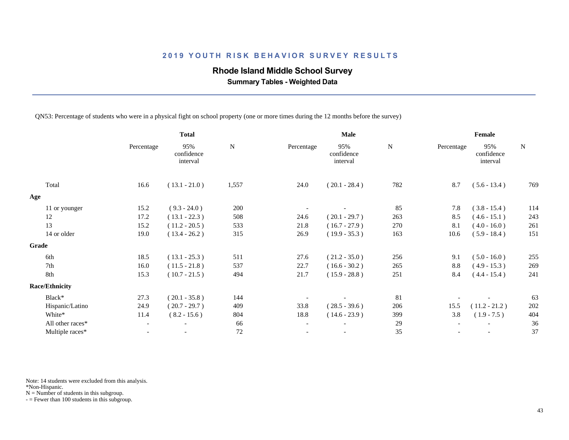## **Rhode Island Middle School Survey**

 **Summary Tables - Weighted Data**

QN53: Percentage of students who were in a physical fight on school property (one or more times during the 12 months before the survey)

| <b>Total</b>             |                               | Male      |                          |                               | Female      |      |                               |             |
|--------------------------|-------------------------------|-----------|--------------------------|-------------------------------|-------------|------|-------------------------------|-------------|
| Percentage               | 95%<br>confidence<br>interval | ${\bf N}$ | Percentage               | 95%<br>confidence<br>interval | $\mathbf N$ |      | 95%<br>confidence<br>interval | $\mathbf N$ |
| 16.6                     | $(13.1 - 21.0)$               | 1,557     | 24.0                     | $(20.1 - 28.4)$               | 782         | 8.7  | $(5.6 - 13.4)$                | 769         |
|                          |                               |           |                          |                               |             |      |                               |             |
| 15.2                     | $(9.3 - 24.0)$                | 200       |                          |                               | 85          | 7.8  | $(3.8 - 15.4)$                | 114         |
| 17.2                     | $(13.1 - 22.3)$               | 508       | 24.6                     | $(20.1 - 29.7)$               | 263         | 8.5  | $(4.6 - 15.1)$                | 243         |
| 15.2                     | $(11.2 - 20.5)$               | 533       | 21.8                     | $(16.7 - 27.9)$               | 270         | 8.1  | $(4.0 - 16.0)$                | 261         |
| 19.0                     | $(13.4 - 26.2)$               | 315       | 26.9                     | $(19.9 - 35.3)$               | 163         | 10.6 | $(5.9 - 18.4)$                | 151         |
|                          |                               |           |                          |                               |             |      |                               |             |
| 18.5                     | $(13.1 - 25.3)$               | 511       | 27.6                     | $(21.2 - 35.0)$               | 256         | 9.1  | $(5.0 - 16.0)$                | 255         |
| 16.0                     | $(11.5 - 21.8)$               | 537       | 22.7                     | $(16.6 - 30.2)$               | 265         | 8.8  | $(4.9 - 15.3)$                | 269         |
| 15.3                     | $(10.7 - 21.5)$               | 494       | 21.7                     | $(15.9 - 28.8)$               | 251         | 8.4  | $(4.4 - 15.4)$                | 241         |
|                          |                               |           |                          |                               |             |      |                               |             |
| 27.3                     | $(20.1 - 35.8)$               | 144       |                          |                               | 81          |      |                               | 63          |
| 24.9                     | $(20.7 - 29.7)$               | 409       | 33.8                     | $(28.5 - 39.6)$               | 206         | 15.5 | $(11.2 - 21.2)$               | 202         |
| 11.4                     | $(8.2 - 15.6)$                | 804       | 18.8                     | $(14.6 - 23.9)$               | 399         | 3.8  | $(1.9 - 7.5)$                 | 404         |
| $\overline{\phantom{a}}$ | $\overline{\phantom{a}}$      | 66        | $\overline{\phantom{a}}$ | $\overline{\phantom{a}}$      | 29          |      |                               | 36          |
| $\overline{\phantom{0}}$ | $\overline{\phantom{a}}$      | $72\,$    |                          | $\overline{\phantom{a}}$      | 35          |      |                               | 37          |
|                          |                               |           |                          |                               |             |      |                               | Percentage  |

Note: 14 students were excluded from this analysis.

\*Non-Hispanic.

 $N =$  Number of students in this subgroup.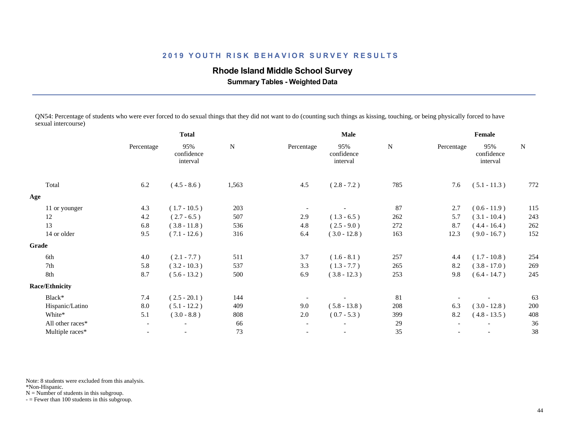## **Rhode Island Middle School Survey**

 **Summary Tables - Weighted Data**

QN54: Percentage of students who were ever forced to do sexual things that they did not want to do (counting such things as kissing, touching, or being physically forced to have sexual intercourse)

|                       | <b>Total</b>             |                               | <b>Male</b> |                          |                               | Female    |            |                               |           |
|-----------------------|--------------------------|-------------------------------|-------------|--------------------------|-------------------------------|-----------|------------|-------------------------------|-----------|
|                       | Percentage               | 95%<br>confidence<br>interval | ${\bf N}$   | Percentage               | 95%<br>confidence<br>interval | ${\bf N}$ | Percentage | 95%<br>confidence<br>interval | ${\bf N}$ |
| Total                 | 6.2                      | $(4.5 - 8.6)$                 | 1,563       | 4.5                      | $(2.8 - 7.2)$                 | 785       | 7.6        | $(5.1 - 11.3)$                | 772       |
| Age                   |                          |                               |             |                          |                               |           |            |                               |           |
| 11 or younger         | 4.3                      | $(1.7 - 10.5)$                | 203         |                          |                               | 87        | 2.7        | $(0.6 - 11.9)$                | 115       |
| 12                    | 4.2                      | $(2.7 - 6.5)$                 | 507         | 2.9                      | $(1.3 - 6.5)$                 | 262       | 5.7        | $(3.1 - 10.4)$                | 243       |
| 13                    | 6.8                      | $(3.8 - 11.8)$                | 536         | 4.8                      | $(2.5 - 9.0)$                 | 272       | 8.7        | $(4.4 - 16.4)$                | 262       |
| 14 or older           | 9.5                      | $(7.1 - 12.6)$                | 316         | 6.4                      | $(3.0 - 12.8)$                | 163       | 12.3       | $(9.0 - 16.7)$                | 152       |
| Grade                 |                          |                               |             |                          |                               |           |            |                               |           |
| 6th                   | 4.0                      | $(2.1 - 7.7)$                 | 511         | 3.7                      | $(1.6 - 8.1)$                 | 257       | 4.4        | $(1.7 - 10.8)$                | 254       |
| 7th                   | 5.8                      | $(3.2 - 10.3)$                | 537         | 3.3                      | $(1.3 - 7.7)$                 | 265       | 8.2        | $(3.8 - 17.0)$                | 269       |
| 8th                   | 8.7                      | $(5.6 - 13.2)$                | 500         | 6.9                      | $(3.8 - 12.3)$                | 253       | 9.8        | $(6.4 - 14.7)$                | 245       |
| <b>Race/Ethnicity</b> |                          |                               |             |                          |                               |           |            |                               |           |
| Black*                | 7.4                      | $(2.5 - 20.1)$                | 144         |                          |                               | 81        |            |                               | 63        |
| Hispanic/Latino       | 8.0                      | $(5.1 - 12.2)$                | 409         | 9.0                      | $(5.8 - 13.8)$                | 208       | 6.3        | $(3.0 - 12.8)$                | 200       |
| White*                | 5.1                      | $(3.0 - 8.8)$                 | 808         | 2.0                      | $(0.7 - 5.3)$                 | 399       | 8.2        | $(4.8 - 13.5)$                | 408       |
| All other races*      | $\overline{\phantom{a}}$ | $\overline{\phantom{a}}$      | 66          | $\overline{\phantom{a}}$ | $\overline{\phantom{a}}$      | 29        |            |                               | 36        |
| Multiple races*       | $\overline{\phantom{a}}$ |                               | 73          |                          | $\overline{\phantom{a}}$      | 35        |            | $\overline{\phantom{a}}$      | 38        |
|                       |                          |                               |             |                          |                               |           |            |                               |           |

Note: 8 students were excluded from this analysis.

\*Non-Hispanic.

 $N =$  Number of students in this subgroup.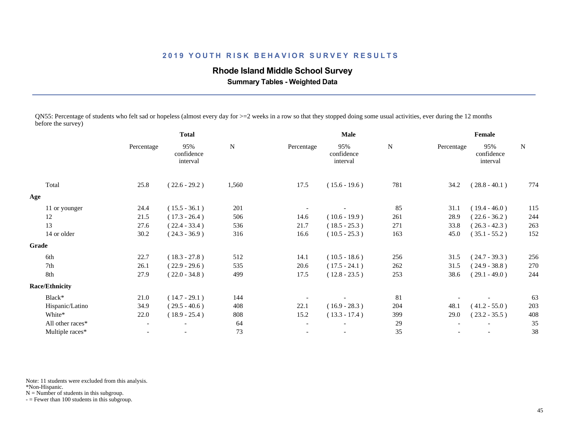### **Rhode Island Middle School Survey**

 **Summary Tables - Weighted Data**

QN55: Percentage of students who felt sad or hopeless (almost every day for  $>=$  2 weeks in a row so that they stopped doing some usual activities, ever during the 12 months before the survey)

|                       | <b>Total</b>             |                               |           |                          | Male                          |           | Female     |                               |           |  |
|-----------------------|--------------------------|-------------------------------|-----------|--------------------------|-------------------------------|-----------|------------|-------------------------------|-----------|--|
|                       | Percentage               | 95%<br>confidence<br>interval | ${\bf N}$ | Percentage               | 95%<br>confidence<br>interval | ${\bf N}$ | Percentage | 95%<br>confidence<br>interval | ${\bf N}$ |  |
| Total                 | 25.8                     | $(22.6 - 29.2)$               | 1,560     | 17.5                     | $(15.6 - 19.6)$               | 781       | 34.2       | $(28.8 - 40.1)$               | 774       |  |
| Age                   |                          |                               |           |                          |                               |           |            |                               |           |  |
| 11 or younger         | 24.4                     | $(15.5 - 36.1)$               | 201       |                          |                               | 85        | 31.1       | $(19.4 - 46.0)$               | 115       |  |
| 12                    | 21.5                     | $(17.3 - 26.4)$               | 506       | 14.6                     | $(10.6 - 19.9)$               | 261       | 28.9       | $(22.6 - 36.2)$               | 244       |  |
| 13                    | 27.6                     | $(22.4 - 33.4)$               | 536       | 21.7                     | $(18.5 - 25.3)$               | 271       | 33.8       | $(26.3 - 42.3)$               | 263       |  |
| 14 or older           | 30.2                     | $(24.3 - 36.9)$               | 316       | 16.6                     | $(10.5 - 25.3)$               | 163       | 45.0       | $(35.1 - 55.2)$               | 152       |  |
| Grade                 |                          |                               |           |                          |                               |           |            |                               |           |  |
| 6th                   | 22.7                     | $(18.3 - 27.8)$               | 512       | 14.1                     | $(10.5 - 18.6)$               | 256       | 31.5       | $(24.7 - 39.3)$               | 256       |  |
| 7th                   | 26.1                     | $(22.9 - 29.6)$               | 535       | 20.6                     | $(17.5 - 24.1)$               | 262       | 31.5       | $(24.9 - 38.8)$               | 270       |  |
| 8th                   | 27.9                     | $(22.0 - 34.8)$               | 499       | 17.5                     | $(12.8 - 23.5)$               | 253       | 38.6       | $(29.1 - 49.0)$               | 244       |  |
| <b>Race/Ethnicity</b> |                          |                               |           |                          |                               |           |            |                               |           |  |
| Black*                | 21.0                     | $(14.7 - 29.1)$               | 144       |                          |                               | 81        |            |                               | 63        |  |
| Hispanic/Latino       | 34.9                     | $(29.5 - 40.6)$               | 408       | 22.1                     | $(16.9 - 28.3)$               | 204       | 48.1       | $(41.2 - 55.0)$               | 203       |  |
| White*                | 22.0                     | $(18.9 - 25.4)$               | 808       | 15.2                     | $(13.3 - 17.4)$               | 399       | 29.0       | $(23.2 - 35.5)$               | 408       |  |
| All other races*      | $-$                      | $\overline{\phantom{a}}$      | 64        | $\overline{\phantom{a}}$ | $\overline{\phantom{a}}$      | 29        |            |                               | 35        |  |
| Multiple races*       | $\overline{\phantom{a}}$ |                               | 73        | $\overline{\phantom{a}}$ | $\overline{\phantom{a}}$      | 35        |            |                               | 38        |  |
|                       |                          |                               |           |                          |                               |           |            |                               |           |  |

Note: 11 students were excluded from this analysis.

\*Non-Hispanic.

 $N =$  Number of students in this subgroup.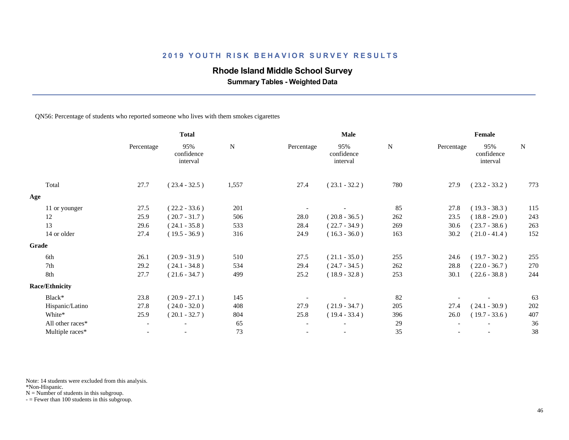## **Rhode Island Middle School Survey**

 **Summary Tables - Weighted Data**

#### QN56: Percentage of students who reported someone who lives with them smokes cigarettes

|                       | <b>Total</b>             |                               | <b>Male</b> |                          |                               | Female |            |                               |           |
|-----------------------|--------------------------|-------------------------------|-------------|--------------------------|-------------------------------|--------|------------|-------------------------------|-----------|
|                       | Percentage               | 95%<br>confidence<br>interval | N           | Percentage               | 95%<br>confidence<br>interval | N      | Percentage | 95%<br>confidence<br>interval | ${\bf N}$ |
| Total                 | 27.7                     | $(23.4 - 32.5)$               | 1,557       | 27.4                     | $(23.1 - 32.2)$               | 780    | 27.9       | $(23.2 - 33.2)$               | 773       |
| Age                   |                          |                               |             |                          |                               |        |            |                               |           |
| 11 or younger         | 27.5                     | $(22.2 - 33.6)$               | 201         |                          |                               | 85     | 27.8       | $(19.3 - 38.3)$               | 115       |
| 12                    | 25.9                     | $(20.7 - 31.7)$               | 506         | 28.0                     | $(20.8 - 36.5)$               | 262    | 23.5       | $(18.8 - 29.0)$               | 243       |
| 13                    | 29.6                     | $(24.1 - 35.8)$               | 533         | 28.4                     | $(22.7 - 34.9)$               | 269    | 30.6       | $(23.7 - 38.6)$               | 263       |
| 14 or older           | 27.4                     | $(19.5 - 36.9)$               | 316         | 24.9                     | $(16.3 - 36.0)$               | 163    | 30.2       | $(21.0 - 41.4)$               | 152       |
| Grade                 |                          |                               |             |                          |                               |        |            |                               |           |
| 6th                   | 26.1                     | $(20.9 - 31.9)$               | 510         | 27.5                     | $(21.1 - 35.0)$               | 255    | 24.6       | $(19.7 - 30.2)$               | 255       |
| 7th                   | 29.2                     | $(24.1 - 34.8)$               | 534         | 29.4                     | $(24.7 - 34.5)$               | 262    | 28.8       | $(22.0 - 36.7)$               | 270       |
| 8th                   | 27.7                     | $(21.6 - 34.7)$               | 499         | 25.2                     | $(18.9 - 32.8)$               | 253    | 30.1       | $(22.6 - 38.8)$               | 244       |
| <b>Race/Ethnicity</b> |                          |                               |             |                          |                               |        |            |                               |           |
| Black*                | 23.8                     | $(20.9 - 27.1)$               | 145         |                          |                               | 82     |            |                               | 63        |
| Hispanic/Latino       | 27.8                     | $(24.0 - 32.0)$               | 408         | 27.9                     | $(21.9 - 34.7)$               | 205    | 27.4       | $(24.1 - 30.9)$               | 202       |
| White*                | 25.9                     | $(20.1 - 32.7)$               | 804         | 25.8                     | $(19.4 - 33.4)$               | 396    | 26.0       | $(19.7 - 33.6)$               | 407       |
| All other races*      | $\overline{\phantom{a}}$ | $\overline{\phantom{a}}$      | 65          | $\overline{\phantom{a}}$ | $\overline{\phantom{a}}$      | 29     |            |                               | 36        |
| Multiple races*       | $\overline{\phantom{0}}$ |                               | 73          | $\overline{\phantom{a}}$ | $\overline{\phantom{a}}$      | 35     |            |                               | 38        |
|                       |                          |                               |             |                          |                               |        |            |                               |           |

Note: 14 students were excluded from this analysis.

\*Non-Hispanic.

 $N =$  Number of students in this subgroup.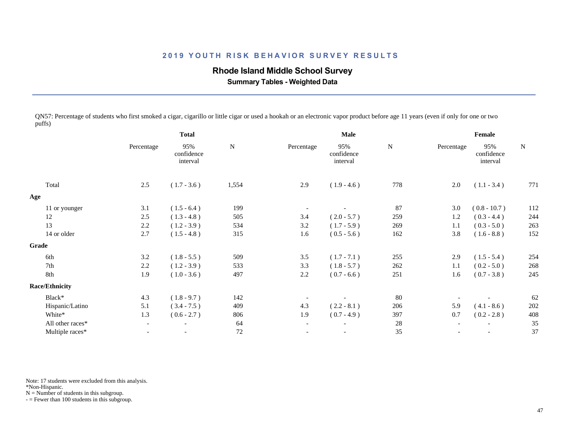## **Rhode Island Middle School Survey**

 **Summary Tables - Weighted Data**

QN57: Percentage of students who first smoked a cigar, cigarillo or little cigar or used a hookah or an electronic vapor product before age 11 years (even if only for one or two puffs)

|                       | <b>Total</b>             |                               |             | Male                     |                               |             | Female     |                               |           |
|-----------------------|--------------------------|-------------------------------|-------------|--------------------------|-------------------------------|-------------|------------|-------------------------------|-----------|
|                       | Percentage               | 95%<br>confidence<br>interval | $\mathbf N$ | Percentage               | 95%<br>confidence<br>interval | $\mathbf N$ | Percentage | 95%<br>confidence<br>interval | ${\bf N}$ |
| Total                 | 2.5                      | $(1.7 - 3.6)$                 | 1,554       | 2.9                      | $(1.9 - 4.6)$                 | 778         | 2.0        | $(1.1 - 3.4)$                 | 771       |
| Age                   |                          |                               |             |                          |                               |             |            |                               |           |
| 11 or younger         | 3.1                      | $(1.5 - 6.4)$                 | 199         | $\overline{\phantom{a}}$ |                               | 87          | 3.0        | $(0.8 - 10.7)$                | 112       |
| 12                    | 2.5                      | $(1.3 - 4.8)$                 | 505         | 3.4                      | $(2.0 - 5.7)$                 | 259         | 1.2        | $(0.3 - 4.4)$                 | 244       |
| 13                    | 2.2                      | $(1.2 - 3.9)$                 | 534         | 3.2                      | $(1.7 - 5.9)$                 | 269         | 1.1        | $(0.3 - 5.0)$                 | 263       |
| 14 or older           | 2.7                      | $(1.5 - 4.8)$                 | 315         | 1.6                      | $(0.5 - 5.6)$                 | 162         | 3.8        | $(1.6 - 8.8)$                 | 152       |
| Grade                 |                          |                               |             |                          |                               |             |            |                               |           |
| 6th                   | 3.2                      | $(1.8 - 5.5)$                 | 509         | 3.5                      | $(1.7 - 7.1)$                 | 255         | 2.9        | $(1.5 - 5.4)$                 | 254       |
| 7th                   | 2.2                      | $(1.2 - 3.9)$                 | 533         | 3.3                      | $(1.8 - 5.7)$                 | 262         | 1.1        | $(0.2 - 5.0)$                 | 268       |
| 8th                   | 1.9                      | $(1.0 - 3.6)$                 | 497         | 2.2                      | $(0.7 - 6.6)$                 | 251         | 1.6        | $(0.7 - 3.8)$                 | 245       |
| <b>Race/Ethnicity</b> |                          |                               |             |                          |                               |             |            |                               |           |
| Black*                | 4.3                      | $(1.8 - 9.7)$                 | 142         |                          |                               | 80          |            |                               | 62        |
| Hispanic/Latino       | 5.1                      | $(3.4 - 7.5)$                 | 409         | 4.3                      | $(2.2 - 8.1)$                 | 206         | 5.9        | $(4.1 - 8.6)$                 | 202       |
| White*                | 1.3                      | $(0.6 - 2.7)$                 | 806         | 1.9                      | $(0.7 - 4.9)$                 | 397         | 0.7        | $(0.2 - 2.8)$                 | 408       |
| All other races*      | $\overline{\phantom{0}}$ | $\overline{\phantom{a}}$      | 64          | $\overline{\phantom{a}}$ | $\overline{\phantom{a}}$      | 28          |            | $\overline{\phantom{a}}$      | 35        |
| Multiple races*       | $\overline{\phantom{a}}$ |                               | 72          |                          | $\overline{\phantom{a}}$      | 35          |            | $\overline{\phantom{a}}$      | 37        |
|                       |                          |                               |             |                          |                               |             |            |                               |           |

Note: 17 students were excluded from this analysis.

\*Non-Hispanic.

 $N =$  Number of students in this subgroup.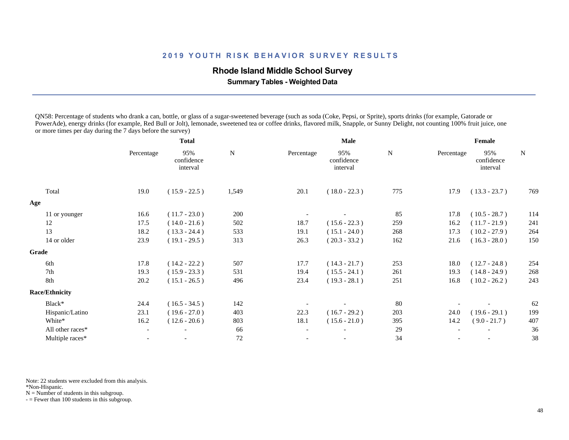### **Rhode Island Middle School Survey**

 **Summary Tables - Weighted Data**

QN58: Percentage of students who drank a can, bottle, or glass of a sugar-sweetened beverage (such as soda (Coke, Pepsi, or Sprite), sports drinks (for example, Gatorade or PowerAde), energy drinks (for example, Red Bull or Jolt), lemonade, sweetened tea or coffee drinks, flavored milk, Snapple, or Sunny Delight, not counting 100% fruit juice, one or more times per day during the 7 days before the survey)

|                       | <b>Total</b>             |                               |             |                          | Male                          |             |            | Female                        |             |  |  |
|-----------------------|--------------------------|-------------------------------|-------------|--------------------------|-------------------------------|-------------|------------|-------------------------------|-------------|--|--|
|                       | Percentage               | 95%<br>confidence<br>interval | $\mathbf N$ | Percentage               | 95%<br>confidence<br>interval | $\mathbf N$ | Percentage | 95%<br>confidence<br>interval | $\mathbf N$ |  |  |
| Total                 | 19.0                     | $(15.9 - 22.5)$               | 1,549       | 20.1                     | $(18.0 - 22.3)$               | 775         | 17.9       | $(13.3 - 23.7)$               | 769         |  |  |
| Age                   |                          |                               |             |                          |                               |             |            |                               |             |  |  |
| 11 or younger         | 16.6                     | $(11.7 - 23.0)$               | 200         |                          |                               | 85          | 17.8       | $(10.5 - 28.7)$               | 114         |  |  |
| 12                    | 17.5                     | $(14.0 - 21.6)$               | 502         | 18.7                     | $(15.6 - 22.3)$               | 259         | 16.2       | $(11.7 - 21.9)$               | 241         |  |  |
| 13                    | 18.2                     | $(13.3 - 24.4)$               | 533         | 19.1                     | $(15.1 - 24.0)$               | 268         | 17.3       | $(10.2 - 27.9)$               | 264         |  |  |
| 14 or older           | 23.9                     | $(19.1 - 29.5)$               | 313         | 26.3                     | $(20.3 - 33.2)$               | 162         | 21.6       | $(16.3 - 28.0)$               | 150         |  |  |
| Grade                 |                          |                               |             |                          |                               |             |            |                               |             |  |  |
| 6th                   | 17.8                     | $(14.2 - 22.2)$               | 507         | 17.7                     | $(14.3 - 21.7)$               | 253         | 18.0       | $(12.7 - 24.8)$               | 254         |  |  |
| 7th                   | 19.3                     | $(15.9 - 23.3)$               | 531         | 19.4                     | $(15.5 - 24.1)$               | 261         | 19.3       | $(14.8 - 24.9)$               | 268         |  |  |
| 8th                   | 20.2                     | $(15.1 - 26.5)$               | 496         | 23.4                     | $(19.3 - 28.1)$               | 251         | 16.8       | $(10.2 - 26.2)$               | 243         |  |  |
| <b>Race/Ethnicity</b> |                          |                               |             |                          |                               |             |            |                               |             |  |  |
| Black*                | 24.4                     | $(16.5 - 34.5)$               | 142         |                          |                               | 80          |            |                               | 62          |  |  |
| Hispanic/Latino       | 23.1                     | $(19.6 - 27.0)$               | 403         | 22.3                     | $(16.7 - 29.2)$               | 203         | 24.0       | $(19.6 - 29.1)$               | 199         |  |  |
| White*                | 16.2                     | $(12.6 - 20.6)$               | 803         | 18.1                     | $(15.6 - 21.0)$               | 395         | 14.2       | $(9.0 - 21.7)$                | 407         |  |  |
| All other races*      | $\overline{\phantom{a}}$ | $\overline{\phantom{0}}$      | 66          | $\overline{\phantom{a}}$ | $\overline{\phantom{a}}$      | 29          |            |                               | 36          |  |  |
| Multiple races*       | $\overline{a}$           |                               | $72\,$      | $\overline{\phantom{a}}$ | $\overline{\phantom{a}}$      | 34          |            | $\overline{\phantom{a}}$      | 38          |  |  |
|                       |                          |                               |             |                          |                               |             |            |                               |             |  |  |

Note: 22 students were excluded from this analysis.

\*Non-Hispanic.

 $N =$  Number of students in this subgroup.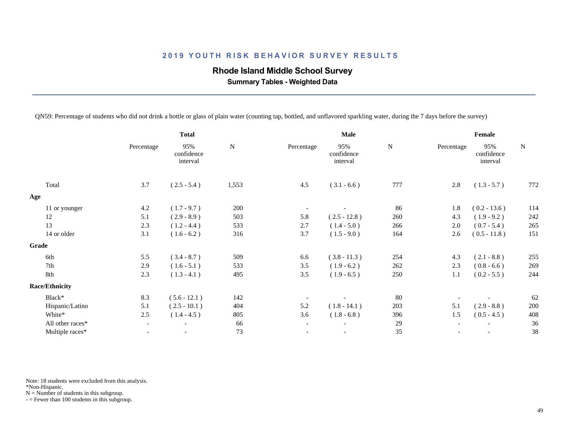## **Rhode Island Middle School Survey**

 **Summary Tables - Weighted Data**

QN59: Percentage of students who did not drink a bottle or glass of plain water (counting tap, bottled, and unflavored sparkling water, during the 7 days before the survey)

| Female                                     |  |  |
|--------------------------------------------|--|--|
| 95%<br>${\bf N}$<br>confidence<br>interval |  |  |
| $(1.3 - 5.7)$<br>772                       |  |  |
|                                            |  |  |
| $(0.2 - 13.6)$<br>114                      |  |  |
| 242<br>$(1.9 - 9.2)$                       |  |  |
| 265<br>$(0.7 - 5.4)$                       |  |  |
| $(0.5 - 11.8)$<br>151                      |  |  |
|                                            |  |  |
| $(2.1 - 8.8)$<br>255                       |  |  |
| 269<br>$(0.8 - 6.6)$                       |  |  |
| 244<br>$(0.2 - 5.5)$                       |  |  |
|                                            |  |  |
| 62                                         |  |  |
| 200<br>$(2.9 - 8.8)$                       |  |  |
| $(0.5 - 4.5)$<br>408                       |  |  |
| 36                                         |  |  |
| 38                                         |  |  |
|                                            |  |  |

Note: 18 students were excluded from this analysis.

\*Non-Hispanic.

 $N =$  Number of students in this subgroup.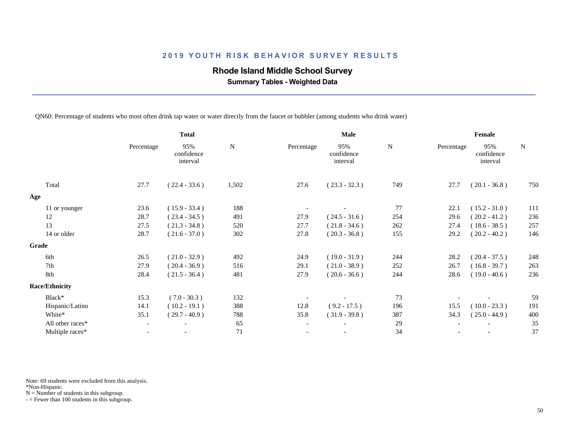### **Rhode Island Middle School Survey**

 **Summary Tables - Weighted Data**

QN60: Percentage of students who most often drink tap water or water directly from the faucet or bubbler (among students who drink water)

| <b>Total</b>             |                               |       |                          | <b>Male</b>                   |     | Female |                               |            |
|--------------------------|-------------------------------|-------|--------------------------|-------------------------------|-----|--------|-------------------------------|------------|
| Percentage               | 95%<br>confidence<br>interval | N     | Percentage               | 95%<br>confidence<br>interval | N   |        | 95%<br>confidence<br>interval | ${\bf N}$  |
| 27.7                     | $(22.4 - 33.6)$               | 1,502 | 27.6                     | $(23.3 - 32.3)$               | 749 | 27.7   | $(20.1 - 36.8)$               | 750        |
|                          |                               |       |                          |                               |     |        |                               |            |
| 23.6                     | $(15.9 - 33.4)$               | 188   |                          |                               | 77  | 22.1   | $(15.2 - 31.0)$               | 111        |
| 28.7                     | $(23.4 - 34.5)$               | 491   | 27.9                     | $(24.5 - 31.6)$               | 254 | 29.6   | $(20.2 - 41.2)$               | 236        |
| 27.5                     | $(21.3 - 34.8)$               | 520   | 27.7                     | $(21.8 - 34.6)$               | 262 | 27.4   | $(18.6 - 38.5)$               | 257        |
| 28.7                     | $(21.6 - 37.0)$               | 302   | 27.8                     | $(20.3 - 36.8)$               | 155 | 29.2   | $(20.2 - 40.2)$               | 146        |
|                          |                               |       |                          |                               |     |        |                               |            |
| 26.5                     | $(21.0 - 32.9)$               | 492   | 24.9                     | $(19.0 - 31.9)$               | 244 | 28.2   | $(20.4 - 37.5)$               | 248        |
| 27.9                     | $(20.4 - 36.9)$               | 516   | 29.1                     | $(21.0 - 38.9)$               | 252 | 26.7   | $(16.8 - 39.7)$               | 263        |
| 28.4                     | $(21.5 - 36.4)$               | 481   | 27.9                     | $(20.6 - 36.6)$               | 244 | 28.6   | $(19.0 - 40.6)$               | 236        |
|                          |                               |       |                          |                               |     |        |                               |            |
| 15.3                     | $(7.0 - 30.3)$                | 132   |                          |                               | 73  |        |                               | 59         |
| 14.1                     | $(10.2 - 19.1)$               | 388   | 12.8                     | $(9.2 - 17.5)$                | 196 | 15.5   | $(10.0 - 23.3)$               | 191        |
| 35.1                     | $(29.7 - 40.9)$               | 788   | 35.8                     | $(31.9 - 39.8)$               | 387 | 34.3   | $(25.0 - 44.9)$               | 400        |
| $\overline{\phantom{a}}$ | $\overline{\phantom{a}}$      | 65    | $\overline{\phantom{a}}$ | $\overline{\phantom{a}}$      | 29  |        |                               | 35         |
| $\overline{\phantom{0}}$ | $\overline{\phantom{a}}$      | 71    |                          |                               | 34  |        |                               | 37         |
|                          |                               |       |                          |                               |     |        |                               | Percentage |

Note: 69 students were excluded from this analysis.

\*Non-Hispanic.

 $N =$  Number of students in this subgroup.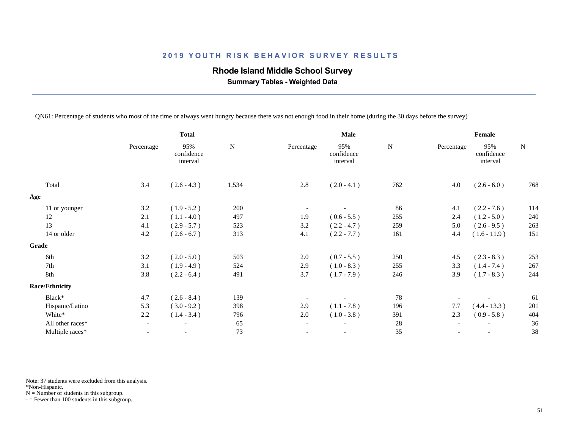## **Rhode Island Middle School Survey**

 **Summary Tables - Weighted Data**

QN61: Percentage of students who most of the time or always went hungry because there was not enough food in their home (during the 30 days before the survey)

| <b>Total</b>             |                               |           |                          | Male                          | Female    |     |                               |           |
|--------------------------|-------------------------------|-----------|--------------------------|-------------------------------|-----------|-----|-------------------------------|-----------|
| Percentage               | 95%<br>confidence<br>interval | ${\bf N}$ | Percentage               | 95%<br>confidence<br>interval | ${\bf N}$ |     | 95%<br>confidence<br>interval | ${\bf N}$ |
| 3.4                      | $(2.6 - 4.3)$                 | 1,534     | 2.8                      | $(2.0 - 4.1)$                 | 762       | 4.0 | $(2.6 - 6.0)$                 | 768       |
|                          |                               |           |                          |                               |           |     |                               |           |
| 3.2                      | $(1.9 - 5.2)$                 | 200       |                          |                               | 86        | 4.1 | $(2.2 - 7.6)$                 | 114       |
| 2.1                      | $(1.1 - 4.0)$                 | 497       | 1.9                      | $(0.6 - 5.5)$                 | 255       | 2.4 | $(1.2 - 5.0)$                 | 240       |
| 4.1                      | $(2.9 - 5.7)$                 | 523       | 3.2                      | $(2.2 - 4.7)$                 | 259       | 5.0 | $(2.6 - 9.5)$                 | 263       |
| 4.2                      | $(2.6 - 6.7)$                 | 313       | 4.1                      | $(2.2 - 7.7)$                 | 161       | 4.4 | $(1.6 - 11.9)$                | 151       |
|                          |                               |           |                          |                               |           |     |                               |           |
| 3.2                      | $(2.0 - 5.0)$                 | 503       | 2.0                      | $(0.7 - 5.5)$                 | 250       | 4.5 | $(2.3 - 8.3)$                 | 253       |
| 3.1                      | $(1.9 - 4.9)$                 | 524       | 2.9                      | $(1.0 - 8.3)$                 | 255       | 3.3 | $(1.4 - 7.4)$                 | 267       |
| 3.8                      | $(2.2 - 6.4)$                 | 491       | 3.7                      | $(1.7 - 7.9)$                 | 246       | 3.9 | $(1.7 - 8.3)$                 | 244       |
|                          |                               |           |                          |                               |           |     |                               |           |
| 4.7                      | $(2.6 - 8.4)$                 | 139       |                          |                               | 78        |     |                               | 61        |
| 5.3                      | $(3.0 - 9.2)$                 | 398       | 2.9                      | $(1.1 - 7.8)$                 | 196       | 7.7 | $(4.4 - 13.3)$                | 201       |
| 2.2                      | $(1.4 - 3.4)$                 | 796       | 2.0                      | $(1.0 - 3.8)$                 | 391       | 2.3 | $(0.9 - 5.8)$                 | 404       |
| $\overline{\phantom{a}}$ | $\overline{\phantom{a}}$      | 65        | $\overline{\phantom{a}}$ | $\overline{\phantom{a}}$      | $28\,$    |     |                               | 36        |
|                          | $\overline{\phantom{a}}$      | 73        |                          | $\overline{\phantom{a}}$      | 35        |     | $\overline{\phantom{a}}$      | 38        |
|                          |                               |           |                          |                               |           |     | Percentage                    |           |

Note: 37 students were excluded from this analysis.

\*Non-Hispanic.

 $N =$  Number of students in this subgroup.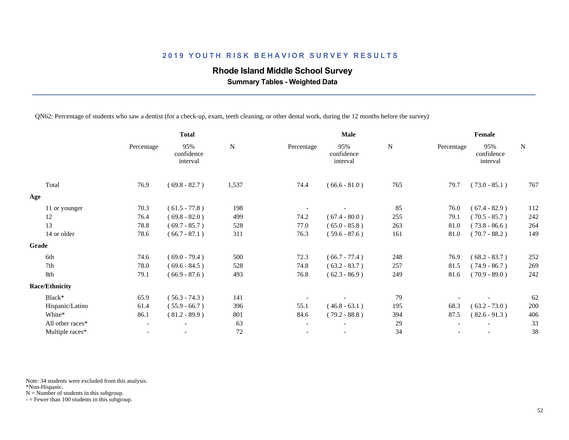## **Rhode Island Middle School Survey**

 **Summary Tables - Weighted Data**

QN62: Percentage of students who saw a dentist (for a check-up, exam, teeth cleaning, or other dental work, during the 12 months before the survey)

|                       | <b>Total</b>             |                               |             |                          | Male                          | Female      |            |                               |           |
|-----------------------|--------------------------|-------------------------------|-------------|--------------------------|-------------------------------|-------------|------------|-------------------------------|-----------|
|                       | Percentage               | 95%<br>confidence<br>interval | $\mathbf N$ | Percentage               | 95%<br>confidence<br>interval | $\mathbf N$ | Percentage | 95%<br>confidence<br>interval | ${\bf N}$ |
| Total                 | 76.9                     | $(69.8 - 82.7)$               | 1,537       | 74.4                     | $(66.6 - 81.0)$               | 765         | 79.7       | $(73.0 - 85.1)$               | 767       |
| Age                   |                          |                               |             |                          |                               |             |            |                               |           |
| 11 or younger         | 70.3                     | $(61.5 - 77.8)$               | 198         |                          |                               | 85          | 76.0       | $(67.4 - 82.9)$               | 112       |
| 12                    | 76.4                     | $(69.8 - 82.0)$               | 499         | 74.2                     | $(67.4 - 80.0)$               | 255         | 79.1       | $(70.5 - 85.7)$               | 242       |
| 13                    | 78.8                     | $(69.7 - 85.7)$               | 528         | 77.0                     | $(65.0 - 85.8)$               | 263         | 81.0       | $(73.8 - 86.6)$               | 264       |
| 14 or older           | 78.6                     | $(66.7 - 87.1)$               | 311         | 76.3                     | $(59.6 - 87.6)$               | 161         | 81.0       | $(70.7 - 88.2)$               | 149       |
| Grade                 |                          |                               |             |                          |                               |             |            |                               |           |
| 6th                   | 74.6                     | $(69.0 - 79.4)$               | 500         | 72.3                     | $(66.7 - 77.4)$               | 248         | 76.9       | $(68.2 - 83.7)$               | 252       |
| 7th                   | 78.0                     | $(69.6 - 84.5)$               | 528         | 74.8                     | $(63.2 - 83.7)$               | 257         | 81.5       | $(74.9 - 86.7)$               | 269       |
| 8th                   | 79.1                     | $(66.9 - 87.6)$               | 493         | 76.8                     | $(62.3 - 86.9)$               | 249         | 81.6       | $(70.9 - 89.0)$               | 242       |
| <b>Race/Ethnicity</b> |                          |                               |             |                          |                               |             |            |                               |           |
| Black*                | 65.9                     | $(56.3 - 74.3)$               | 141         |                          |                               | 79          |            |                               | 62        |
| Hispanic/Latino       | 61.4                     | $(55.9 - 66.7)$               | 396         | 55.1                     | $(46.8 - 63.1)$               | 195         | 68.3       | $(63.2 - 73.0)$               | 200       |
| White*                | 86.1                     | $(81.2 - 89.9)$               | 801         | 84.6                     | $(79.2 - 88.8)$               | 394         | 87.5       | $(82.6 - 91.3)$               | 406       |
| All other races*      | $\overline{\phantom{a}}$ | $\overline{\phantom{a}}$      | 63          | $\overline{\phantom{a}}$ |                               | 29          |            |                               | 33        |
| Multiple races*       |                          |                               | 72          |                          |                               | 34          |            |                               | 38        |
|                       |                          |                               |             |                          |                               |             |            |                               |           |

Note: 34 students were excluded from this analysis.

\*Non-Hispanic.

 $N =$  Number of students in this subgroup.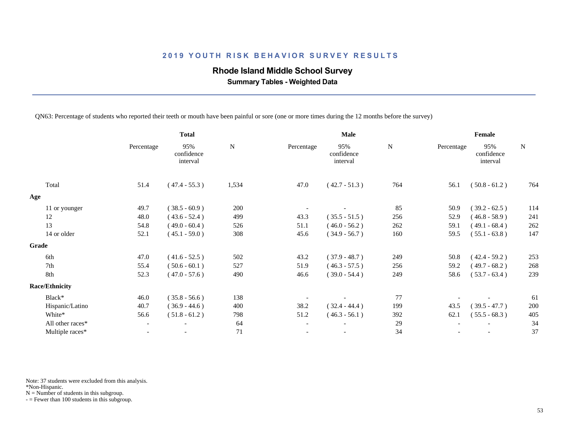### **Rhode Island Middle School Survey**

 **Summary Tables - Weighted Data**

QN63: Percentage of students who reported their teeth or mouth have been painful or sore (one or more times during the 12 months before the survey)

|                       | <b>Total</b>             |                               |           |                          | Male                          | Female      |            |                               |           |
|-----------------------|--------------------------|-------------------------------|-----------|--------------------------|-------------------------------|-------------|------------|-------------------------------|-----------|
|                       | Percentage               | 95%<br>confidence<br>interval | ${\bf N}$ | Percentage               | 95%<br>confidence<br>interval | $\mathbf N$ | Percentage | 95%<br>confidence<br>interval | ${\bf N}$ |
| Total                 | 51.4                     | $(47.4 - 55.3)$               | 1,534     | 47.0                     | $(42.7 - 51.3)$               | 764         | 56.1       | $(50.8 - 61.2)$               | 764       |
| Age                   |                          |                               |           |                          |                               |             |            |                               |           |
| 11 or younger         | 49.7                     | $(38.5 - 60.9)$               | 200       |                          |                               | 85          | 50.9       | $(39.2 - 62.5)$               | 114       |
| 12                    | 48.0                     | $(43.6 - 52.4)$               | 499       | 43.3                     | $(35.5 - 51.5)$               | 256         | 52.9       | $(46.8 - 58.9)$               | 241       |
| 13                    | 54.8                     | $(49.0 - 60.4)$               | 526       | 51.1                     | $(46.0 - 56.2)$               | 262         | 59.1       | $(49.1 - 68.4)$               | 262       |
| 14 or older           | 52.1                     | $(45.1 - 59.0)$               | 308       | 45.6                     | $(34.9 - 56.7)$               | 160         | 59.5       | $(55.1 - 63.8)$               | 147       |
| Grade                 |                          |                               |           |                          |                               |             |            |                               |           |
| 6th                   | 47.0                     | $(41.6 - 52.5)$               | 502       | 43.2                     | $(37.9 - 48.7)$               | 249         | 50.8       | $(42.4 - 59.2)$               | 253       |
| 7th                   | 55.4                     | $(50.6 - 60.1)$               | 527       | 51.9                     | $(46.3 - 57.5)$               | 256         | 59.2       | $(49.7 - 68.2)$               | 268       |
| 8th                   | 52.3                     | $(47.0 - 57.6)$               | 490       | 46.6                     | $(39.0 - 54.4)$               | 249         | 58.6       | $(53.7 - 63.4)$               | 239       |
| <b>Race/Ethnicity</b> |                          |                               |           |                          |                               |             |            |                               |           |
| Black*                | 46.0                     | $(35.8 - 56.6)$               | 138       |                          |                               | 77          |            |                               | 61        |
| Hispanic/Latino       | 40.7                     | $(36.9 - 44.6)$               | 400       | 38.2                     | $(32.4 - 44.4)$               | 199         | 43.5       | $(39.5 - 47.7)$               | 200       |
| White*                | 56.6                     | $(51.8 - 61.2)$               | 798       | 51.2                     | $(46.3 - 56.1)$               | 392         | 62.1       | $(55.5 - 68.3)$               | 405       |
| All other races*      | $\overline{\phantom{a}}$ | $\overline{\phantom{a}}$      | 64        | $\overline{\phantom{a}}$ | $\overline{\phantom{a}}$      | 29          |            |                               | 34        |
| Multiple races*       | $\overline{\phantom{a}}$ | $\overline{\phantom{a}}$      | 71        |                          |                               | 34          |            |                               | 37        |
|                       |                          |                               |           |                          |                               |             |            |                               |           |

Note: 37 students were excluded from this analysis.

\*Non-Hispanic.

 $N =$  Number of students in this subgroup.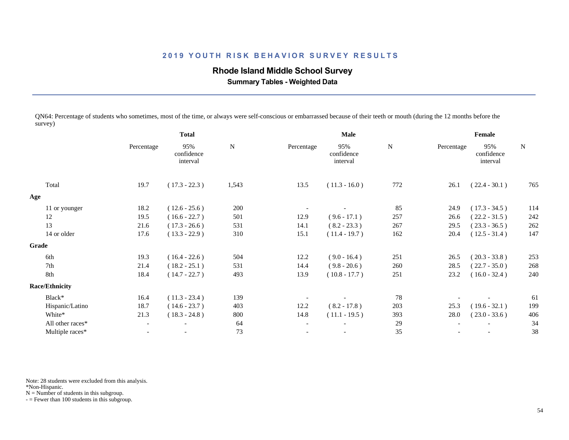### **Rhode Island Middle School Survey**

 **Summary Tables - Weighted Data**

QN64: Percentage of students who sometimes, most of the time, or always were self-conscious or embarrassed because of their teeth or mouth (during the 12 months before the survey)

|                       | <b>Total</b>             |                               |           |                          | Male                          | Female |            |                               |             |
|-----------------------|--------------------------|-------------------------------|-----------|--------------------------|-------------------------------|--------|------------|-------------------------------|-------------|
|                       | Percentage               | 95%<br>confidence<br>interval | ${\bf N}$ | Percentage               | 95%<br>confidence<br>interval | N      | Percentage | 95%<br>confidence<br>interval | $\mathbf N$ |
| Total                 | 19.7                     | $(17.3 - 22.3)$               | 1,543     | 13.5                     | $(11.3 - 16.0)$               | 772    | 26.1       | $(22.4 - 30.1)$               | 765         |
| Age                   |                          |                               |           |                          |                               |        |            |                               |             |
| 11 or younger         | 18.2                     | $(12.6 - 25.6)$               | 200       |                          |                               | 85     | 24.9       | $(17.3 - 34.5)$               | 114         |
| 12                    | 19.5                     | $(16.6 - 22.7)$               | 501       | 12.9                     | $(9.6 - 17.1)$                | 257    | 26.6       | $(22.2 - 31.5)$               | 242         |
| 13                    | 21.6                     | $(17.3 - 26.6)$               | 531       | 14.1                     | $(8.2 - 23.3)$                | 267    | 29.5       | $(23.3 - 36.5)$               | 262         |
| 14 or older           | 17.6                     | $(13.3 - 22.9)$               | 310       | 15.1                     | $(11.4 - 19.7)$               | 162    | 20.4       | $(12.5 - 31.4)$               | 147         |
| Grade                 |                          |                               |           |                          |                               |        |            |                               |             |
| 6th                   | 19.3                     | $(16.4 - 22.6)$               | 504       | 12.2                     | $(9.0 - 16.4)$                | 251    | 26.5       | $(20.3 - 33.8)$               | 253         |
| 7th                   | 21.4                     | $(18.2 - 25.1)$               | 531       | 14.4                     | $(9.8 - 20.6)$                | 260    | 28.5       | $(22.7 - 35.0)$               | 268         |
| 8th                   | 18.4                     | $(14.7 - 22.7)$               | 493       | 13.9                     | $(10.8 - 17.7)$               | 251    | 23.2       | $(16.0 - 32.4)$               | 240         |
| <b>Race/Ethnicity</b> |                          |                               |           |                          |                               |        |            |                               |             |
| Black*                | 16.4                     | $(11.3 - 23.4)$               | 139       |                          |                               | 78     |            |                               | 61          |
| Hispanic/Latino       | 18.7                     | $(14.6 - 23.7)$               | 403       | 12.2                     | $(8.2 - 17.8)$                | 203    | 25.3       | $(19.6 - 32.1)$               | 199         |
| White*                | 21.3                     | $(18.3 - 24.8)$               | 800       | 14.8                     | $(11.1 - 19.5)$               | 393    | 28.0       | $(23.0 - 33.6)$               | 406         |
| All other races*      | $\overline{\phantom{a}}$ | $\overline{\phantom{0}}$      | 64        | $\overline{\phantom{a}}$ | $\overline{\phantom{a}}$      | 29     |            | $\overline{\phantom{a}}$      | 34          |
| Multiple races*       | $\overline{\phantom{a}}$ | $\overline{\phantom{a}}$      | 73        |                          | $\overline{\phantom{a}}$      | 35     |            |                               | 38          |
|                       |                          |                               |           |                          |                               |        |            |                               |             |

Note: 28 students were excluded from this analysis.

\*Non-Hispanic.

 $N =$  Number of students in this subgroup.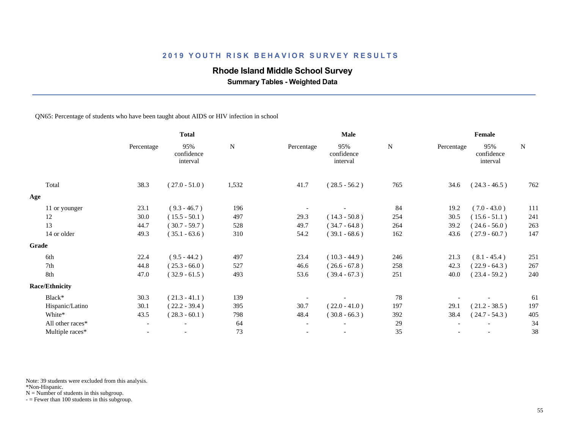## **Rhode Island Middle School Survey**

 **Summary Tables - Weighted Data**

#### QN65: Percentage of students who have been taught about AIDS or HIV infection in school

|                       | <b>Total</b>             |                               |             |                          | Male                          |           | Female     |                               |           |  |
|-----------------------|--------------------------|-------------------------------|-------------|--------------------------|-------------------------------|-----------|------------|-------------------------------|-----------|--|
|                       | Percentage               | 95%<br>confidence<br>interval | $\mathbf N$ | Percentage               | 95%<br>confidence<br>interval | ${\bf N}$ | Percentage | 95%<br>confidence<br>interval | ${\bf N}$ |  |
| Total                 | 38.3                     | $(27.0 - 51.0)$               | 1,532       | 41.7                     | $(28.5 - 56.2)$               | 765       | 34.6       | $(24.3 - 46.5)$               | 762       |  |
| Age                   |                          |                               |             |                          |                               |           |            |                               |           |  |
| 11 or younger         | 23.1                     | $(9.3 - 46.7)$                | 196         |                          |                               | 84        | 19.2       | $(7.0 - 43.0)$                | 111       |  |
| 12                    | 30.0                     | $(15.5 - 50.1)$               | 497         | 29.3                     | $(14.3 - 50.8)$               | 254       | 30.5       | $(15.6 - 51.1)$               | 241       |  |
| 13                    | 44.7                     | $(30.7 - 59.7)$               | 528         | 49.7                     | $(34.7 - 64.8)$               | 264       | 39.2       | $(24.6 - 56.0)$               | 263       |  |
| 14 or older           | 49.3                     | $(35.1 - 63.6)$               | 310         | 54.2                     | $(39.1 - 68.6)$               | 162       | 43.6       | $(27.9 - 60.7)$               | 147       |  |
| <b>Grade</b>          |                          |                               |             |                          |                               |           |            |                               |           |  |
| 6th                   | 22.4                     | $(9.5 - 44.2)$                | 497         | 23.4                     | $(10.3 - 44.9)$               | 246       | 21.3       | $(8.1 - 45.4)$                | 251       |  |
| 7th                   | 44.8                     | $(25.3 - 66.0)$               | 527         | 46.6                     | $(26.6 - 67.8)$               | 258       | 42.3       | $(22.9 - 64.3)$               | 267       |  |
| 8th                   | 47.0                     | $(32.9 - 61.5)$               | 493         | 53.6                     | $(39.4 - 67.3)$               | 251       | 40.0       | $(23.4 - 59.2)$               | 240       |  |
| <b>Race/Ethnicity</b> |                          |                               |             |                          |                               |           |            |                               |           |  |
| Black*                | 30.3                     | $(21.3 - 41.1)$               | 139         |                          |                               | 78        |            |                               | 61        |  |
| Hispanic/Latino       | 30.1                     | $(22.2 - 39.4)$               | 395         | 30.7                     | $(22.0 - 41.0)$               | 197       | 29.1       | $(21.2 - 38.5)$               | 197       |  |
| White*                | 43.5                     | $(28.3 - 60.1)$               | 798         | 48.4                     | $(30.8 - 66.3)$               | 392       | 38.4       | $(24.7 - 54.3)$               | 405       |  |
| All other races*      | $\overline{\phantom{a}}$ | $\overline{\phantom{a}}$      | 64          | $\overline{\phantom{a}}$ | $\overline{\phantom{a}}$      | 29        |            |                               | 34        |  |
| Multiple races*       | $\overline{\phantom{0}}$ |                               | 73          | $\overline{\phantom{a}}$ | $\overline{\phantom{a}}$      | 35        |            |                               | 38        |  |
|                       |                          |                               |             |                          |                               |           |            |                               |           |  |

Note: 39 students were excluded from this analysis.

\*Non-Hispanic.

 $N =$  Number of students in this subgroup.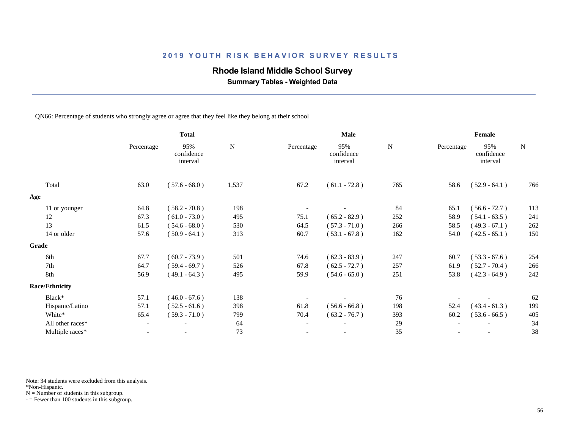### **Rhode Island Middle School Survey**

 **Summary Tables - Weighted Data**

QN66: Percentage of students who strongly agree or agree that they feel like they belong at their school

|                       | <b>Total</b>   |                               |       |                          | Male                          |     | Female     |                               |           |
|-----------------------|----------------|-------------------------------|-------|--------------------------|-------------------------------|-----|------------|-------------------------------|-----------|
|                       | Percentage     | 95%<br>confidence<br>interval | N     | Percentage               | 95%<br>confidence<br>interval | N   | Percentage | 95%<br>confidence<br>interval | ${\bf N}$ |
| Total                 | 63.0           | $(57.6 - 68.0)$               | 1,537 | 67.2                     | $(61.1 - 72.8)$               | 765 | 58.6       | $(52.9 - 64.1)$               | 766       |
| Age                   |                |                               |       |                          |                               |     |            |                               |           |
| 11 or younger         | 64.8           | $(58.2 - 70.8)$               | 198   |                          |                               | 84  | 65.1       | $(56.6 - 72.7)$               | 113       |
| 12                    | 67.3           | $(61.0 - 73.0)$               | 495   | 75.1                     | $(65.2 - 82.9)$               | 252 | 58.9       | $(54.1 - 63.5)$               | 241       |
| 13                    | 61.5           | $(54.6 - 68.0)$               | 530   | 64.5                     | $(57.3 - 71.0)$               | 266 | 58.5       | $(49.3 - 67.1)$               | 262       |
| 14 or older           | 57.6           | $(50.9 - 64.1)$               | 313   | 60.7                     | $(53.1 - 67.8)$               | 162 | 54.0       | $(42.5 - 65.1)$               | 150       |
| Grade                 |                |                               |       |                          |                               |     |            |                               |           |
| 6th                   | 67.7           | $(60.7 - 73.9)$               | 501   | 74.6                     | $(62.3 - 83.9)$               | 247 | 60.7       | $(53.3 - 67.6)$               | 254       |
| 7th                   | 64.7           | $(59.4 - 69.7)$               | 526   | 67.8                     | $(62.5 - 72.7)$               | 257 | 61.9       | $(52.7 - 70.4)$               | 266       |
| 8th                   | 56.9           | $(49.1 - 64.3)$               | 495   | 59.9                     | $(54.6 - 65.0)$               | 251 | 53.8       | $(42.3 - 64.9)$               | 242       |
| <b>Race/Ethnicity</b> |                |                               |       |                          |                               |     |            |                               |           |
| Black*                | 57.1           | $(46.0 - 67.6)$               | 138   |                          |                               | 76  |            |                               | 62        |
| Hispanic/Latino       | 57.1           | $(52.5 - 61.6)$               | 398   | 61.8                     | $(56.6 - 66.8)$               | 198 | 52.4       | $(43.4 - 61.3)$               | 199       |
| White*                | 65.4           | $(59.3 - 71.0)$               | 799   | 70.4                     | $(63.2 - 76.7)$               | 393 | 60.2       | $(53.6 - 66.5)$               | 405       |
| All other races*      | $ \,$          |                               | 64    | $\overline{\phantom{a}}$ | $\overline{\phantom{a}}$      | 29  |            |                               | 34        |
| Multiple races*       | $\overline{a}$ |                               | 73    |                          | $\overline{\phantom{a}}$      | 35  |            |                               | 38        |
|                       |                |                               |       |                          |                               |     |            |                               |           |

Note: 34 students were excluded from this analysis.

\*Non-Hispanic.

 $N =$  Number of students in this subgroup.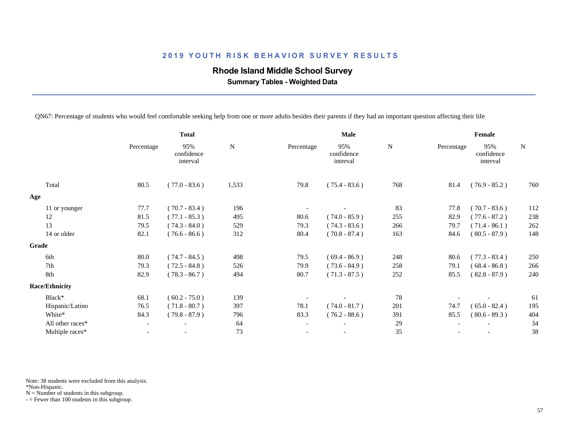## **Rhode Island Middle School Survey**

 **Summary Tables - Weighted Data**

QN67: Percentage of students who would feel comfortable seeking help from one or more adults besides their parents if they had an important question affecting their life

|                       | <b>Total</b> |                               |       |                          | Male                          | Female |            |                               |             |
|-----------------------|--------------|-------------------------------|-------|--------------------------|-------------------------------|--------|------------|-------------------------------|-------------|
|                       | Percentage   | 95%<br>confidence<br>interval | N     | Percentage               | 95%<br>confidence<br>interval | N      | Percentage | 95%<br>confidence<br>interval | $\mathbf N$ |
| Total                 | 80.5         | $(77.0 - 83.6)$               | 1,533 | 79.8                     | $(75.4 - 83.6)$               | 768    | 81.4       | $(76.9 - 85.2)$               | 760         |
| Age                   |              |                               |       |                          |                               |        |            |                               |             |
| 11 or younger         | 77.7         | $(70.7 - 83.4)$               | 196   |                          |                               | 83     | 77.8       | $(70.7 - 83.6)$               | 112         |
| 12                    | 81.5         | $(77.1 - 85.3)$               | 495   | 80.6                     | $(74.0 - 85.9)$               | 255    | 82.9       | $(77.6 - 87.2)$               | 238         |
| 13                    | 79.5         | $(74.3 - 84.0)$               | 529   | 79.3                     | $(74.3 - 83.6)$               | 266    | 79.7       | $(71.4 - 86.1)$               | 262         |
| 14 or older           | 82.1         | $(76.6 - 86.6)$               | 312   | 80.4                     | $(70.8 - 87.4)$               | 163    | 84.6       | $(80.5 - 87.9)$               | 148         |
| Grade                 |              |                               |       |                          |                               |        |            |                               |             |
| 6th                   | 80.0         | $(74.7 - 84.5)$               | 498   | 79.5                     | $(69.4 - 86.9)$               | 248    | 80.6       | $(77.3 - 83.4)$               | 250         |
| 7th                   | 79.3         | $(72.5 - 84.8)$               | 526   | 79.9                     | $(73.6 - 84.9)$               | 258    | 79.1       | $(68.4 - 86.8)$               | 266         |
| 8th                   | 82.9         | $(78.3 - 86.7)$               | 494   | 80.7                     | $(71.3 - 87.5)$               | 252    | 85.5       | $(82.8 - 87.9)$               | 240         |
| <b>Race/Ethnicity</b> |              |                               |       |                          |                               |        |            |                               |             |
| Black*                | 68.1         | $(60.2 - 75.0)$               | 139   |                          |                               | 78     |            |                               | 61          |
| Hispanic/Latino       | 76.5         | $(71.8 - 80.7)$               | 397   | 78.1                     | $(74.0 - 81.7)$               | 201    | 74.7       | $(65.0 - 82.4)$               | 195         |
| White*                | 84.3         | $(79.8 - 87.9)$               | 796   | 83.3                     | $(76.2 - 88.6)$               | 391    | 85.5       | $(80.6 - 89.3)$               | 404         |
| All other races*      |              | $\overline{\phantom{a}}$      | 64    | $\overline{\phantom{a}}$ |                               | 29     |            |                               | 34          |
| Multiple races*       |              |                               | 73    |                          |                               | 35     |            |                               | 38          |
|                       |              |                               |       |                          |                               |        |            |                               |             |

Note: 38 students were excluded from this analysis.

\*Non-Hispanic.

 $N =$  Number of students in this subgroup.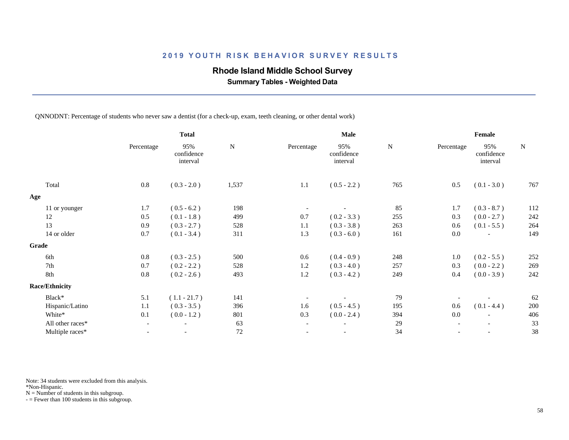### **Rhode Island Middle School Survey**

 **Summary Tables - Weighted Data**

QNNODNT: Percentage of students who never saw a dentist (for a check-up, exam, teeth cleaning, or other dental work)

|                       | <b>Total</b>             |                               |               |                          | Male                          | Female        |            |                               |               |
|-----------------------|--------------------------|-------------------------------|---------------|--------------------------|-------------------------------|---------------|------------|-------------------------------|---------------|
|                       | Percentage               | 95%<br>confidence<br>interval | $\mathbf N$   | Percentage               | 95%<br>confidence<br>interval | ${\bf N}$     | Percentage | 95%<br>confidence<br>interval | ${\bf N}$     |
| Total                 | 0.8                      | $(0.3 - 2.0)$                 | 1,537         | 1.1                      | $(0.5 - 2.2)$                 | 765           | 0.5        | $(0.1 - 3.0)$                 | 767           |
|                       |                          |                               |               |                          |                               |               |            |                               |               |
|                       | 1.7                      | $(0.5 - 6.2)$                 | 198           |                          |                               | 85            | 1.7        | $(0.3 - 8.7)$                 | 112           |
| 12                    | 0.5                      | $(0.1 - 1.8)$                 | 499           | 0.7                      | $(0.2 - 3.3)$                 | 255           | 0.3        | $(0.0 - 2.7)$                 | 242           |
| 13                    | 0.9                      | $(0.3 - 2.7)$                 | 528           | 1.1                      | $(0.3 - 3.8)$                 | 263           | 0.6        | $(0.1 - 5.5)$                 | 264           |
| 14 or older           | 0.7                      | $(0.1 - 3.4)$                 | 311           | 1.3                      | $(0.3 - 6.0)$                 | 161           | 0.0        |                               | 149           |
|                       |                          |                               |               |                          |                               |               |            |                               |               |
| 6th                   | 0.8                      |                               | 500           | 0.6                      |                               | 248           | 1.0        |                               | 252           |
| 7th                   | 0.7                      | $(0.2 - 2.2)$                 | 528           | 1.2                      | $(0.3 - 4.0)$                 | 257           | 0.3        | $(0.0 - 2.2)$                 | 269           |
| 8th                   | 0.8                      | $(0.2 - 2.6)$                 | 493           | 1.2                      | $(0.3 - 4.2)$                 | 249           | 0.4        | $(0.0 - 3.9)$                 | 242           |
| <b>Race/Ethnicity</b> |                          |                               |               |                          |                               |               |            |                               |               |
| Black*                | 5.1                      | $(1.1 - 21.7)$                | 141           |                          |                               | 79            |            |                               | 62            |
| Hispanic/Latino       | 1.1                      | $(0.3 - 3.5)$                 | 396           | 1.6                      | $(0.5 - 4.5)$                 | 195           | 0.6        | $(0.1 - 4.4)$                 | 200           |
| White*                | 0.1                      | $(0.0 - 1.2)$                 | 801           | 0.3                      | $(0.0 - 2.4)$                 | 394           | 0.0        |                               | 406           |
| All other races*      |                          | $\overline{\phantom{a}}$      | 63            | $\overline{\phantom{a}}$ | $\overline{\phantom{a}}$      | 29            |            |                               | 33            |
| Multiple races*       | $\overline{\phantom{a}}$ | $\overline{\phantom{a}}$      | 72            |                          | $-$                           | 34            |            | $\overline{\phantom{a}}$      | 38            |
|                       | 11 or younger            |                               | $(0.3 - 2.5)$ |                          |                               | $(0.4 - 0.9)$ |            |                               | $(0.2 - 5.5)$ |

Note: 34 students were excluded from this analysis.

\*Non-Hispanic.

 $N =$  Number of students in this subgroup.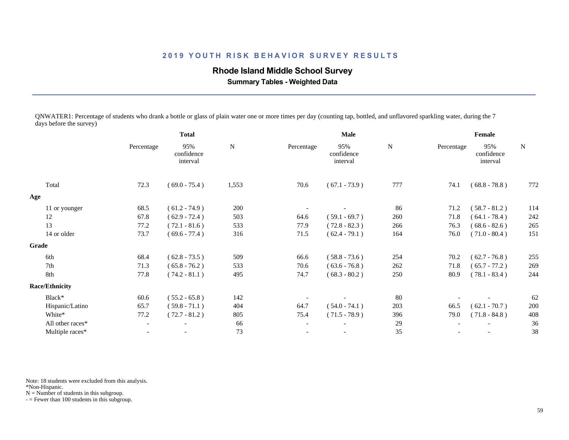### **Rhode Island Middle School Survey**

 **Summary Tables - Weighted Data**

QNWATER1: Percentage of students who drank a bottle or glass of plain water one or more times per day (counting tap, bottled, and unflavored sparkling water, during the 7 days before the survey)

|                       | <b>Total</b>             |                               |             |                          | <b>Male</b>                   | Female      |            |                               |     |
|-----------------------|--------------------------|-------------------------------|-------------|--------------------------|-------------------------------|-------------|------------|-------------------------------|-----|
|                       | Percentage               | 95%<br>confidence<br>interval | $\mathbf N$ | Percentage               | 95%<br>confidence<br>interval | $\mathbf N$ | Percentage | 95%<br>confidence<br>interval | N   |
| Total                 | 72.3                     | $(69.0 - 75.4)$               | 1,553       | 70.6                     | $(67.1 - 73.9)$               | 777         | 74.1       | $(68.8 - 78.8)$               | 772 |
| Age                   |                          |                               |             |                          |                               |             |            |                               |     |
| 11 or younger         | 68.5                     | $(61.2 - 74.9)$               | 200         |                          |                               | 86          | 71.2       | $(58.7 - 81.2)$               | 114 |
| 12                    | 67.8                     | $(62.9 - 72.4)$               | 503         | 64.6                     | $(59.1 - 69.7)$               | 260         | 71.8       | $(64.1 - 78.4)$               | 242 |
| 13                    | 77.2                     | $(72.1 - 81.6)$               | 533         | 77.9                     | $(72.8 - 82.3)$               | 266         | 76.3       | $(68.6 - 82.6)$               | 265 |
| 14 or older           | 73.7                     | $(69.6 - 77.4)$               | 316         | 71.5                     | $(62.4 - 79.1)$               | 164         | 76.0       | $(71.0 - 80.4)$               | 151 |
| Grade                 |                          |                               |             |                          |                               |             |            |                               |     |
| 6th                   | 68.4                     | $(62.8 - 73.5)$               | 509         | 66.6                     | $(58.8 - 73.6)$               | 254         | 70.2       | $(62.7 - 76.8)$               | 255 |
| 7th                   | 71.3                     | $(65.8 - 76.2)$               | 533         | 70.6                     | $(63.6 - 76.8)$               | 262         | 71.8       | $(65.7 - 77.2)$               | 269 |
| 8th                   | 77.8                     | $(74.2 - 81.1)$               | 495         | 74.7                     | $(68.3 - 80.2)$               | 250         | 80.9       | $(78.1 - 83.4)$               | 244 |
| <b>Race/Ethnicity</b> |                          |                               |             |                          |                               |             |            |                               |     |
| Black*                | 60.6                     | $(55.2 - 65.8)$               | 142         |                          |                               | 80          |            |                               | 62  |
| Hispanic/Latino       | 65.7                     | $(59.8 - 71.1)$               | 404         | 64.7                     | $(54.0 - 74.1)$               | 203         | 66.5       | $(62.1 - 70.7)$               | 200 |
| White*                | 77.2                     | $(72.7 - 81.2)$               | 805         | 75.4                     | $(71.5 - 78.9)$               | 396         | 79.0       | $(71.8 - 84.8)$               | 408 |
| All other races*      | $\overline{\phantom{a}}$ | $\overline{\phantom{a}}$      | 66          | $\overline{\phantom{a}}$ | $\overline{\phantom{a}}$      | 29          |            |                               | 36  |
| Multiple races*       | $\overline{\phantom{a}}$ |                               | 73          |                          | $\overline{\phantom{a}}$      | 35          |            | $\overline{\phantom{a}}$      | 38  |
|                       |                          |                               |             |                          |                               |             |            |                               |     |

Note: 18 students were excluded from this analysis.

\*Non-Hispanic.

 $N =$  Number of students in this subgroup.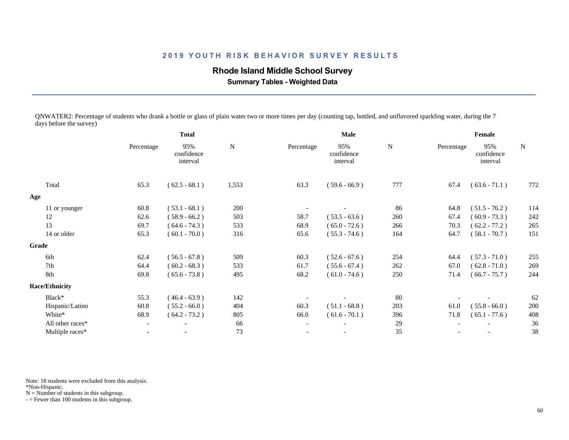### **Rhode Island Middle School Survey**

 **Summary Tables - Weighted Data**

QNWATER2: Percentage of students who drank a bottle or glass of plain water two or more times per day (counting tap, bottled, and unflavored sparkling water, during the 7 days before the survey)

|                       | <b>Total</b>             |                               |           |                          | Male                          | Female    |            |                               |           |
|-----------------------|--------------------------|-------------------------------|-----------|--------------------------|-------------------------------|-----------|------------|-------------------------------|-----------|
|                       | Percentage               | 95%<br>confidence<br>interval | ${\bf N}$ | Percentage               | 95%<br>confidence<br>interval | ${\bf N}$ | Percentage | 95%<br>confidence<br>interval | ${\bf N}$ |
| Total                 | 65.3                     | $(62.5 - 68.1)$               | 1,553     | 63.3                     | $(59.6 - 66.9)$               | 777       | 67.4       | $(63.6 - 71.1)$               | 772       |
| Age                   |                          |                               |           |                          |                               |           |            |                               |           |
| 11 or younger         | 60.8                     | $(53.1 - 68.1)$               | 200       |                          |                               | 86        | 64.8       | $(51.5 - 76.2)$               | 114       |
| 12                    | 62.6                     | $(58.9 - 66.2)$               | 503       | 58.7                     | $(53.5 - 63.6)$               | 260       | 67.4       | $(60.9 - 73.3)$               | 242       |
| 13                    | 69.7                     | $(64.6 - 74.3)$               | 533       | 68.9                     | $(65.0 - 72.6)$               | 266       | 70.3       | $(62.2 - 77.2)$               | 265       |
| 14 or older           | 65.3                     | $(60.1 - 70.0)$               | 316       | 65.6                     | $(55.3 - 74.6)$               | 164       | 64.7       | $(58.1 - 70.7)$               | 151       |
| Grade                 |                          |                               |           |                          |                               |           |            |                               |           |
| 6th                   | 62.4                     | $(56.5 - 67.8)$               | 509       | 60.3                     | $(52.6 - 67.6)$               | 254       | 64.4       | $(57.3 - 71.0)$               | 255       |
| 7th                   | 64.4                     | $(60.2 - 68.3)$               | 533       | 61.7                     | $(55.6 - 67.4)$               | 262       | 67.0       | $(62.8 - 71.0)$               | 269       |
| 8th                   | 69.8                     | $(65.6 - 73.8)$               | 495       | 68.2                     | $(61.0 - 74.6)$               | 250       | 71.4       | $(66.7 - 75.7)$               | 244       |
| <b>Race/Ethnicity</b> |                          |                               |           |                          |                               |           |            |                               |           |
| Black*                | 55.3                     | $(46.4 - 63.9)$               | 142       |                          |                               | 80        |            |                               | 62        |
| Hispanic/Latino       | 60.8                     | $(55.2 - 66.0)$               | 404       | 60.3                     | $(51.1 - 68.8)$               | 203       | 61.0       | $(55.8 - 66.0)$               | 200       |
| White*                | 68.9                     | $(64.2 - 73.2)$               | 805       | 66.0                     | $(61.6 - 70.1)$               | 396       | 71.8       | $(65.1 - 77.6)$               | 408       |
| All other races*      | $\overline{\phantom{a}}$ |                               | 66        | $\overline{\phantom{a}}$ |                               | 29        |            |                               | 36        |
| Multiple races*       |                          |                               | 73        |                          |                               | 35        |            |                               | 38        |
|                       |                          |                               |           |                          |                               |           |            |                               |           |

Note: 18 students were excluded from this analysis.

\*Non-Hispanic.

 $N =$  Number of students in this subgroup.